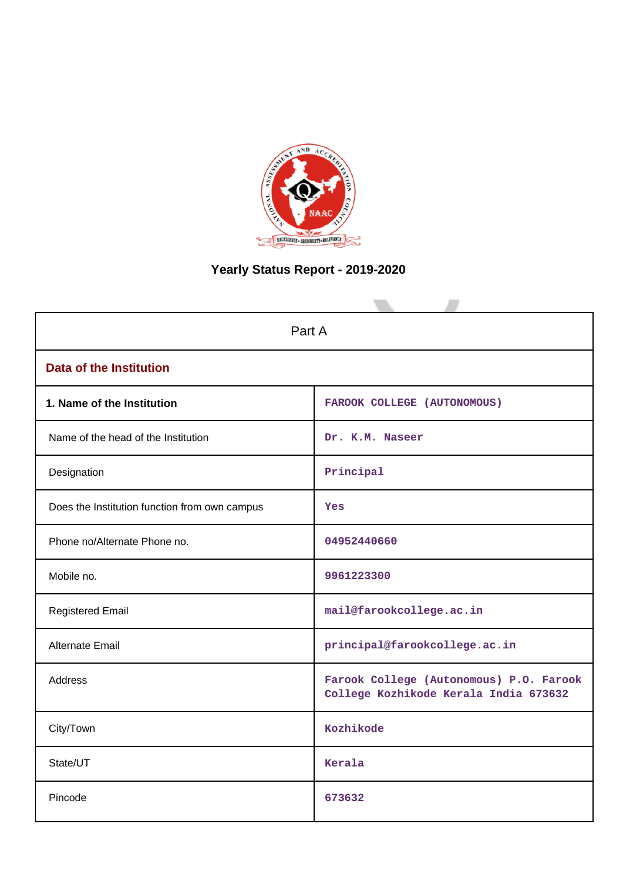

# **Yearly Status Report - 2019-2020**

| Part A                                        |                                                                                  |  |  |  |
|-----------------------------------------------|----------------------------------------------------------------------------------|--|--|--|
| <b>Data of the Institution</b>                |                                                                                  |  |  |  |
| 1. Name of the Institution                    | FAROOK COLLEGE (AUTONOMOUS)                                                      |  |  |  |
| Name of the head of the Institution           | Dr. K.M. Naseer                                                                  |  |  |  |
| Designation                                   | Principal                                                                        |  |  |  |
| Does the Institution function from own campus | Yes                                                                              |  |  |  |
| Phone no/Alternate Phone no.                  | 04952440660                                                                      |  |  |  |
| Mobile no.                                    | 9961223300                                                                       |  |  |  |
| <b>Registered Email</b>                       | mail@farookcollege.ac.in                                                         |  |  |  |
| <b>Alternate Email</b>                        | principal@farookcollege.ac.in                                                    |  |  |  |
| <b>Address</b>                                | Farook College (Autonomous) P.O. Farook<br>College Kozhikode Kerala India 673632 |  |  |  |
| City/Town                                     | Kozhikode                                                                        |  |  |  |
| State/UT                                      | Kerala                                                                           |  |  |  |
| Pincode                                       | 673632                                                                           |  |  |  |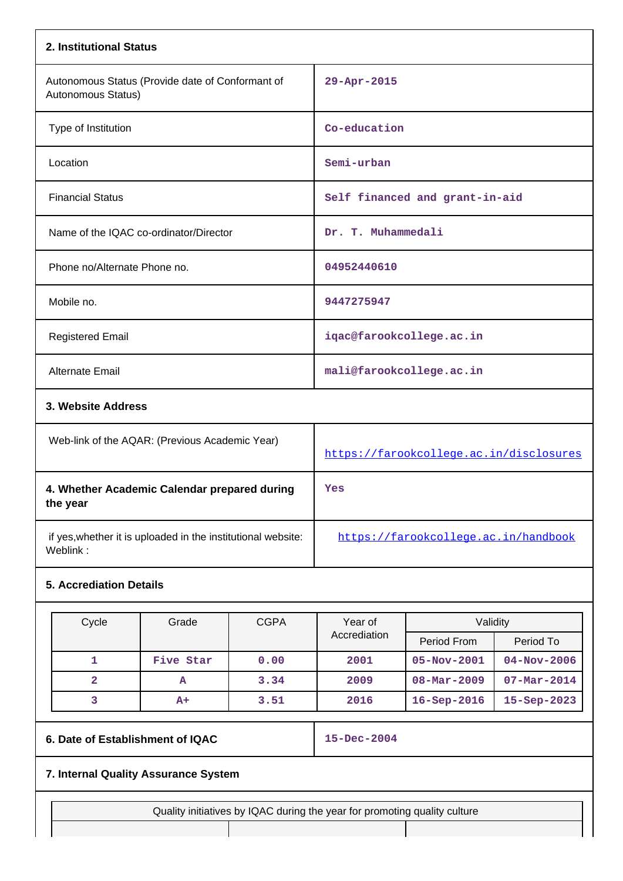|                                                                          | 2. Institutional Status      |                                                |                                      |                                         |                                |                   |  |
|--------------------------------------------------------------------------|------------------------------|------------------------------------------------|--------------------------------------|-----------------------------------------|--------------------------------|-------------------|--|
| Autonomous Status (Provide date of Conformant of<br>Autonomous Status)   |                              |                                                | 29-Apr-2015                          |                                         |                                |                   |  |
|                                                                          | Type of Institution          |                                                |                                      | Co-education                            |                                |                   |  |
|                                                                          | Location                     |                                                |                                      | Semi-urban                              |                                |                   |  |
|                                                                          | <b>Financial Status</b>      |                                                |                                      |                                         | Self financed and grant-in-aid |                   |  |
|                                                                          |                              | Name of the IQAC co-ordinator/Director         |                                      | Dr. T. Muhammedali                      |                                |                   |  |
|                                                                          | Phone no/Alternate Phone no. |                                                |                                      | 04952440610                             |                                |                   |  |
|                                                                          | Mobile no.                   |                                                |                                      | 9447275947                              |                                |                   |  |
|                                                                          | <b>Registered Email</b>      |                                                |                                      | iqac@farookcollege.ac.in                |                                |                   |  |
|                                                                          | <b>Alternate Email</b>       |                                                |                                      | mali@farookcollege.ac.in                |                                |                   |  |
|                                                                          | 3. Website Address           |                                                |                                      |                                         |                                |                   |  |
|                                                                          |                              | Web-link of the AQAR: (Previous Academic Year) |                                      | https://farookcollege.ac.in/disclosures |                                |                   |  |
| 4. Whether Academic Calendar prepared during<br>the year                 |                              |                                                |                                      | Yes                                     |                                |                   |  |
| if yes, whether it is uploaded in the institutional website:<br>Weblink: |                              |                                                | https://farookcollege.ac.in/handbook |                                         |                                |                   |  |
| <b>5. Accrediation Details</b>                                           |                              |                                                |                                      |                                         |                                |                   |  |
|                                                                          | Cycle                        | Grade                                          | <b>CGPA</b>                          | Year of                                 | Validity                       |                   |  |
|                                                                          |                              |                                                |                                      | Accrediation                            | Period From                    | Period To         |  |
|                                                                          | 1                            | Five Star                                      | 0.00                                 | 2001                                    | 05-Nov-2001                    | $04 - Nov - 2006$ |  |

|                                      | $A+$ | 3.51 | 2016              |  | $16 - \text{Sep} - 2016$ 15-Sep-2023 |  |
|--------------------------------------|------|------|-------------------|--|--------------------------------------|--|
| 6. Date of Establishment of IQAC     |      |      | $15 - Dec - 2004$ |  |                                      |  |
| 7. Internal Quality Assurance System |      |      |                   |  |                                      |  |

**2 A 3.34 2009 08-Mar-2009 07-Mar-2014**

### **7. Internal Quality Assurance System**

Quality initiatives by IQAC during the year for promoting quality culture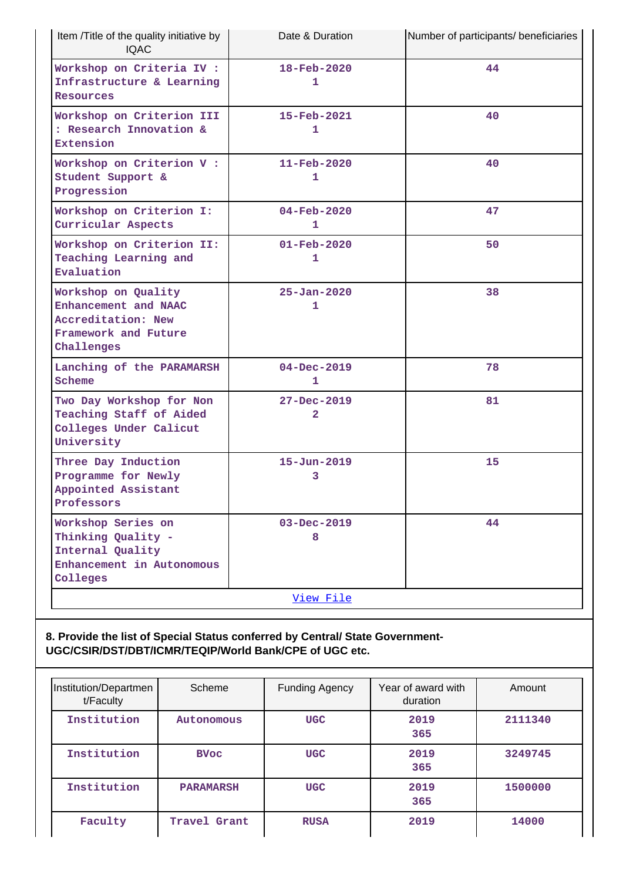| Item /Title of the quality initiative by<br><b>IQAC</b>                                                 | Date & Duration                     | Number of participants/ beneficiaries |
|---------------------------------------------------------------------------------------------------------|-------------------------------------|---------------------------------------|
| Workshop on Criteria IV :<br>Infrastructure & Learning<br><b>Resources</b>                              | $18 - \text{Feb} - 2020$<br>1       | 44                                    |
| Workshop on Criterion III<br>: Research Innovation &<br>Extension                                       | 15-Feb-2021<br>1                    | 40                                    |
| Workshop on Criterion V :<br>Student Support &<br>Progression                                           | $11 - \text{Feb} - 2020$<br>1       | 40                                    |
| Workshop on Criterion I:<br>Curricular Aspects                                                          | $04 - \text{Feb} - 2020$<br>1       | 47                                    |
| Workshop on Criterion II:<br>Teaching Learning and<br>Evaluation                                        | $01 - \text{Feb} - 2020$<br>1       | 50                                    |
| Workshop on Quality<br>Enhancement and NAAC<br>Accreditation: New<br>Framework and Future<br>Challenges | $25 - Jan - 2020$<br>1              | 38                                    |
| Lanching of the PARAMARSH<br>Scheme                                                                     | $04 - Dec - 2019$<br>1              | 78                                    |
| Two Day Workshop for Non<br>Teaching Staff of Aided<br>Colleges Under Calicut<br>University             | $27 - Dec - 2019$<br>$\overline{a}$ | 81                                    |
| Three Day Induction<br>Programme for Newly<br>Appointed Assistant<br>Professors                         | $15 - Jun - 2019$<br>3              | 15                                    |
| Workshop Series on<br>Thinking Quality -<br>Internal Quality<br>Enhancement in Autonomous<br>Colleges   | $03 - Dec - 2019$<br>8              | 44                                    |
|                                                                                                         | View File                           |                                       |

## **8. Provide the list of Special Status conferred by Central/ State Government-UGC/CSIR/DST/DBT/ICMR/TEQIP/World Bank/CPE of UGC etc.**

| Institution/Departmen<br>t/Faculty | Scheme           | Funding Agency | Year of award with<br>duration | Amount  |
|------------------------------------|------------------|----------------|--------------------------------|---------|
| Institution                        | Autonomous       | <b>UGC</b>     | 2019<br>365                    | 2111340 |
| Institution                        | <b>BVoc</b>      | <b>UGC</b>     | 2019<br>365                    | 3249745 |
| Institution                        | <b>PARAMARSH</b> | <b>UGC</b>     | 2019<br>365                    | 1500000 |
| Faculty                            | Travel Grant     | <b>RUSA</b>    | 2019                           | 14000   |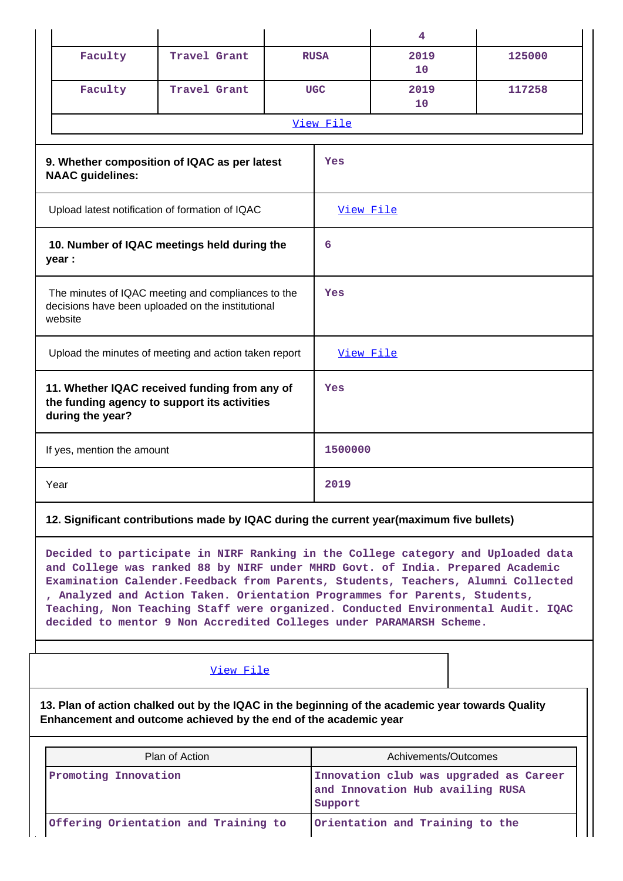|                                                                                                                    |                                                 |                                                       |     |             | 4          |        |
|--------------------------------------------------------------------------------------------------------------------|-------------------------------------------------|-------------------------------------------------------|-----|-------------|------------|--------|
|                                                                                                                    | Faculty                                         | Travel Grant                                          |     | <b>RUSA</b> | 2019<br>10 | 125000 |
|                                                                                                                    | Faculty                                         | Travel Grant                                          |     | <b>UGC</b>  | 2019<br>10 | 117258 |
|                                                                                                                    |                                                 |                                                       |     | View File   |            |        |
| 9. Whether composition of IQAC as per latest<br><b>NAAC</b> guidelines:                                            |                                                 |                                                       | Yes |             |            |        |
|                                                                                                                    | Upload latest notification of formation of IQAC |                                                       |     | View File   |            |        |
| 10. Number of IQAC meetings held during the<br>year :                                                              |                                                 | 6                                                     |     |             |            |        |
| The minutes of IQAC meeting and compliances to the<br>decisions have been uploaded on the institutional<br>website |                                                 | Yes                                                   |     |             |            |        |
|                                                                                                                    |                                                 | Upload the minutes of meeting and action taken report |     | View File   |            |        |
| 11. Whether IQAC received funding from any of<br>the funding agency to support its activities<br>during the year?  |                                                 | Yes                                                   |     |             |            |        |
| If yes, mention the amount                                                                                         |                                                 | 1500000                                               |     |             |            |        |
|                                                                                                                    | Year                                            |                                                       |     | 2019        |            |        |

## **12. Significant contributions made by IQAC during the current year(maximum five bullets)**

**Decided to participate in NIRF Ranking in the College category and Uploaded data and College was ranked 88 by NIRF under MHRD Govt. of India. Prepared Academic Examination Calender.Feedback from Parents, Students, Teachers, Alumni Collected , Analyzed and Action Taken. Orientation Programmes for Parents, Students, Teaching, Non Teaching Staff were organized. Conducted Environmental Audit. IQAC decided to mentor 9 Non Accredited Colleges under PARAMARSH Scheme.**

### [View File](https://assessmentonline.naac.gov.in/public/Postacc/Contribution/11914_Contribution.xlsx)

**13. Plan of action chalked out by the IQAC in the beginning of the academic year towards Quality Enhancement and outcome achieved by the end of the academic year**

| Plan of Action                       | Achivements/Outcomes                                                                  |  |
|--------------------------------------|---------------------------------------------------------------------------------------|--|
| Promoting Innovation                 | Innovation club was upgraded as Career<br>and Innovation Hub availing RUSA<br>Support |  |
| Offering Orientation and Training to | Orientation and Training to the                                                       |  |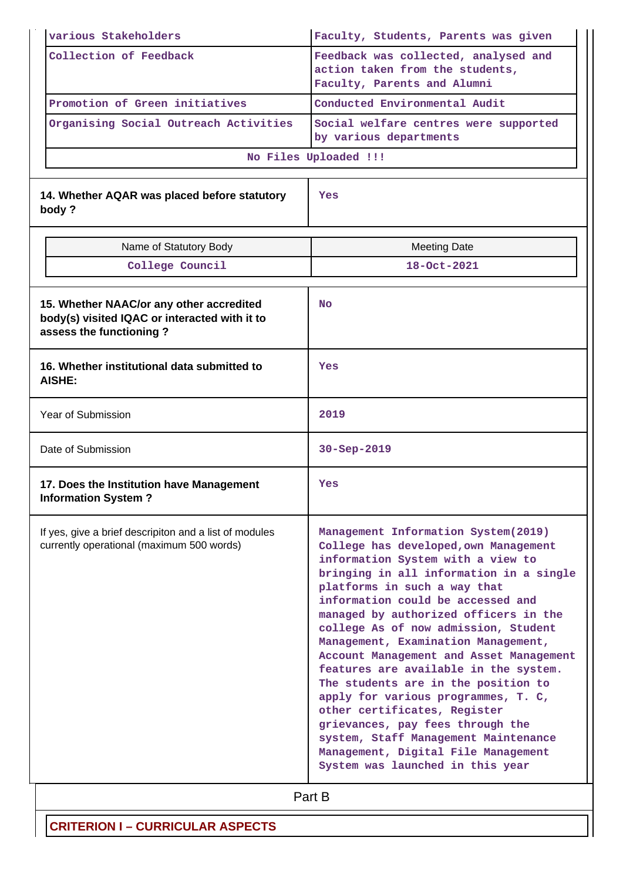|                                                                                                     | various Stakeholders                                                                                                 | Faculty, Students, Parents was given                                                                                                                                                                                                                                                                                                                                                                                                                                                                                                                                                                                                                                                                               |  |  |  |
|-----------------------------------------------------------------------------------------------------|----------------------------------------------------------------------------------------------------------------------|--------------------------------------------------------------------------------------------------------------------------------------------------------------------------------------------------------------------------------------------------------------------------------------------------------------------------------------------------------------------------------------------------------------------------------------------------------------------------------------------------------------------------------------------------------------------------------------------------------------------------------------------------------------------------------------------------------------------|--|--|--|
|                                                                                                     | Collection of Feedback                                                                                               | Feedback was collected, analysed and<br>action taken from the students,<br>Faculty, Parents and Alumni                                                                                                                                                                                                                                                                                                                                                                                                                                                                                                                                                                                                             |  |  |  |
|                                                                                                     | Promotion of Green initiatives                                                                                       | Conducted Environmental Audit                                                                                                                                                                                                                                                                                                                                                                                                                                                                                                                                                                                                                                                                                      |  |  |  |
|                                                                                                     | Organising Social Outreach Activities                                                                                | Social welfare centres were supported<br>by various departments                                                                                                                                                                                                                                                                                                                                                                                                                                                                                                                                                                                                                                                    |  |  |  |
|                                                                                                     |                                                                                                                      | No Files Uploaded !!!                                                                                                                                                                                                                                                                                                                                                                                                                                                                                                                                                                                                                                                                                              |  |  |  |
|                                                                                                     | 14. Whether AQAR was placed before statutory<br>body?                                                                | Yes                                                                                                                                                                                                                                                                                                                                                                                                                                                                                                                                                                                                                                                                                                                |  |  |  |
|                                                                                                     | Name of Statutory Body                                                                                               | <b>Meeting Date</b>                                                                                                                                                                                                                                                                                                                                                                                                                                                                                                                                                                                                                                                                                                |  |  |  |
|                                                                                                     | College Council                                                                                                      | $18 - 0ct - 2021$                                                                                                                                                                                                                                                                                                                                                                                                                                                                                                                                                                                                                                                                                                  |  |  |  |
|                                                                                                     | 15. Whether NAAC/or any other accredited<br>body(s) visited IQAC or interacted with it to<br>assess the functioning? | <b>No</b>                                                                                                                                                                                                                                                                                                                                                                                                                                                                                                                                                                                                                                                                                                          |  |  |  |
|                                                                                                     | 16. Whether institutional data submitted to<br>AISHE:                                                                | Yes                                                                                                                                                                                                                                                                                                                                                                                                                                                                                                                                                                                                                                                                                                                |  |  |  |
| Year of Submission                                                                                  |                                                                                                                      | 2019                                                                                                                                                                                                                                                                                                                                                                                                                                                                                                                                                                                                                                                                                                               |  |  |  |
| Date of Submission                                                                                  |                                                                                                                      | 30-Sep-2019                                                                                                                                                                                                                                                                                                                                                                                                                                                                                                                                                                                                                                                                                                        |  |  |  |
|                                                                                                     | 17. Does the Institution have Management<br><b>Information System?</b>                                               | Yes                                                                                                                                                                                                                                                                                                                                                                                                                                                                                                                                                                                                                                                                                                                |  |  |  |
| If yes, give a brief descripiton and a list of modules<br>currently operational (maximum 500 words) |                                                                                                                      | Management Information System(2019)<br>College has developed, own Management<br>information System with a view to<br>bringing in all information in a single<br>platforms in such a way that<br>information could be accessed and<br>managed by authorized officers in the<br>college As of now admission, Student<br>Management, Examination Management,<br>Account Management and Asset Management<br>features are available in the system.<br>The students are in the position to<br>apply for various programmes, T. C,<br>other certificates, Register<br>grievances, pay fees through the<br>system, Staff Management Maintenance<br>Management, Digital File Management<br>System was launched in this year |  |  |  |
|                                                                                                     |                                                                                                                      | Part B                                                                                                                                                                                                                                                                                                                                                                                                                                                                                                                                                                                                                                                                                                             |  |  |  |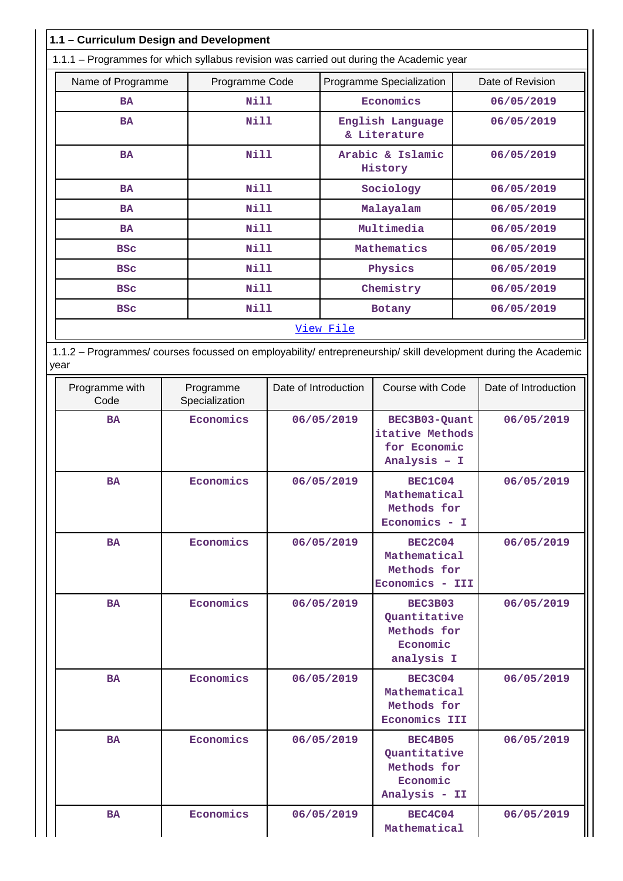| 1.1 - Curriculum Design and Development                                                                                |                             |            |                          |                                                                  |                  |                      |
|------------------------------------------------------------------------------------------------------------------------|-----------------------------|------------|--------------------------|------------------------------------------------------------------|------------------|----------------------|
| 1.1.1 - Programmes for which syllabus revision was carried out during the Academic year                                |                             |            |                          |                                                                  |                  |                      |
| Name of Programme                                                                                                      | Programme Code              |            | Programme Specialization |                                                                  | Date of Revision |                      |
| <b>BA</b>                                                                                                              | Nill                        |            |                          | Economics                                                        |                  | 06/05/2019           |
| <b>BA</b>                                                                                                              | <b>Nill</b>                 |            |                          | English Language<br>& Literature                                 |                  | 06/05/2019           |
| <b>BA</b>                                                                                                              | <b>Nill</b>                 |            |                          | Arabic & Islamic<br>History                                      |                  | 06/05/2019           |
| BA                                                                                                                     | <b>Nill</b>                 |            |                          | Sociology                                                        |                  | 06/05/2019           |
| <b>BA</b>                                                                                                              | Nill                        |            |                          | Malayalam                                                        |                  | 06/05/2019           |
| <b>BA</b>                                                                                                              | Nill                        |            |                          | Multimedia                                                       |                  | 06/05/2019           |
| <b>BSC</b>                                                                                                             | <b>Nill</b>                 |            |                          | Mathematics                                                      |                  | 06/05/2019           |
| <b>BSC</b>                                                                                                             | Nill                        |            |                          | Physics                                                          |                  | 06/05/2019           |
| <b>BSC</b>                                                                                                             | Nill                        |            |                          | Chemistry                                                        |                  | 06/05/2019           |
| <b>BSC</b>                                                                                                             | Nill                        |            |                          | Botany                                                           |                  | 06/05/2019           |
| View File                                                                                                              |                             |            |                          |                                                                  |                  |                      |
| 1.1.2 - Programmes/ courses focussed on employability/ entrepreneurship/ skill development during the Academic<br>year |                             |            |                          |                                                                  |                  |                      |
| Programme with<br>Code                                                                                                 | Programme<br>Specialization |            | Date of Introduction     | Course with Code                                                 |                  | Date of Introduction |
| <b>BA</b>                                                                                                              | Economics                   |            | 06/05/2019               | BEC3B03-Quant<br>itative Methods<br>for Economic<br>Analysis - I |                  | 06/05/2019           |
| <b>BA</b>                                                                                                              | Economics                   |            | 06/05/2019               | BEC1C04<br>Mathematical<br>Methods for<br>$Economics - I$        |                  | 06/05/2019           |
| <b>BA</b>                                                                                                              | Economics                   |            | 06/05/2019               | <b>BEC2C04</b><br>Mathematical<br>Methods for<br>Economics - III |                  | 06/05/2019           |
| <b>BA</b>                                                                                                              | Economics                   | 06/05/2019 |                          | BEC3B03<br>Quantitative<br>Methods for<br>Economic<br>analysis I |                  | 06/05/2019           |
| <b>BA</b>                                                                                                              | Economics                   |            | 06/05/2019               | BEC3C04<br>Mathematical<br>Methods for<br>Economics III          |                  | 06/05/2019           |
| <b>BA</b>                                                                                                              | Economics                   |            | 06/05/2019               | <b>BEC4B05</b><br>Quantitative                                   |                  | 06/05/2019           |

BA **Economics** 06/05/2019 **BEC4C04** 

**Methods for Economic Analysis - II**

**Mathematical**

 **06/05/2019**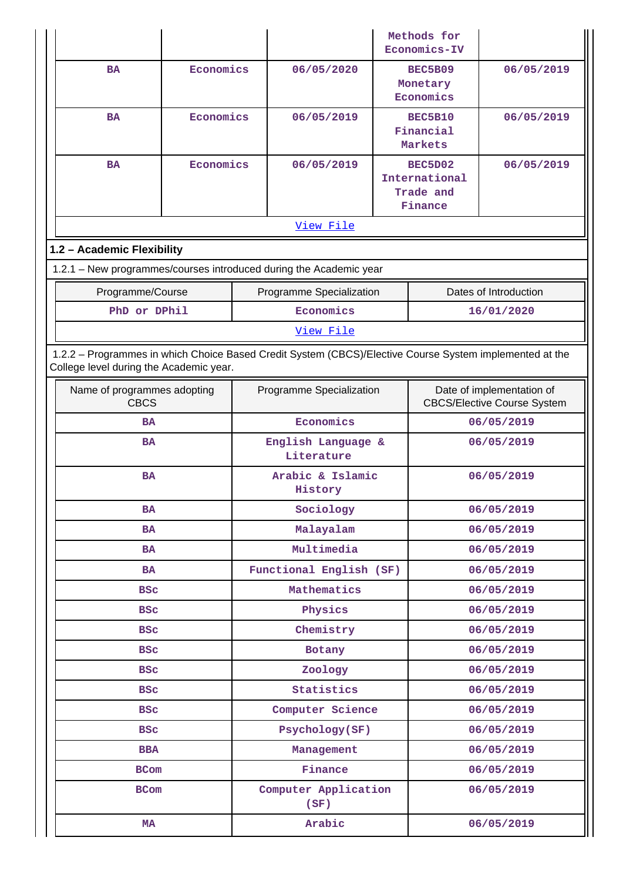|                                                                                                                                                    |                             |                             |                                  |            | Methods for<br>Economics-IV                                     |                       |
|----------------------------------------------------------------------------------------------------------------------------------------------------|-----------------------------|-----------------------------|----------------------------------|------------|-----------------------------------------------------------------|-----------------------|
| <b>BA</b>                                                                                                                                          | Economics                   |                             | 06/05/2020                       |            | BEC5B09<br>Monetary<br>Economics                                | 06/05/2019            |
| <b>BA</b>                                                                                                                                          | Economics                   |                             | 06/05/2019                       |            | <b>BEC5B10</b><br>Financial<br>Markets                          | 06/05/2019            |
| <b>BA</b>                                                                                                                                          | Economics                   |                             | 06/05/2019                       |            | BEC5D02<br>International<br>Trade and<br>Finance                | 06/05/2019            |
|                                                                                                                                                    |                             |                             | View File                        |            |                                                                 |                       |
| 1.2 - Academic Flexibility                                                                                                                         |                             |                             |                                  |            |                                                                 |                       |
| 1.2.1 - New programmes/courses introduced during the Academic year                                                                                 |                             |                             |                                  |            |                                                                 |                       |
| Programme/Course                                                                                                                                   |                             |                             | Programme Specialization         |            |                                                                 | Dates of Introduction |
| PhD or DPhil                                                                                                                                       |                             |                             | Economics                        |            |                                                                 | 16/01/2020            |
|                                                                                                                                                    |                             |                             | View File                        |            |                                                                 |                       |
| 1.2.2 - Programmes in which Choice Based Credit System (CBCS)/Elective Course System implemented at the<br>College level during the Academic year. |                             |                             |                                  |            |                                                                 |                       |
| <b>CBCS</b>                                                                                                                                        | Name of programmes adopting |                             | Programme Specialization         |            | Date of implementation of<br><b>CBCS/Elective Course System</b> |                       |
| <b>BA</b>                                                                                                                                          |                             |                             | Economics                        |            | 06/05/2019                                                      |                       |
| <b>BA</b>                                                                                                                                          |                             |                             | English Language &<br>Literature |            | 06/05/2019                                                      |                       |
| <b>BA</b>                                                                                                                                          |                             | Arabic & Islamic<br>History |                                  | 06/05/2019 |                                                                 |                       |
| <b>BA</b>                                                                                                                                          |                             |                             | Sociology                        |            |                                                                 | 06/05/2019            |
| <b>BA</b>                                                                                                                                          |                             |                             | Malayalam                        |            |                                                                 | 06/05/2019            |
| <b>BA</b>                                                                                                                                          |                             |                             | Multimedia                       |            | 06/05/2019                                                      |                       |
| <b>BA</b>                                                                                                                                          |                             |                             | Functional English (SF)          |            | 06/05/2019                                                      |                       |
| <b>BSC</b>                                                                                                                                         |                             | Mathematics                 |                                  | 06/05/2019 |                                                                 |                       |
| <b>BSC</b>                                                                                                                                         |                             |                             | Physics                          |            | 06/05/2019                                                      |                       |
| <b>BSC</b>                                                                                                                                         |                             |                             | Chemistry                        |            | 06/05/2019                                                      |                       |
| <b>BSC</b>                                                                                                                                         |                             |                             | Botany                           |            | 06/05/2019                                                      |                       |
| <b>BSC</b>                                                                                                                                         |                             |                             | Zoology                          |            |                                                                 | 06/05/2019            |
| <b>BSC</b>                                                                                                                                         |                             |                             | Statistics                       |            | 06/05/2019                                                      |                       |
| <b>BSC</b>                                                                                                                                         |                             |                             | Computer Science                 |            |                                                                 | 06/05/2019            |
| <b>BSC</b>                                                                                                                                         |                             |                             | Psychology(SF)                   |            |                                                                 | 06/05/2019            |
| <b>BBA</b>                                                                                                                                         |                             |                             | Management                       |            |                                                                 | 06/05/2019            |
| <b>BCom</b>                                                                                                                                        |                             |                             | Finance                          |            |                                                                 | 06/05/2019            |
| <b>BCom</b>                                                                                                                                        |                             |                             | Computer Application<br>(SF)     |            |                                                                 | 06/05/2019            |
| <b>MA</b>                                                                                                                                          |                             | Arabic                      |                                  | 06/05/2019 |                                                                 |                       |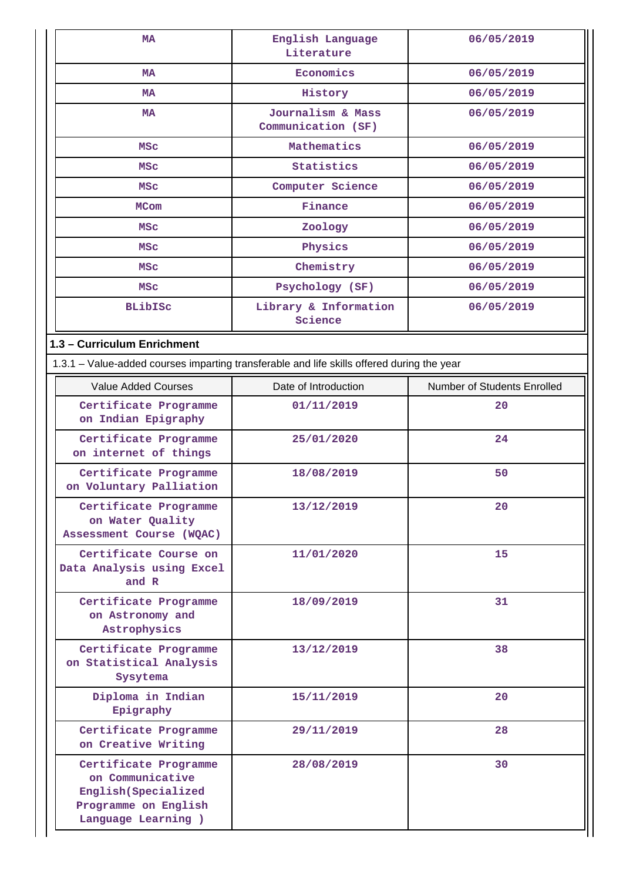| MA                                                                                                               | English Language<br>Literature          | 06/05/2019                  |
|------------------------------------------------------------------------------------------------------------------|-----------------------------------------|-----------------------------|
| <b>MA</b>                                                                                                        | Economics                               | 06/05/2019                  |
| <b>MA</b>                                                                                                        | History                                 | 06/05/2019                  |
| <b>MA</b>                                                                                                        | Journalism & Mass<br>Communication (SF) | 06/05/2019                  |
| <b>MSC</b>                                                                                                       | Mathematics                             | 06/05/2019                  |
| <b>MSC</b>                                                                                                       | Statistics                              | 06/05/2019                  |
| MSC                                                                                                              | Computer Science                        | 06/05/2019                  |
| <b>MCom</b>                                                                                                      | Finance                                 | 06/05/2019                  |
| <b>MSC</b>                                                                                                       | Zoology                                 | 06/05/2019                  |
| <b>MSC</b>                                                                                                       | Physics                                 | 06/05/2019                  |
| <b>MSC</b>                                                                                                       | Chemistry                               | 06/05/2019                  |
| <b>MSC</b>                                                                                                       | Psychology (SF)                         | 06/05/2019                  |
| <b>BLibISC</b>                                                                                                   | Library & Information<br>Science        | 06/05/2019                  |
| 1.3 - Curriculum Enrichment                                                                                      |                                         |                             |
| 1.3.1 - Value-added courses imparting transferable and life skills offered during the year                       |                                         |                             |
| <b>Value Added Courses</b>                                                                                       | Date of Introduction                    | Number of Students Enrolled |
| Certificate Programme<br>on Indian Epigraphy                                                                     | 01/11/2019                              | 20                          |
| Certificate Programme<br>on internet of things                                                                   | 25/01/2020                              | 24                          |
| Certificate Programme<br>on Voluntary Palliation                                                                 | 18/08/2019                              | 50                          |
| Certificate Programme<br>on Water Quality<br>Assessment Course (WQAC)                                            | 13/12/2019                              | 20                          |
| Certificate Course on<br>Data Analysis using Excel<br>and R                                                      | 11/01/2020                              | 15                          |
| Certificate Programme<br>on Astronomy and<br>Astrophysics                                                        | 18/09/2019                              | 31                          |
| Certificate Programme<br>on Statistical Analysis<br>Sysytema                                                     | 13/12/2019                              | 38                          |
| Diploma in Indian<br>Epigraphy                                                                                   | 15/11/2019                              | 20                          |
| Certificate Programme<br>on Creative Writing                                                                     | 29/11/2019                              | 28                          |
| Certificate Programme<br>on Communicative<br>English (Specialized<br>Programme on English<br>Language Learning ) | 28/08/2019                              | 30                          |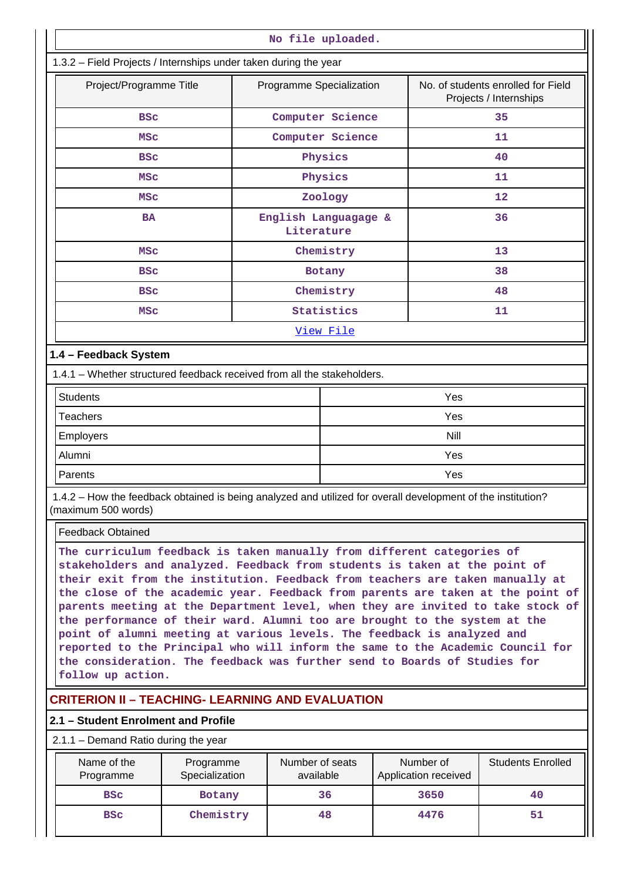| No file uploaded.                                                |                                                                                          |    |  |  |  |
|------------------------------------------------------------------|------------------------------------------------------------------------------------------|----|--|--|--|
| 1.3.2 - Field Projects / Internships under taken during the year |                                                                                          |    |  |  |  |
| Project/Programme Title                                          | Programme Specialization<br>No. of students enrolled for Field<br>Projects / Internships |    |  |  |  |
| <b>BSC</b>                                                       | Computer Science                                                                         | 35 |  |  |  |
| <b>MSC</b>                                                       | Computer Science                                                                         | 11 |  |  |  |
| <b>BSC</b>                                                       | Physics                                                                                  | 40 |  |  |  |
| <b>MSC</b>                                                       | Physics                                                                                  | 11 |  |  |  |
| <b>MSC</b>                                                       | Zoology                                                                                  | 12 |  |  |  |
| <b>BA</b>                                                        | English Languagage &<br>Literature                                                       | 36 |  |  |  |
| <b>MSC</b>                                                       | Chemistry                                                                                | 13 |  |  |  |
| <b>BSC</b>                                                       | Botany                                                                                   | 38 |  |  |  |
| <b>BSC</b>                                                       | Chemistry                                                                                | 48 |  |  |  |
| <b>MSC</b>                                                       | Statistics                                                                               | 11 |  |  |  |
|                                                                  | View File                                                                                |    |  |  |  |
| 1.4 - Feedback System                                            |                                                                                          |    |  |  |  |

1.4.1 – Whether structured feedback received from all the stakeholders.

| <b>Students</b> | Yes  |
|-----------------|------|
| Teachers        | Yes  |
| Employers       | Nill |
| Alumni          | Yes  |
| Parents         | Yes  |

 1.4.2 – How the feedback obtained is being analyzed and utilized for overall development of the institution? (maximum 500 words)

Feedback Obtained

**The curriculum feedback is taken manually from different categories of stakeholders and analyzed. Feedback from students is taken at the point of their exit from the institution. Feedback from teachers are taken manually at the close of the academic year. Feedback from parents are taken at the point of parents meeting at the Department level, when they are invited to take stock of the performance of their ward. Alumni too are brought to the system at the point of alumni meeting at various levels. The feedback is analyzed and reported to the Principal who will inform the same to the Academic Council for the consideration. The feedback was further send to Boards of Studies for follow up action.**

## **CRITERION II – TEACHING- LEARNING AND EVALUATION**

### **2.1 – Student Enrolment and Profile**

### 2.1.1 – Demand Ratio during the year

| Name of the<br>Programme | Programme<br>Specialization | Number of seats<br>available | Number of<br>Application received | <b>Students Enrolled</b> |
|--------------------------|-----------------------------|------------------------------|-----------------------------------|--------------------------|
| <b>BSC</b>               | <b>Botany</b>               | 36                           | 3650                              | 40                       |
| <b>BSC</b>               | Chemistry                   | 48                           | 4476                              | 51                       |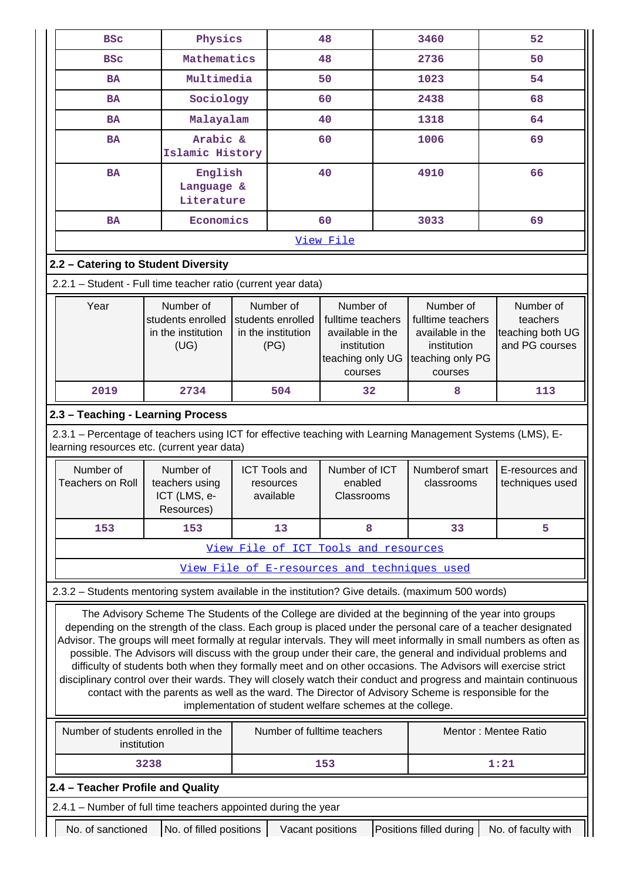| <b>BSC</b>                                                                                                                                                                                                                                                                                                                                                                                                                                                                                                                                                                                                                                                                                                                                                                                                                                                                                                                                                                  | Physics                                                      |                                                                                                                                                                  | 48                                     | 3460                                                                                             | 52                                                          |  |  |
|-----------------------------------------------------------------------------------------------------------------------------------------------------------------------------------------------------------------------------------------------------------------------------------------------------------------------------------------------------------------------------------------------------------------------------------------------------------------------------------------------------------------------------------------------------------------------------------------------------------------------------------------------------------------------------------------------------------------------------------------------------------------------------------------------------------------------------------------------------------------------------------------------------------------------------------------------------------------------------|--------------------------------------------------------------|------------------------------------------------------------------------------------------------------------------------------------------------------------------|----------------------------------------|--------------------------------------------------------------------------------------------------|-------------------------------------------------------------|--|--|
| <b>BSC</b>                                                                                                                                                                                                                                                                                                                                                                                                                                                                                                                                                                                                                                                                                                                                                                                                                                                                                                                                                                  | Mathematics                                                  |                                                                                                                                                                  | 48                                     | 2736                                                                                             | 50                                                          |  |  |
| <b>BA</b>                                                                                                                                                                                                                                                                                                                                                                                                                                                                                                                                                                                                                                                                                                                                                                                                                                                                                                                                                                   | Multimedia                                                   |                                                                                                                                                                  | 50                                     | 1023                                                                                             | 54                                                          |  |  |
| <b>BA</b>                                                                                                                                                                                                                                                                                                                                                                                                                                                                                                                                                                                                                                                                                                                                                                                                                                                                                                                                                                   | Sociology                                                    |                                                                                                                                                                  | 60                                     | 2438                                                                                             | 68                                                          |  |  |
| <b>BA</b>                                                                                                                                                                                                                                                                                                                                                                                                                                                                                                                                                                                                                                                                                                                                                                                                                                                                                                                                                                   | Malayalam                                                    |                                                                                                                                                                  | 40                                     | 1318                                                                                             | 64                                                          |  |  |
| <b>BA</b>                                                                                                                                                                                                                                                                                                                                                                                                                                                                                                                                                                                                                                                                                                                                                                                                                                                                                                                                                                   | Arabic &<br>Islamic History                                  | 60                                                                                                                                                               |                                        | 1006                                                                                             | 69                                                          |  |  |
| <b>BA</b>                                                                                                                                                                                                                                                                                                                                                                                                                                                                                                                                                                                                                                                                                                                                                                                                                                                                                                                                                                   | English<br>Language &<br>Literature                          | 40                                                                                                                                                               |                                        | 4910                                                                                             | 66                                                          |  |  |
| <b>BA</b>                                                                                                                                                                                                                                                                                                                                                                                                                                                                                                                                                                                                                                                                                                                                                                                                                                                                                                                                                                   | Economics                                                    |                                                                                                                                                                  | 60                                     | 3033                                                                                             | 69                                                          |  |  |
|                                                                                                                                                                                                                                                                                                                                                                                                                                                                                                                                                                                                                                                                                                                                                                                                                                                                                                                                                                             |                                                              |                                                                                                                                                                  | View File                              |                                                                                                  |                                                             |  |  |
| 2.2 - Catering to Student Diversity                                                                                                                                                                                                                                                                                                                                                                                                                                                                                                                                                                                                                                                                                                                                                                                                                                                                                                                                         |                                                              |                                                                                                                                                                  |                                        |                                                                                                  |                                                             |  |  |
| 2.2.1 - Student - Full time teacher ratio (current year data)                                                                                                                                                                                                                                                                                                                                                                                                                                                                                                                                                                                                                                                                                                                                                                                                                                                                                                               |                                                              |                                                                                                                                                                  |                                        |                                                                                                  |                                                             |  |  |
| Year                                                                                                                                                                                                                                                                                                                                                                                                                                                                                                                                                                                                                                                                                                                                                                                                                                                                                                                                                                        | Number of<br>students enrolled<br>in the institution<br>(UG) | Number of<br>Number of<br>students enrolled<br>fulltime teachers<br>in the institution<br>available in the<br>institution<br>(PG)<br>teaching only UG<br>courses |                                        | Number of<br>fulltime teachers<br>available in the<br>institution<br>teaching only PG<br>courses | Number of<br>teachers<br>teaching both UG<br>and PG courses |  |  |
| 2019                                                                                                                                                                                                                                                                                                                                                                                                                                                                                                                                                                                                                                                                                                                                                                                                                                                                                                                                                                        | 2734                                                         | 504                                                                                                                                                              | 32                                     | 8                                                                                                | 113                                                         |  |  |
| 2.3 - Teaching - Learning Process                                                                                                                                                                                                                                                                                                                                                                                                                                                                                                                                                                                                                                                                                                                                                                                                                                                                                                                                           |                                                              |                                                                                                                                                                  |                                        |                                                                                                  |                                                             |  |  |
| 2.3.1 - Percentage of teachers using ICT for effective teaching with Learning Management Systems (LMS), E-<br>learning resources etc. (current year data)                                                                                                                                                                                                                                                                                                                                                                                                                                                                                                                                                                                                                                                                                                                                                                                                                   |                                                              |                                                                                                                                                                  |                                        |                                                                                                  |                                                             |  |  |
| Number of<br><b>Teachers on Roll</b>                                                                                                                                                                                                                                                                                                                                                                                                                                                                                                                                                                                                                                                                                                                                                                                                                                                                                                                                        | Number of<br>teachers using<br>ICT (LMS, e-<br>Resources)    | <b>ICT Tools and</b><br>resources<br>available                                                                                                                   | Number of ICT<br>enabled<br>Classrooms | Numberof smart<br>classrooms                                                                     | E-resources and<br>techniques used                          |  |  |
| 153                                                                                                                                                                                                                                                                                                                                                                                                                                                                                                                                                                                                                                                                                                                                                                                                                                                                                                                                                                         | 153                                                          | 13                                                                                                                                                               | 8                                      | 33                                                                                               | 5                                                           |  |  |
|                                                                                                                                                                                                                                                                                                                                                                                                                                                                                                                                                                                                                                                                                                                                                                                                                                                                                                                                                                             |                                                              | View File of ICT Tools and resources                                                                                                                             |                                        |                                                                                                  |                                                             |  |  |
|                                                                                                                                                                                                                                                                                                                                                                                                                                                                                                                                                                                                                                                                                                                                                                                                                                                                                                                                                                             |                                                              | View File of E-resources and techniques used                                                                                                                     |                                        |                                                                                                  |                                                             |  |  |
|                                                                                                                                                                                                                                                                                                                                                                                                                                                                                                                                                                                                                                                                                                                                                                                                                                                                                                                                                                             |                                                              |                                                                                                                                                                  |                                        |                                                                                                  |                                                             |  |  |
| 2.3.2 – Students mentoring system available in the institution? Give details. (maximum 500 words)<br>The Advisory Scheme The Students of the College are divided at the beginning of the year into groups<br>depending on the strength of the class. Each group is placed under the personal care of a teacher designated<br>Advisor. The groups will meet formally at regular intervals. They will meet informally in small numbers as often as<br>possible. The Advisors will discuss with the group under their care, the general and individual problems and<br>difficulty of students both when they formally meet and on other occasions. The Advisors will exercise strict<br>disciplinary control over their wards. They will closely watch their conduct and progress and maintain continuous<br>contact with the parents as well as the ward. The Director of Advisory Scheme is responsible for the<br>implementation of student welfare schemes at the college. |                                                              |                                                                                                                                                                  |                                        |                                                                                                  |                                                             |  |  |
| Number of students enrolled in the<br>institution                                                                                                                                                                                                                                                                                                                                                                                                                                                                                                                                                                                                                                                                                                                                                                                                                                                                                                                           |                                                              | Number of fulltime teachers                                                                                                                                      |                                        |                                                                                                  | Mentor: Mentee Ratio                                        |  |  |
| 3238                                                                                                                                                                                                                                                                                                                                                                                                                                                                                                                                                                                                                                                                                                                                                                                                                                                                                                                                                                        |                                                              |                                                                                                                                                                  | 153<br>1:21                            |                                                                                                  |                                                             |  |  |
|                                                                                                                                                                                                                                                                                                                                                                                                                                                                                                                                                                                                                                                                                                                                                                                                                                                                                                                                                                             |                                                              |                                                                                                                                                                  |                                        |                                                                                                  |                                                             |  |  |
| 2.4 - Teacher Profile and Quality                                                                                                                                                                                                                                                                                                                                                                                                                                                                                                                                                                                                                                                                                                                                                                                                                                                                                                                                           |                                                              |                                                                                                                                                                  |                                        |                                                                                                  |                                                             |  |  |
| 2.4.1 - Number of full time teachers appointed during the year                                                                                                                                                                                                                                                                                                                                                                                                                                                                                                                                                                                                                                                                                                                                                                                                                                                                                                              |                                                              |                                                                                                                                                                  |                                        |                                                                                                  |                                                             |  |  |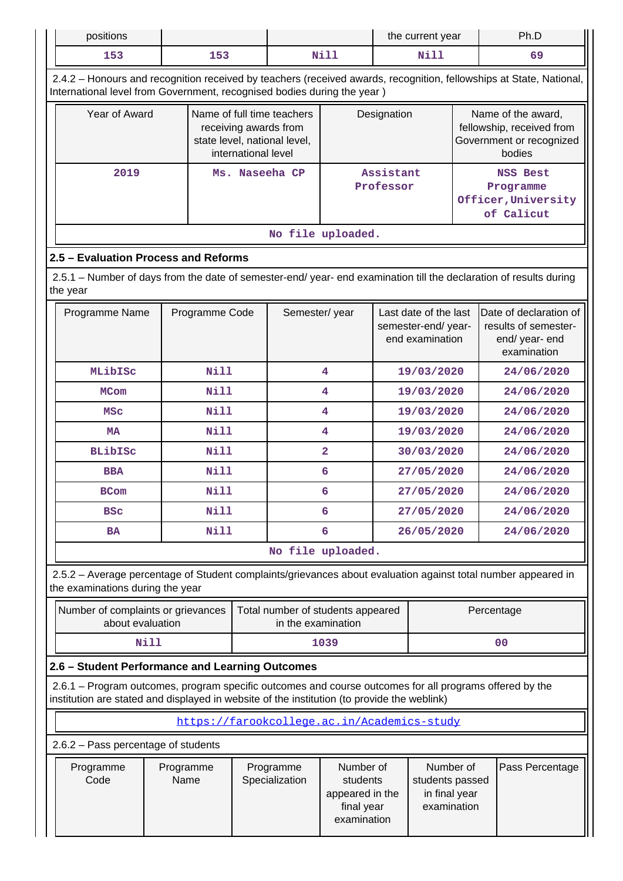| positions                                                                                                                                                                                                                                             |                                                                                                   |                                |                              |                                                                                     |                                                                                 |                                                                   | the current year |  | Ph.D                                                                                                                |  |
|-------------------------------------------------------------------------------------------------------------------------------------------------------------------------------------------------------------------------------------------------------|---------------------------------------------------------------------------------------------------|--------------------------------|------------------------------|-------------------------------------------------------------------------------------|---------------------------------------------------------------------------------|-------------------------------------------------------------------|------------------|--|---------------------------------------------------------------------------------------------------------------------|--|
| 153                                                                                                                                                                                                                                                   |                                                                                                   | 153                            |                              |                                                                                     | Nill                                                                            |                                                                   | Nill             |  | 69                                                                                                                  |  |
| International level from Government, recognised bodies during the year)                                                                                                                                                                               |                                                                                                   |                                |                              |                                                                                     |                                                                                 |                                                                   |                  |  | 2.4.2 - Honours and recognition received by teachers (received awards, recognition, fellowships at State, National, |  |
| Year of Award                                                                                                                                                                                                                                         |                                                                                                   |                                | international level          | Name of full time teachers<br>receiving awards from<br>state level, national level, |                                                                                 |                                                                   | Designation      |  | Name of the award,<br>fellowship, received from<br>Government or recognized<br>bodies                               |  |
| 2019<br>Ms. Naseeha CP                                                                                                                                                                                                                                |                                                                                                   |                                | Assistant<br>Professor       |                                                                                     |                                                                                 | <b>NSS Best</b><br>Programme<br>Officer, University<br>of Calicut |                  |  |                                                                                                                     |  |
|                                                                                                                                                                                                                                                       |                                                                                                   |                                |                              | No file uploaded.                                                                   |                                                                                 |                                                                   |                  |  |                                                                                                                     |  |
| 2.5 - Evaluation Process and Reforms                                                                                                                                                                                                                  |                                                                                                   |                                |                              |                                                                                     |                                                                                 |                                                                   |                  |  |                                                                                                                     |  |
| 2.5.1 – Number of days from the date of semester-end/ year- end examination till the declaration of results during<br>the year                                                                                                                        |                                                                                                   |                                |                              |                                                                                     |                                                                                 |                                                                   |                  |  |                                                                                                                     |  |
| Programme Name                                                                                                                                                                                                                                        | Semester/year<br>Last date of the last<br>Programme Code<br>semester-end/year-<br>end examination |                                |                              |                                                                                     | Date of declaration of<br>results of semester-<br>end/ year- end<br>examination |                                                                   |                  |  |                                                                                                                     |  |
| MLibISc                                                                                                                                                                                                                                               |                                                                                                   | Nill                           |                              |                                                                                     | 4<br>19/03/2020                                                                 |                                                                   |                  |  | 24/06/2020                                                                                                          |  |
| <b>MCom</b>                                                                                                                                                                                                                                           |                                                                                                   | <b>Nill</b><br>4<br>19/03/2020 |                              |                                                                                     | 24/06/2020                                                                      |                                                                   |                  |  |                                                                                                                     |  |
| <b>MSC</b>                                                                                                                                                                                                                                            |                                                                                                   | <b>Nill</b><br>4<br>19/03/2020 |                              |                                                                                     |                                                                                 | 24/06/2020                                                        |                  |  |                                                                                                                     |  |
| <b>MA</b>                                                                                                                                                                                                                                             |                                                                                                   |                                | <b>Nill</b><br>4             |                                                                                     | 19/03/2020                                                                      |                                                                   | 24/06/2020       |  |                                                                                                                     |  |
| <b>BLibISC</b>                                                                                                                                                                                                                                        |                                                                                                   | <b>Nill</b>                    | $\overline{a}$<br>30/03/2020 |                                                                                     |                                                                                 |                                                                   | 24/06/2020       |  |                                                                                                                     |  |
| <b>BBA</b>                                                                                                                                                                                                                                            |                                                                                                   | Nill                           |                              |                                                                                     | 6                                                                               |                                                                   | 27/05/2020       |  | 24/06/2020                                                                                                          |  |
| <b>BCom</b>                                                                                                                                                                                                                                           |                                                                                                   | Nill                           |                              |                                                                                     | 6                                                                               |                                                                   | 27/05/2020       |  | 24/06/2020                                                                                                          |  |
| <b>BSC</b>                                                                                                                                                                                                                                            |                                                                                                   | Nill                           |                              |                                                                                     | 6                                                                               |                                                                   | 27/05/2020       |  | 24/06/2020                                                                                                          |  |
| <b>BA</b>                                                                                                                                                                                                                                             |                                                                                                   | <b>Nill</b>                    |                              |                                                                                     | 6                                                                               |                                                                   | 26/05/2020       |  | 24/06/2020                                                                                                          |  |
|                                                                                                                                                                                                                                                       |                                                                                                   |                                |                              | No file uploaded.                                                                   |                                                                                 |                                                                   |                  |  |                                                                                                                     |  |
| 2.5.2 - Average percentage of Student complaints/grievances about evaluation against total number appeared in<br>the examinations during the year                                                                                                     |                                                                                                   |                                |                              |                                                                                     |                                                                                 |                                                                   |                  |  |                                                                                                                     |  |
| Number of complaints or grievances<br>about evaluation                                                                                                                                                                                                |                                                                                                   |                                |                              | Total number of students appeared<br>in the examination                             |                                                                                 |                                                                   |                  |  | Percentage                                                                                                          |  |
| <b>Nill</b>                                                                                                                                                                                                                                           |                                                                                                   |                                |                              |                                                                                     | 1039                                                                            |                                                                   |                  |  | 00                                                                                                                  |  |
| 2.6 - Student Performance and Learning Outcomes                                                                                                                                                                                                       |                                                                                                   |                                |                              |                                                                                     |                                                                                 |                                                                   |                  |  |                                                                                                                     |  |
| 2.6.1 – Program outcomes, program specific outcomes and course outcomes for all programs offered by the<br>institution are stated and displayed in website of the institution (to provide the weblink)                                                |                                                                                                   |                                |                              |                                                                                     |                                                                                 |                                                                   |                  |  |                                                                                                                     |  |
|                                                                                                                                                                                                                                                       |                                                                                                   |                                |                              | https://farookcollege.ac.in/Academics-study                                         |                                                                                 |                                                                   |                  |  |                                                                                                                     |  |
|                                                                                                                                                                                                                                                       |                                                                                                   |                                |                              |                                                                                     |                                                                                 |                                                                   |                  |  |                                                                                                                     |  |
| 2.6.2 - Pass percentage of students<br>Number of<br>Number of<br>Programme<br>Programme<br>Programme<br>Code<br>Name<br>Specialization<br>students<br>students passed<br>in final year<br>appeared in the<br>examination<br>final year<br>examination |                                                                                                   |                                |                              | Pass Percentage                                                                     |                                                                                 |                                                                   |                  |  |                                                                                                                     |  |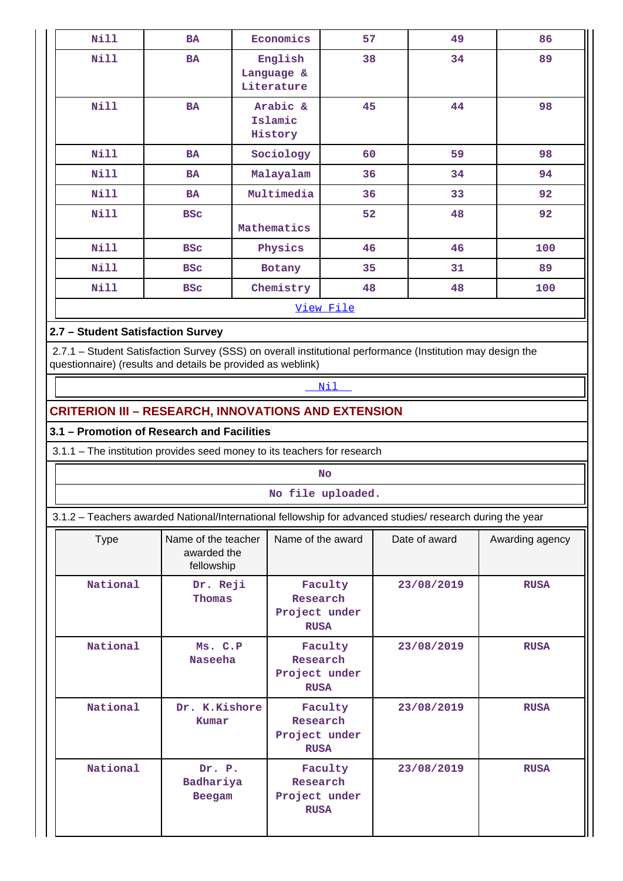| <b>Nill</b> | <b>BA</b>  | Economics                           | 57        | 49 | 86  |
|-------------|------------|-------------------------------------|-----------|----|-----|
| Nill        | <b>BA</b>  | English<br>Language &<br>Literature | 38        | 34 | 89  |
| <b>Nill</b> | <b>BA</b>  | Arabic &<br>Islamic<br>History      | 45        | 44 | 98  |
| Nill        | <b>BA</b>  | Sociology                           | 60        | 59 | 98  |
| Nill        | <b>BA</b>  | Malayalam                           | 36        | 34 | 94  |
| Nill        | <b>BA</b>  | Multimedia                          | 36        | 33 | 92  |
| Nill        | <b>BSC</b> | Mathematics                         | 52        | 48 | 92  |
| Nill        | <b>BSC</b> | Physics                             | 46        | 46 | 100 |
| Nill        | <b>BSC</b> | Botany                              | 35        | 31 | 89  |
| Nill        | <b>BSC</b> | Chemistry                           | 48        | 48 | 100 |
|             |            |                                     | View File |    |     |

## **2.7 – Student Satisfaction Survey**

 2.7.1 – Student Satisfaction Survey (SSS) on overall institutional performance (Institution may design the questionnaire) (results and details be provided as weblink)

## <Nil>

## **CRITERION III – RESEARCH, INNOVATIONS AND EXTENSION**

## **3.1 – Promotion of Research and Facilities**

3.1.1 – The institution provides seed money to its teachers for research

|                                                                                                           | <b>No</b>                                        |                                                     |               |                 |  |  |  |  |  |  |
|-----------------------------------------------------------------------------------------------------------|--------------------------------------------------|-----------------------------------------------------|---------------|-----------------|--|--|--|--|--|--|
| No file uploaded.                                                                                         |                                                  |                                                     |               |                 |  |  |  |  |  |  |
| 3.1.2 - Teachers awarded National/International fellowship for advanced studies/ research during the year |                                                  |                                                     |               |                 |  |  |  |  |  |  |
| <b>Type</b>                                                                                               | Name of the teacher<br>awarded the<br>fellowship | Name of the award                                   | Date of award | Awarding agency |  |  |  |  |  |  |
| National                                                                                                  | Dr. Reji<br>Thomas                               | Faculty<br>Research<br>Project under<br><b>RUSA</b> | 23/08/2019    | <b>RUSA</b>     |  |  |  |  |  |  |
| National                                                                                                  | Ms. C.P<br><b>Naseeha</b>                        | Faculty<br>Research<br>Project under<br><b>RUSA</b> | 23/08/2019    | <b>RUSA</b>     |  |  |  |  |  |  |
| National                                                                                                  | Dr. K.Kishore<br>Kumar                           | Faculty<br>Research<br>Project under<br><b>RUSA</b> | 23/08/2019    | <b>RUSA</b>     |  |  |  |  |  |  |
| National                                                                                                  | Dr. P.<br>Badhariya<br><b>Beegam</b>             | Faculty<br>Research<br>Project under<br><b>RUSA</b> | 23/08/2019    | <b>RUSA</b>     |  |  |  |  |  |  |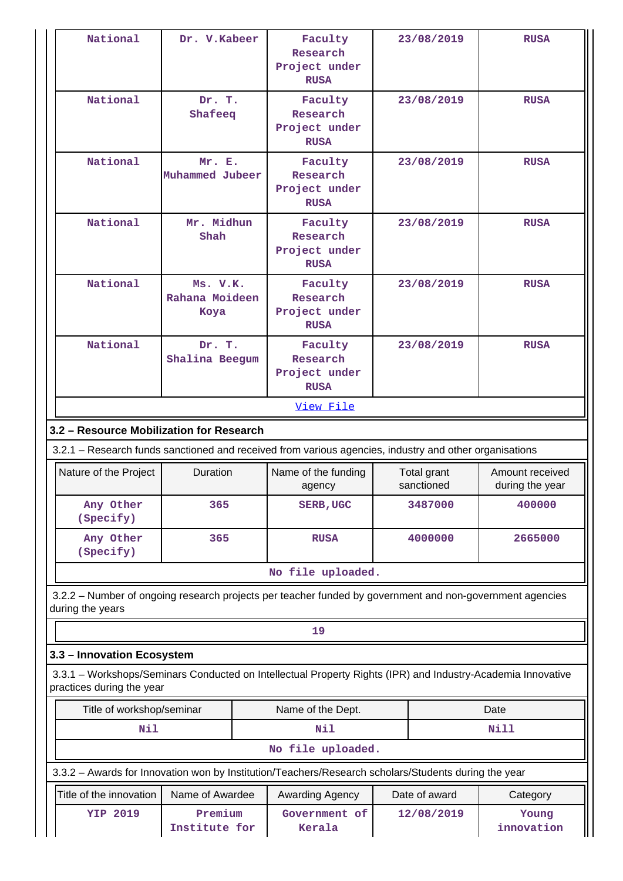| National                                                                                               | Dr. V.Kabeer                                                                                 | Faculty<br>Research<br>Project under<br><b>RUSA</b>                                                         |            | 23/08/2019    | <b>RUSA</b>                        |  |  |  |  |
|--------------------------------------------------------------------------------------------------------|----------------------------------------------------------------------------------------------|-------------------------------------------------------------------------------------------------------------|------------|---------------|------------------------------------|--|--|--|--|
| National                                                                                               | Dr. T.<br>Shafeeq                                                                            | Faculty<br>Research<br>Project under<br><b>RUSA</b>                                                         | 23/08/2019 |               | <b>RUSA</b>                        |  |  |  |  |
| National                                                                                               | Mr. E.<br>Muhammed Jubeer                                                                    | Faculty<br>Research<br>Project under<br><b>RUSA</b>                                                         |            | 23/08/2019    | <b>RUSA</b>                        |  |  |  |  |
| National                                                                                               | Mr. Midhun<br>Shah                                                                           | Faculty<br>Research<br>Project under<br><b>RUSA</b>                                                         |            | 23/08/2019    | <b>RUSA</b>                        |  |  |  |  |
| National                                                                                               | Ms. V.K.<br>Faculty<br>Rahana Moideen<br>Research<br>Project under<br>Koya<br><b>RUSA</b>    |                                                                                                             |            | 23/08/2019    | <b>RUSA</b>                        |  |  |  |  |
| National                                                                                               | Dr. T.<br>Shalina Beegum                                                                     |                                                                                                             |            | 23/08/2019    | <b>RUSA</b>                        |  |  |  |  |
| View File                                                                                              |                                                                                              |                                                                                                             |            |               |                                    |  |  |  |  |
|                                                                                                        | 3.2 - Resource Mobilization for Research                                                     |                                                                                                             |            |               |                                    |  |  |  |  |
| 3.2.1 - Research funds sanctioned and received from various agencies, industry and other organisations |                                                                                              |                                                                                                             |            |               |                                    |  |  |  |  |
|                                                                                                        | <b>Duration</b><br>Nature of the Project<br>Name of the funding<br>Total grant<br>sanctioned |                                                                                                             |            |               |                                    |  |  |  |  |
|                                                                                                        |                                                                                              | agency                                                                                                      |            |               | Amount received<br>during the year |  |  |  |  |
| Any Other<br>(Specify)                                                                                 | 365                                                                                          | <b>SERB, UGC</b>                                                                                            |            | 3487000       | 400000                             |  |  |  |  |
| Any Other<br>(Specify)                                                                                 | 365                                                                                          | <b>RUSA</b>                                                                                                 |            | 4000000       | 2665000                            |  |  |  |  |
|                                                                                                        |                                                                                              | No file uploaded.                                                                                           |            |               |                                    |  |  |  |  |
| during the years                                                                                       |                                                                                              | 3.2.2 - Number of ongoing research projects per teacher funded by government and non-government agencies    |            |               |                                    |  |  |  |  |
|                                                                                                        |                                                                                              | 19                                                                                                          |            |               |                                    |  |  |  |  |
| 3.3 - Innovation Ecosystem                                                                             |                                                                                              |                                                                                                             |            |               |                                    |  |  |  |  |
| practices during the year                                                                              |                                                                                              | 3.3.1 - Workshops/Seminars Conducted on Intellectual Property Rights (IPR) and Industry-Academia Innovative |            |               |                                    |  |  |  |  |
| Title of workshop/seminar                                                                              |                                                                                              | Name of the Dept.                                                                                           |            |               | Date                               |  |  |  |  |
| Nil                                                                                                    |                                                                                              | Nil                                                                                                         |            |               | <b>Nill</b>                        |  |  |  |  |
|                                                                                                        |                                                                                              | No file uploaded.                                                                                           |            |               |                                    |  |  |  |  |
|                                                                                                        |                                                                                              | 3.3.2 - Awards for Innovation won by Institution/Teachers/Research scholars/Students during the year        |            |               |                                    |  |  |  |  |
| Title of the innovation                                                                                | Name of Awardee                                                                              | Awarding Agency                                                                                             |            | Date of award | Category                           |  |  |  |  |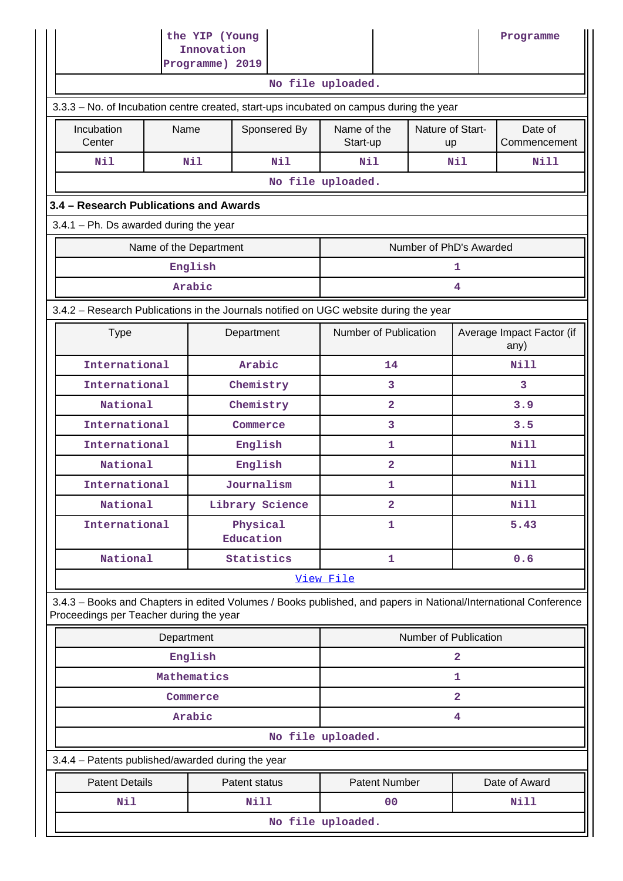|                                                                                                                                                            | the YIP (Young<br>Innovation                      |                 |                       |                       |                         |                      |                        |                                   | Programme     |
|------------------------------------------------------------------------------------------------------------------------------------------------------------|---------------------------------------------------|-----------------|-----------------------|-----------------------|-------------------------|----------------------|------------------------|-----------------------------------|---------------|
|                                                                                                                                                            |                                                   | Programme) 2019 |                       |                       |                         |                      |                        |                                   |               |
|                                                                                                                                                            |                                                   |                 |                       |                       | No file uploaded.       |                      |                        |                                   |               |
| 3.3.3 - No. of Incubation centre created, start-ups incubated on campus during the year                                                                    |                                                   |                 |                       |                       |                         |                      |                        |                                   |               |
| Incubation<br>Center                                                                                                                                       | Name                                              |                 |                       | Sponsered By          | Name of the<br>Start-up |                      | Nature of Start-<br>up | Date of<br>Commencement           |               |
| Nil                                                                                                                                                        |                                                   | Nil             |                       | Nil                   |                         | Nil<br>Nil           |                        |                                   | Nill          |
| No file uploaded.                                                                                                                                          |                                                   |                 |                       |                       |                         |                      |                        |                                   |               |
| 3.4 - Research Publications and Awards                                                                                                                     |                                                   |                 |                       |                       |                         |                      |                        |                                   |               |
| $3.4.1$ – Ph. Ds awarded during the year                                                                                                                   |                                                   |                 |                       |                       |                         |                      |                        |                                   |               |
|                                                                                                                                                            | Number of PhD's Awarded<br>Name of the Department |                 |                       |                       |                         |                      |                        |                                   |               |
|                                                                                                                                                            |                                                   | English         |                       |                       |                         |                      |                        | 1                                 |               |
|                                                                                                                                                            |                                                   | Arabic          |                       |                       |                         |                      |                        | 4                                 |               |
| 3.4.2 - Research Publications in the Journals notified on UGC website during the year                                                                      |                                                   |                 |                       |                       |                         |                      |                        |                                   |               |
| <b>Type</b><br>Department                                                                                                                                  |                                                   |                 |                       | Number of Publication |                         |                      |                        | Average Impact Factor (if<br>any) |               |
| International                                                                                                                                              |                                                   |                 | Arabic                |                       |                         | 14                   |                        |                                   | Nill          |
| International                                                                                                                                              |                                                   |                 | Chemistry             |                       |                         | 3                    |                        | 3                                 |               |
| National                                                                                                                                                   |                                                   |                 | Chemistry             |                       |                         | $\overline{2}$       |                        | 3.9                               |               |
|                                                                                                                                                            | International<br>Commerce                         |                 |                       |                       | 3                       |                      | 3.5                    |                                   |               |
| International                                                                                                                                              |                                                   |                 | English               |                       |                         | 1                    |                        | Nill                              |               |
| National                                                                                                                                                   |                                                   |                 | English               |                       | $\overline{2}$          |                      | Nill                   |                                   |               |
| International                                                                                                                                              |                                                   |                 | Journalism            |                       |                         | 1                    |                        |                                   | <b>Nill</b>   |
| National                                                                                                                                                   |                                                   |                 |                       | Library Science       | $\overline{\mathbf{2}}$ |                      | <b>Nill</b>            |                                   |               |
| International                                                                                                                                              |                                                   |                 | Physical<br>Education |                       |                         | 1                    |                        | 5.43                              |               |
| National                                                                                                                                                   |                                                   |                 | Statistics            |                       | $\mathbf{1}$            |                      |                        | 0.6                               |               |
|                                                                                                                                                            |                                                   |                 |                       |                       | View File               |                      |                        |                                   |               |
| 3.4.3 - Books and Chapters in edited Volumes / Books published, and papers in National/International Conference<br>Proceedings per Teacher during the year |                                                   |                 |                       |                       |                         |                      |                        |                                   |               |
|                                                                                                                                                            | Department                                        |                 |                       |                       |                         |                      | Number of Publication  |                                   |               |
|                                                                                                                                                            |                                                   | English         |                       |                       |                         |                      |                        | $\overline{a}$                    |               |
|                                                                                                                                                            |                                                   | Mathematics     |                       |                       |                         |                      |                        | $\mathbf{1}$                      |               |
|                                                                                                                                                            |                                                   | Commerce        |                       |                       |                         |                      |                        | $\overline{\mathbf{2}}$           |               |
|                                                                                                                                                            |                                                   | Arabic          |                       |                       |                         |                      |                        | 4                                 |               |
|                                                                                                                                                            |                                                   |                 |                       |                       | No file uploaded.       |                      |                        |                                   |               |
| 3.4.4 - Patents published/awarded during the year                                                                                                          |                                                   |                 |                       |                       |                         |                      |                        |                                   |               |
| <b>Patent Details</b>                                                                                                                                      |                                                   |                 | Patent status         |                       |                         | <b>Patent Number</b> |                        |                                   | Date of Award |
| Nil                                                                                                                                                        |                                                   |                 | Nill                  |                       |                         | 00                   |                        |                                   | Nill          |
|                                                                                                                                                            |                                                   |                 |                       |                       | No file uploaded.       |                      |                        |                                   |               |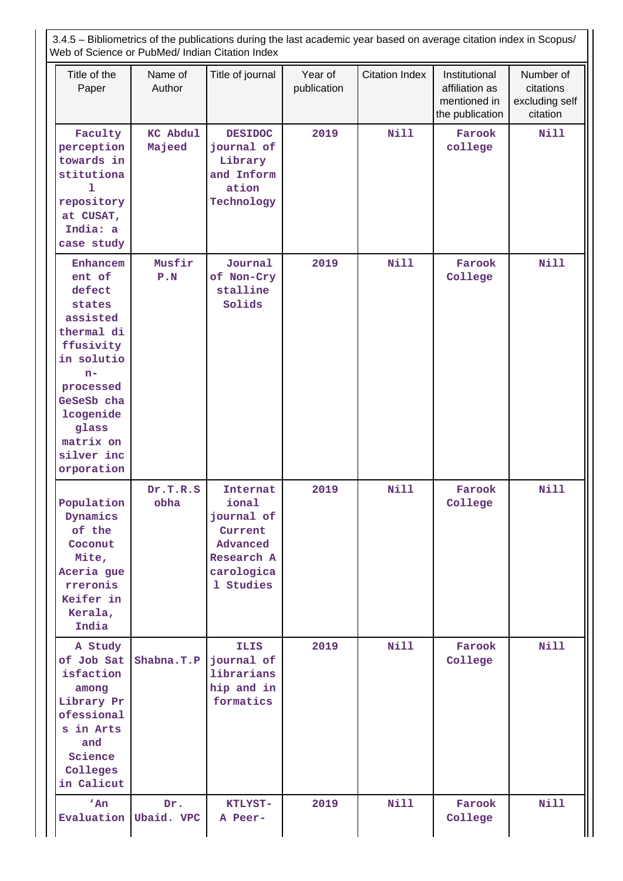3.4.5 – Bibliometrics of the publications during the last academic year based on average citation index in Scopus/ Web of Science or PubMed/ Indian Citation Index Title of the Paper Name of Author Title of journal | Year of publication Citation Index | Institutional affiliation as mentioned in the publication Number of citations excluding self citation  **Faculty perception towards in stitutiona l repository at CUSAT, India: a case study KC Abdul Majeed DESIDOC journal of Library and Inform ation Technology 2019 Nill Farook college Nill**

| India: a<br>case study                                                                                                                                                                        |                   |                                                                                                 |      |             |                   |             |
|-----------------------------------------------------------------------------------------------------------------------------------------------------------------------------------------------|-------------------|-------------------------------------------------------------------------------------------------|------|-------------|-------------------|-------------|
| Enhancem<br>ent of<br>defect<br>states<br>assisted<br>thermal di<br>ffusivity<br>in solutio<br>$n-$<br>processed<br>GeSeSb cha<br>lcogenide<br>glass<br>matrix on<br>silver inc<br>orporation | Musfir<br>P.N     | Journal<br>of Non-Cry<br>stalline<br>Solids                                                     | 2019 | <b>Nill</b> | Farook<br>College | <b>Nill</b> |
| Population<br>Dynamics<br>of the<br>Coconut<br>Mite,<br>Aceria gue<br>rreronis<br>Keifer in<br>Kerala,<br>India                                                                               | Dr.T.R.S<br>obha  | Internat<br>ional<br>journal of<br>Current<br>Advanced<br>Research A<br>carologica<br>1 Studies | 2019 | <b>Nill</b> | Farook<br>College | <b>Nill</b> |
| A Study<br>of Job Sat<br>isfaction<br>among<br>Library Pr<br>ofessional<br>s in Arts<br>and<br>Science<br>Colleges<br>in Calicut                                                              | Shabna.T.P        | <b>ILIS</b><br>journal of<br>librarians<br>hip and in<br>formatics                              | 2019 | <b>Nill</b> | Farook<br>College | <b>Nill</b> |
| 'An<br>Evaluation                                                                                                                                                                             | Dr.<br>Ubaid. VPC | KTLYST-<br>A Peer-                                                                              | 2019 | Nill        | Farook<br>College | Nill        |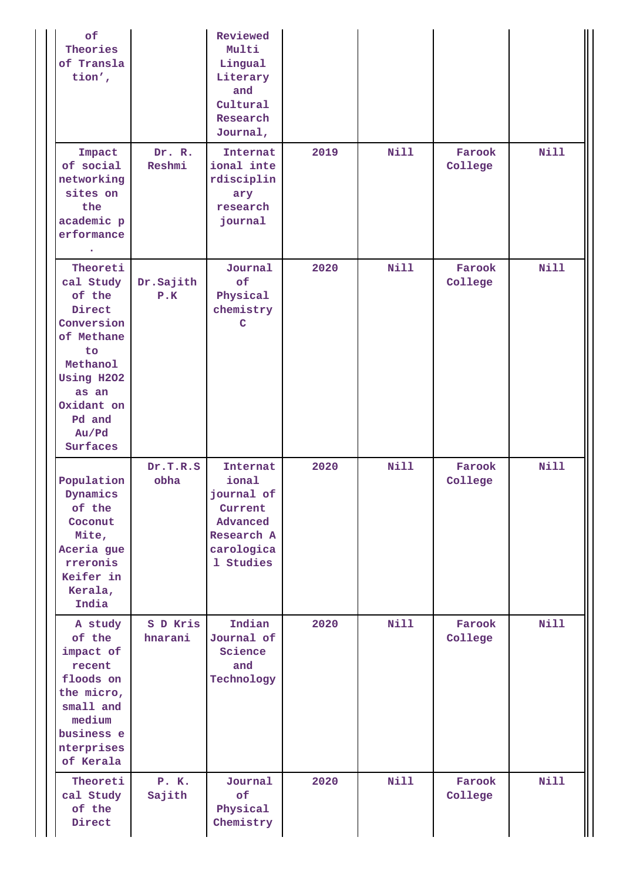| of<br>Theories<br>of Transla<br>tion',                                                                                                                      |                     | Reviewed<br>Multi<br>Lingual<br>Literary<br>and<br>Cultural<br>Research<br>Journal,             |      |             |                   |             |
|-------------------------------------------------------------------------------------------------------------------------------------------------------------|---------------------|-------------------------------------------------------------------------------------------------|------|-------------|-------------------|-------------|
| Impact<br>of social<br>networking<br>sites on<br>the<br>academic p<br>erformance                                                                            | Dr. R.<br>Reshmi    | Internat<br>ional inte<br>rdisciplin<br>ary<br>research<br>journal                              | 2019 | <b>Nill</b> | Farook<br>College | <b>Nill</b> |
| Theoreti<br>cal Study<br>of the<br>Direct<br>Conversion<br>of Methane<br>to<br>Methanol<br>Using H2O2<br>as an<br>Oxidant on<br>Pd and<br>Au/Pd<br>Surfaces | Dr.Sajith<br>P.K    | Journal<br>of<br>Physical<br>chemistry<br>C                                                     | 2020 | <b>Nill</b> | Farook<br>College | Nill        |
| Population<br>Dynamics<br>of the<br>Coconut<br>Mite,<br>Aceria gue<br>rreronis<br>Keifer in<br>Kerala,<br>India                                             | Dr.T.R.S<br>obha    | Internat<br>ional<br>journal of<br>Current<br>Advanced<br>Research A<br>carologica<br>1 Studies | 2020 | Nill        | Farook<br>College | <b>Nill</b> |
| A study<br>of the<br>impact of<br>recent<br>floods on<br>the micro,<br>small and<br>medium<br>business e<br>nterprises<br>of Kerala                         | S D Kris<br>hnarani | Indian<br>Journal of<br>Science<br>and<br>Technology                                            | 2020 | Nill        | Farook<br>College | <b>Nill</b> |
| Theoreti<br>cal Study<br>of the<br>Direct                                                                                                                   | P. K.<br>Sajith     | Journal<br>of<br>Physical<br>Chemistry                                                          | 2020 | <b>Nill</b> | Farook<br>College | <b>Nill</b> |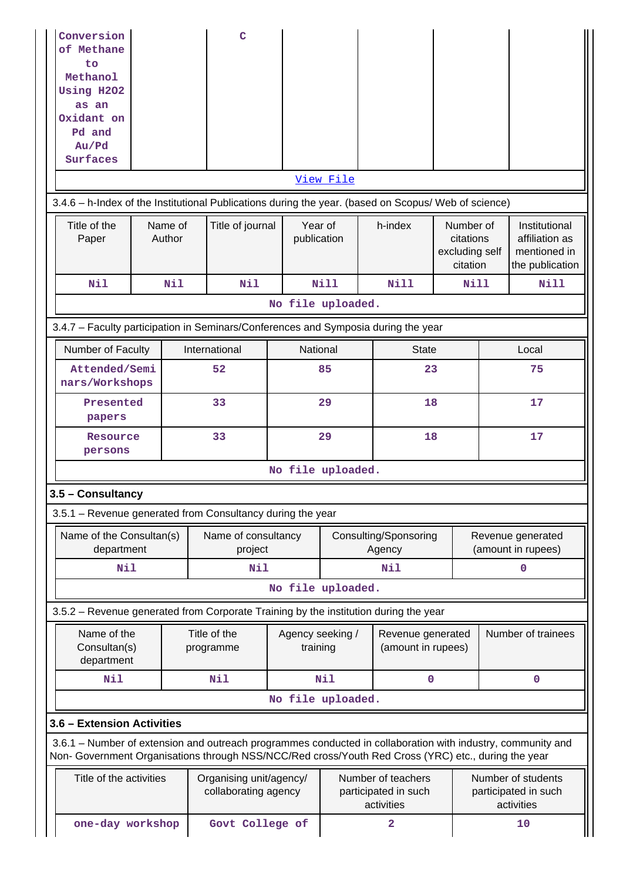| Conversion<br>of Methane<br>to<br>Methanol<br>Using H2O2<br>as an<br>Oxidant on<br>Pd and<br>Au/Pd<br>Surfaces                                                                                                     |                   | $\mathbf C$                                     |                                 | View File |                                                          |                                                      |                                         |                                                                    |
|--------------------------------------------------------------------------------------------------------------------------------------------------------------------------------------------------------------------|-------------------|-------------------------------------------------|---------------------------------|-----------|----------------------------------------------------------|------------------------------------------------------|-----------------------------------------|--------------------------------------------------------------------|
| 3.4.6 - h-Index of the Institutional Publications during the year. (based on Scopus/ Web of science)                                                                                                               |                   |                                                 |                                 |           |                                                          |                                                      |                                         |                                                                    |
| Title of the<br>Paper                                                                                                                                                                                              | Name of<br>Author | Title of journal                                | Year of<br>publication          |           | h-index                                                  | Number of<br>citations<br>excluding self<br>citation |                                         | Institutional<br>affiliation as<br>mentioned in<br>the publication |
| Nil                                                                                                                                                                                                                | Nil               | Nil                                             |                                 | Nill      | <b>Nill</b>                                              | Nill                                                 |                                         | <b>Nill</b>                                                        |
|                                                                                                                                                                                                                    |                   |                                                 | No file uploaded.               |           |                                                          |                                                      |                                         |                                                                    |
| 3.4.7 - Faculty participation in Seminars/Conferences and Symposia during the year                                                                                                                                 |                   |                                                 |                                 |           |                                                          |                                                      |                                         |                                                                    |
| Number of Faculty                                                                                                                                                                                                  |                   | International                                   | National                        |           | <b>State</b>                                             |                                                      |                                         | Local                                                              |
| Attended/Semi<br>nars/Workshops                                                                                                                                                                                    |                   | 52                                              | 85                              |           |                                                          | 23                                                   |                                         | 75                                                                 |
| Presented<br>papers                                                                                                                                                                                                |                   | 33                                              |                                 | 29        | 18                                                       |                                                      | 17                                      |                                                                    |
| Resource<br>persons                                                                                                                                                                                                |                   | 33                                              |                                 | 29        | 18                                                       |                                                      | 17                                      |                                                                    |
|                                                                                                                                                                                                                    |                   |                                                 | No file uploaded.               |           |                                                          |                                                      |                                         |                                                                    |
| 3.5 - Consultancy                                                                                                                                                                                                  |                   |                                                 |                                 |           |                                                          |                                                      |                                         |                                                                    |
| 3.5.1 - Revenue generated from Consultancy during the year                                                                                                                                                         |                   |                                                 |                                 |           |                                                          |                                                      |                                         |                                                                    |
| Name of the Consultan(s)<br>department                                                                                                                                                                             |                   | Name of consultancy<br>project                  | Consulting/Sponsoring<br>Agency |           |                                                          |                                                      | Revenue generated<br>(amount in rupees) |                                                                    |
| Nil                                                                                                                                                                                                                |                   | Nil                                             |                                 |           | Nil                                                      |                                                      |                                         | 0                                                                  |
|                                                                                                                                                                                                                    |                   |                                                 | No file uploaded.               |           |                                                          |                                                      |                                         |                                                                    |
| 3.5.2 – Revenue generated from Corporate Training by the institution during the year                                                                                                                               |                   |                                                 |                                 |           |                                                          |                                                      |                                         |                                                                    |
| Name of the<br>Consultan(s)<br>department                                                                                                                                                                          |                   | Title of the<br>programme                       | Agency seeking /<br>training    |           | Revenue generated<br>(amount in rupees)                  |                                                      |                                         | Number of trainees                                                 |
| <b>Nil</b>                                                                                                                                                                                                         |                   | Nil                                             |                                 | Nil       | $\mathbf 0$                                              |                                                      |                                         | $\mathbf 0$                                                        |
|                                                                                                                                                                                                                    |                   |                                                 | No file uploaded.               |           |                                                          |                                                      |                                         |                                                                    |
| 3.6 - Extension Activities                                                                                                                                                                                         |                   |                                                 |                                 |           |                                                          |                                                      |                                         |                                                                    |
| 3.6.1 – Number of extension and outreach programmes conducted in collaboration with industry, community and<br>Non- Government Organisations through NSS/NCC/Red cross/Youth Red Cross (YRC) etc., during the year |                   |                                                 |                                 |           |                                                          |                                                      |                                         |                                                                    |
| Title of the activities                                                                                                                                                                                            |                   | Organising unit/agency/<br>collaborating agency |                                 |           | Number of teachers<br>participated in such<br>activities |                                                      |                                         | Number of students<br>participated in such<br>activities           |
| one-day workshop                                                                                                                                                                                                   |                   | Govt College of                                 |                                 |           | $\mathbf{2}$                                             |                                                      |                                         | 10                                                                 |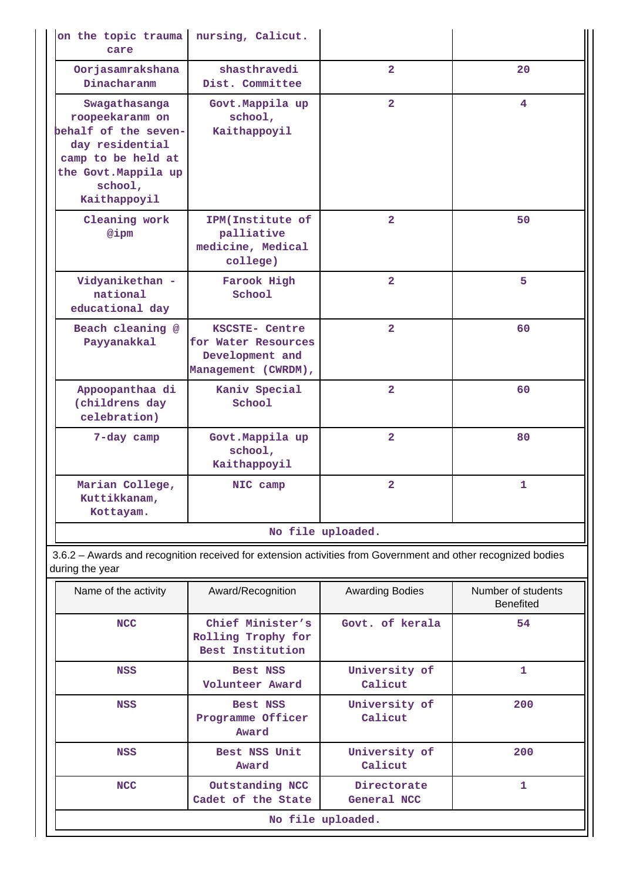| on the topic trauma<br>care                                                                                                                          | nursing, Calicut.                                                               |                   |    |
|------------------------------------------------------------------------------------------------------------------------------------------------------|---------------------------------------------------------------------------------|-------------------|----|
| Oorjasamrakshana<br>Dinacharanm                                                                                                                      | shasthravedi<br>Dist. Committee                                                 | $\overline{2}$    | 20 |
| Swagathasanga<br>roopeekaranm on<br>behalf of the seven-<br>day residential<br>camp to be held at<br>the Govt. Mappila up<br>school,<br>Kaithappoyil | Govt. Mappila up<br>school,<br>Kaithappoyil                                     | $\mathbf{2}$      | 4  |
| Cleaning work<br>@ipm                                                                                                                                | IPM(Institute of<br>palliative<br>medicine, Medical<br>college)                 | $\overline{2}$    | 50 |
| Vidyanikethan -<br>national<br>educational day                                                                                                       | Farook High<br>School                                                           | $\mathbf{2}$      | 5  |
| Beach cleaning @<br>Payyanakkal                                                                                                                      | KSCSTE- Centre<br>for Water Resources<br>Development and<br>Management (CWRDM), | $\overline{2}$    | 60 |
| Appoopanthaa di<br>(childrens day<br>celebration)                                                                                                    | Kaniv Special<br>School                                                         | $\overline{2}$    | 60 |
| 7-day camp                                                                                                                                           | Govt. Mappila up<br>school,<br>Kaithappoyil                                     | $\overline{2}$    | 80 |
| Marian College,<br>Kuttikkanam,<br>Kottayam.                                                                                                         | NIC camp                                                                        | $\overline{2}$    | 1  |
|                                                                                                                                                      |                                                                                 | No file uploaded. |    |

 3.6.2 – Awards and recognition received for extension activities from Government and other recognized bodies during the year

| Name of the activity | Award/Recognition                                          | <b>Awarding Bodies</b>     | Number of students<br><b>Benefited</b> |  |  |  |  |
|----------------------|------------------------------------------------------------|----------------------------|----------------------------------------|--|--|--|--|
| <b>NCC</b>           | Chief Minister's<br>Rolling Trophy for<br>Best Institution | Govt. of kerala            | 54                                     |  |  |  |  |
| <b>NSS</b>           | Best NSS<br>Volunteer Award                                | University of<br>Calicut   | 1                                      |  |  |  |  |
| <b>NSS</b>           | Best NSS<br>Programme Officer<br>Award                     | University of<br>Calicut   | 200                                    |  |  |  |  |
| <b>NSS</b>           | Best NSS Unit<br>Award                                     | University of<br>Calicut   | 200                                    |  |  |  |  |
| <b>NCC</b>           | Outstanding NCC<br>Cadet of the State                      | Directorate<br>General NCC | 1                                      |  |  |  |  |
|                      | No file uploaded.                                          |                            |                                        |  |  |  |  |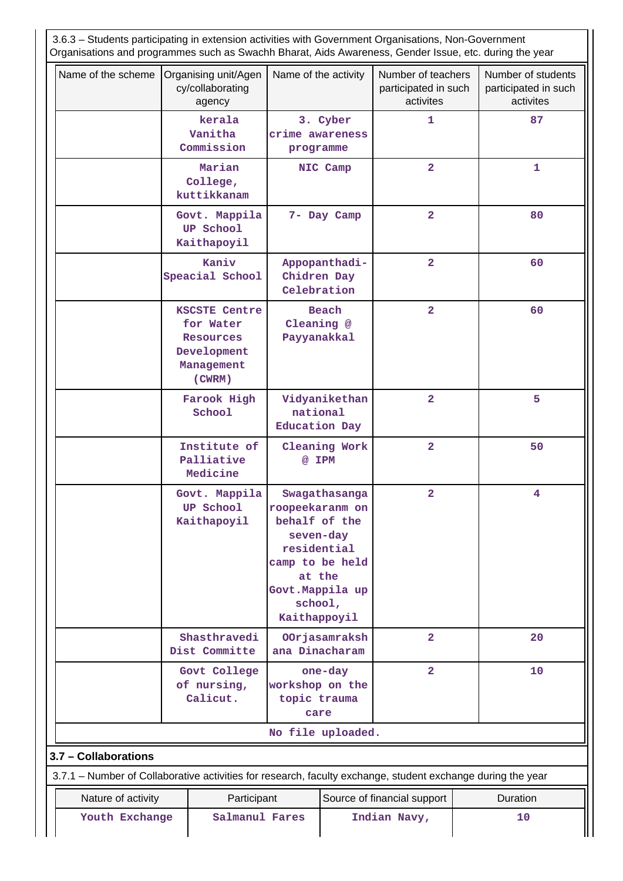| 3.6.3 - Students participating in extension activities with Government Organisations, Non-Government<br>Organisations and programmes such as Swachh Bharat, Aids Awareness, Gender Issue, etc. during the year |                                                                                              |                                                                                                                                                           |                                                   |                                                         |  |                                                         |  |
|----------------------------------------------------------------------------------------------------------------------------------------------------------------------------------------------------------------|----------------------------------------------------------------------------------------------|-----------------------------------------------------------------------------------------------------------------------------------------------------------|---------------------------------------------------|---------------------------------------------------------|--|---------------------------------------------------------|--|
| Name of the scheme                                                                                                                                                                                             | Organising unit/Agen<br>cy/collaborating<br>agency                                           | Name of the activity                                                                                                                                      |                                                   | Number of teachers<br>participated in such<br>activites |  | Number of students<br>participated in such<br>activites |  |
|                                                                                                                                                                                                                | kerala<br>Vanitha<br>Commission                                                              | crime awareness<br>programme                                                                                                                              | 3. Cyber                                          | 1                                                       |  | 87                                                      |  |
|                                                                                                                                                                                                                | Marian<br>College,<br>kuttikkanam                                                            |                                                                                                                                                           | NIC Camp                                          | $\overline{\mathbf{2}}$                                 |  | 1                                                       |  |
|                                                                                                                                                                                                                | Govt. Mappila<br><b>UP School</b><br>Kaithapoyil                                             |                                                                                                                                                           | 7- Day Camp                                       | $\overline{\mathbf{2}}$                                 |  | 80                                                      |  |
|                                                                                                                                                                                                                | Kaniv<br>Speacial School                                                                     | Appopanthadi-<br>Chidren Day<br>Celebration                                                                                                               |                                                   | $\overline{2}$                                          |  | 60                                                      |  |
|                                                                                                                                                                                                                | <b>KSCSTE Centre</b><br>for Water<br><b>Resources</b><br>Development<br>Management<br>(CWRM) | Cleaning @<br>Payyanakkal                                                                                                                                 | <b>Beach</b>                                      | $\overline{\mathbf{2}}$                                 |  | 60                                                      |  |
|                                                                                                                                                                                                                | Farook High<br>School                                                                        |                                                                                                                                                           | Vidyanikethan<br>national<br><b>Education Day</b> | $\overline{2}$                                          |  | 5                                                       |  |
|                                                                                                                                                                                                                | Institute of<br>Palliative<br>Medicine                                                       | @ IPM                                                                                                                                                     | Cleaning Work                                     | $\overline{2}$                                          |  | 50                                                      |  |
|                                                                                                                                                                                                                | Govt. Mappila<br><b>UP School</b><br>Kaithapoyil                                             | Swagathasanga<br>roopeekaranm on<br>behalf of the<br>seven-day<br>residential<br>camp to be held<br>at the<br>Govt. Mappila up<br>school,<br>Kaithappoyil |                                                   | $\mathbf{2}$                                            |  | 4                                                       |  |
|                                                                                                                                                                                                                | Shasthravedi<br>Dist Committe                                                                | ana Dinacharam                                                                                                                                            | OOrjasamraksh                                     | $\overline{2}$                                          |  | 20                                                      |  |
|                                                                                                                                                                                                                | Govt College<br>of nursing,<br>Calicut.                                                      | one-day<br>workshop on the<br>topic trauma<br>care                                                                                                        |                                                   | $\overline{2}$                                          |  | 10                                                      |  |
|                                                                                                                                                                                                                |                                                                                              | No file uploaded.                                                                                                                                         |                                                   |                                                         |  |                                                         |  |
| 3.7 - Collaborations                                                                                                                                                                                           |                                                                                              |                                                                                                                                                           |                                                   |                                                         |  |                                                         |  |
| 3.7.1 – Number of Collaborative activities for research, faculty exchange, student exchange during the year                                                                                                    |                                                                                              |                                                                                                                                                           |                                                   |                                                         |  |                                                         |  |
| Nature of activity                                                                                                                                                                                             | Participant                                                                                  |                                                                                                                                                           |                                                   | Source of financial support                             |  | Duration                                                |  |
|                                                                                                                                                                                                                | Youth Exchange<br>Salmanul Fares<br>Indian Navy,                                             |                                                                                                                                                           |                                                   |                                                         |  | 10                                                      |  |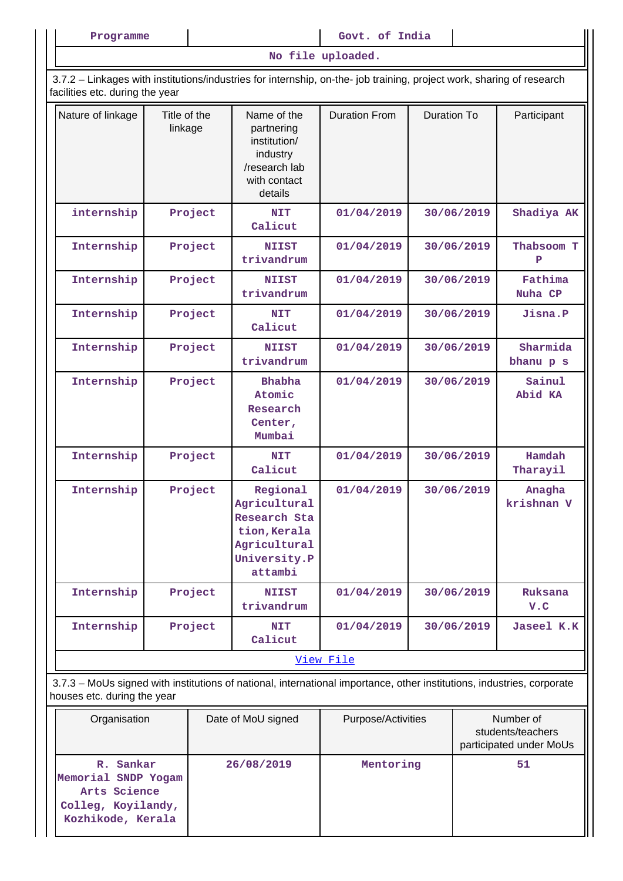Programme **and Covered Allen Executes** and Govt. of India

**No file uploaded.**

 3.7.2 – Linkages with institutions/industries for internship, on-the- job training, project work, sharing of research facilities etc. during the year

| Nature of linkage | Title of the<br>linkage | Name of the<br>partnering<br>institution/<br>industry<br>/research lab<br>with contact<br>details   | <b>Duration From</b> | <b>Duration To</b> | Participant           |  |  |  |  |
|-------------------|-------------------------|-----------------------------------------------------------------------------------------------------|----------------------|--------------------|-----------------------|--|--|--|--|
| internship        | Project                 | <b>NIT</b><br>Calicut                                                                               | 01/04/2019           | 30/06/2019         | Shadiya AK            |  |  |  |  |
| Internship        | Project                 | <b>NIIST</b><br>trivandrum                                                                          | 01/04/2019           | 30/06/2019         | Thabsoom T<br>P       |  |  |  |  |
| Internship        | Project                 | <b>NIIST</b><br>trivandrum                                                                          | 01/04/2019           | 30/06/2019         | Fathima<br>Nuha CP    |  |  |  |  |
| Internship        | Project                 | <b>NIT</b><br>Calicut                                                                               | 01/04/2019           | 30/06/2019         | Jisna.P               |  |  |  |  |
| Internship        | Project                 | <b>NIIST</b><br>trivandrum                                                                          | 01/04/2019           | 30/06/2019         | Sharmida<br>bhanu p s |  |  |  |  |
| Internship        | Project                 | <b>Bhabha</b><br>Atomic<br>Research<br>Center,<br>Mumbai                                            | 01/04/2019           | 30/06/2019         | Sainul<br>Abid KA     |  |  |  |  |
| Internship        | Project                 | <b>NIT</b><br>Calicut                                                                               | 01/04/2019           | 30/06/2019         | Hamdah<br>Tharayil    |  |  |  |  |
| Internship        | Project                 | Regional<br>Agricultural<br>Research Sta<br>tion, Kerala<br>Agricultural<br>University.P<br>attambi | 01/04/2019           | 30/06/2019         | Anagha<br>krishnan V  |  |  |  |  |
| Internship        | Project                 | <b>NIIST</b><br>trivandrum                                                                          | 01/04/2019           | 30/06/2019         | Ruksana<br>V.C        |  |  |  |  |
| Internship        | Project                 | <b>NIT</b><br>Calicut                                                                               | 01/04/2019           | 30/06/2019         | Jaseel K.K            |  |  |  |  |
|                   | View File               |                                                                                                     |                      |                    |                       |  |  |  |  |

 3.7.3 – MoUs signed with institutions of national, international importance, other institutions, industries, corporate houses etc. during the year

| Organisation                                                                                | Date of MoU signed | Purpose/Activities | Number of<br>students/teachers<br>participated under MoUs |
|---------------------------------------------------------------------------------------------|--------------------|--------------------|-----------------------------------------------------------|
| R. Sankar<br>Memorial SNDP Yogam<br>Arts Science<br>Colleg, Koyilandy,<br>Kozhikode, Kerala | 26/08/2019         | Mentoring          | 51                                                        |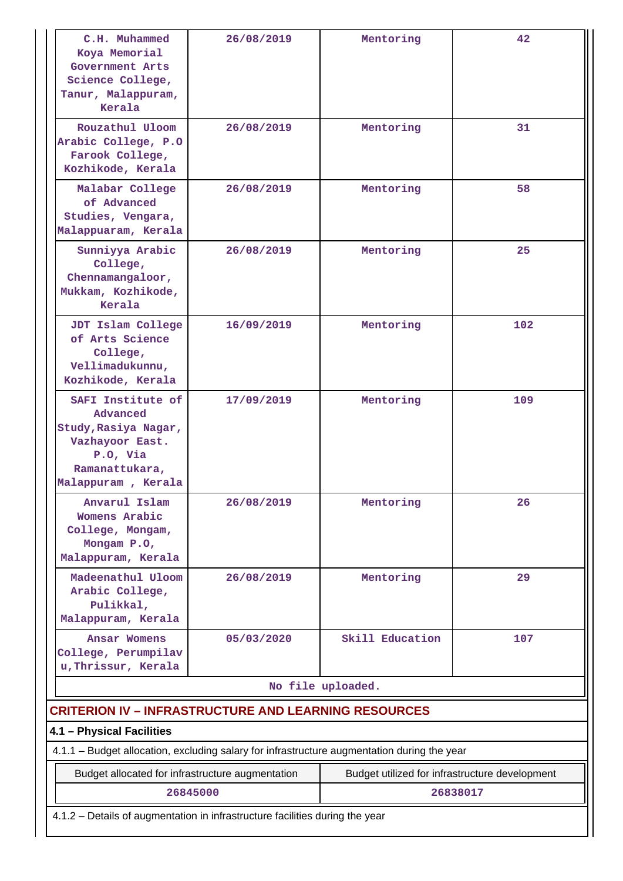| C.H. Muhammed<br>Koya Memorial<br>Government Arts<br>Science College,<br>Tanur, Malappuram,<br>Kerala                        | 26/08/2019                                       | Mentoring                                      | 42       |  |  |
|------------------------------------------------------------------------------------------------------------------------------|--------------------------------------------------|------------------------------------------------|----------|--|--|
| Rouzathul Uloom<br>Arabic College, P.O<br>Farook College,<br>Kozhikode, Kerala                                               | 26/08/2019                                       | Mentoring                                      | 31       |  |  |
| Malabar College<br>of Advanced<br>Studies, Vengara,<br>Malappuaram, Kerala                                                   | 26/08/2019                                       | Mentoring                                      | 58       |  |  |
| Sunniyya Arabic<br>College,<br>Chennamangaloor,<br>Mukkam, Kozhikode,<br>Kerala                                              | 26/08/2019                                       | Mentoring                                      | 25       |  |  |
| JDT Islam College<br>of Arts Science<br>College,<br>Vellimadukunnu,<br>Kozhikode, Kerala                                     | 16/09/2019                                       | Mentoring                                      | 102      |  |  |
| SAFI Institute of<br>Advanced<br>Study, Rasiya Nagar,<br>Vazhayoor East.<br>P.O, Via<br>Ramanattukara,<br>Malappuram, Kerala | 17/09/2019                                       | Mentoring                                      | 109      |  |  |
| Anvarul Islam<br>Womens Arabic<br>College, Mongam,<br>Mongam P.O,<br>Malappuram, Kerala                                      | 26/08/2019                                       | Mentoring                                      | 26       |  |  |
| Madeenathul Uloom<br>Arabic College,<br>Pulikkal,<br>Malappuram, Kerala                                                      | 26/08/2019                                       | Mentoring                                      | 29       |  |  |
| Ansar Womens<br>College, Perumpilav<br>u, Thrissur, Kerala                                                                   | 05/03/2020                                       | Skill Education                                | 107      |  |  |
|                                                                                                                              |                                                  | No file uploaded.                              |          |  |  |
| <b>CRITERION IV - INFRASTRUCTURE AND LEARNING RESOURCES</b>                                                                  |                                                  |                                                |          |  |  |
| 4.1 - Physical Facilities<br>4.1.1 - Budget allocation, excluding salary for infrastructure augmentation during the year     |                                                  |                                                |          |  |  |
|                                                                                                                              | Budget allocated for infrastructure augmentation | Budget utilized for infrastructure development |          |  |  |
|                                                                                                                              | 26845000                                         |                                                | 26838017 |  |  |
| 4.1.2 - Details of augmentation in infrastructure facilities during the year                                                 |                                                  |                                                |          |  |  |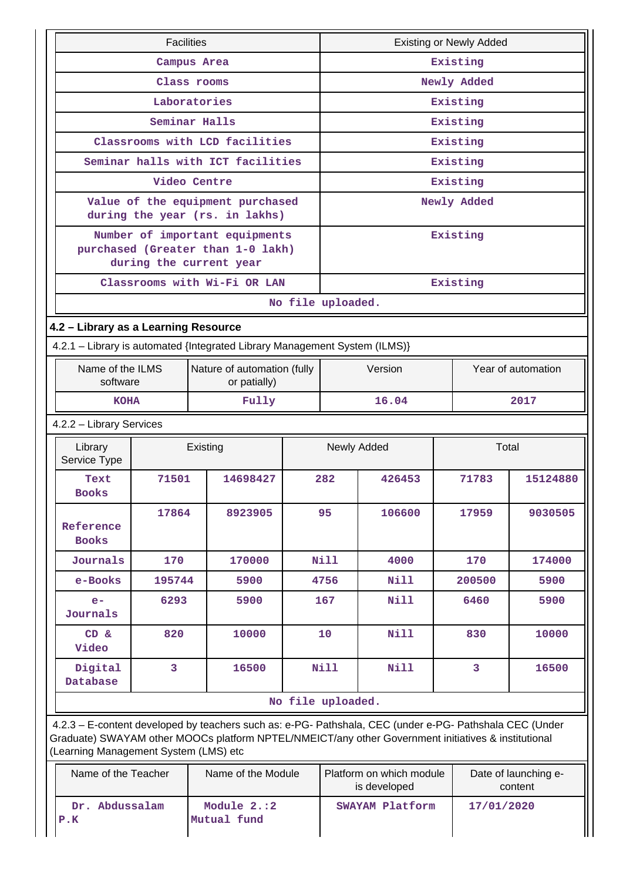| <b>Facilities</b>                                                                                                                                                                                                                                       |                                                                             |  |                                                                                                |          | <b>Existing or Newly Added</b>                                              |             |             |          |  |
|---------------------------------------------------------------------------------------------------------------------------------------------------------------------------------------------------------------------------------------------------------|-----------------------------------------------------------------------------|--|------------------------------------------------------------------------------------------------|----------|-----------------------------------------------------------------------------|-------------|-------------|----------|--|
|                                                                                                                                                                                                                                                         | Campus Area                                                                 |  |                                                                                                | Existing |                                                                             |             |             |          |  |
| Class rooms                                                                                                                                                                                                                                             |                                                                             |  |                                                                                                |          |                                                                             | Newly Added |             |          |  |
|                                                                                                                                                                                                                                                         | Laboratories                                                                |  |                                                                                                |          |                                                                             |             | Existing    |          |  |
|                                                                                                                                                                                                                                                         | Seminar Halls                                                               |  |                                                                                                |          |                                                                             |             | Existing    |          |  |
|                                                                                                                                                                                                                                                         |                                                                             |  | Classrooms with LCD facilities                                                                 |          |                                                                             |             | Existing    |          |  |
|                                                                                                                                                                                                                                                         |                                                                             |  | Seminar halls with ICT facilities                                                              |          |                                                                             |             | Existing    |          |  |
|                                                                                                                                                                                                                                                         | Video Centre                                                                |  |                                                                                                |          |                                                                             |             | Existing    |          |  |
|                                                                                                                                                                                                                                                         |                                                                             |  | Value of the equipment purchased<br>during the year (rs. in lakhs)                             |          |                                                                             |             | Newly Added |          |  |
|                                                                                                                                                                                                                                                         |                                                                             |  | Number of important equipments<br>purchased (Greater than 1-0 lakh)<br>during the current year |          |                                                                             |             | Existing    |          |  |
|                                                                                                                                                                                                                                                         |                                                                             |  | Classrooms with Wi-Fi OR LAN                                                                   |          |                                                                             |             | Existing    |          |  |
|                                                                                                                                                                                                                                                         |                                                                             |  |                                                                                                |          | No file uploaded.                                                           |             |             |          |  |
| 4.2 - Library as a Learning Resource                                                                                                                                                                                                                    |                                                                             |  |                                                                                                |          |                                                                             |             |             |          |  |
|                                                                                                                                                                                                                                                         |                                                                             |  | 4.2.1 - Library is automated {Integrated Library Management System (ILMS)}                     |          |                                                                             |             |             |          |  |
|                                                                                                                                                                                                                                                         | Name of the ILMS<br>Nature of automation (fully<br>software<br>or patially) |  |                                                                                                |          | Year of automation<br>Version                                               |             |             |          |  |
| <b>KOHA</b>                                                                                                                                                                                                                                             |                                                                             |  | Fully                                                                                          |          | 16.04<br>2017                                                               |             |             |          |  |
| 4.2.2 - Library Services                                                                                                                                                                                                                                |                                                                             |  |                                                                                                |          |                                                                             |             |             |          |  |
| Library<br>Service Type                                                                                                                                                                                                                                 |                                                                             |  | Existing                                                                                       |          | Total<br>Newly Added                                                        |             |             |          |  |
| Text<br><b>Books</b>                                                                                                                                                                                                                                    | 71501                                                                       |  | 14698427                                                                                       |          | 282                                                                         | 426453      | 71783       | 15124880 |  |
| Reference<br><b>Books</b>                                                                                                                                                                                                                               | 17864                                                                       |  | 8923905                                                                                        |          | 95                                                                          | 106600      | 17959       | 9030505  |  |
| Journals                                                                                                                                                                                                                                                | 170                                                                         |  | 170000                                                                                         |          | Nill                                                                        | 4000        | 170         | 174000   |  |
| e-Books                                                                                                                                                                                                                                                 | 195744                                                                      |  | 5900                                                                                           |          | 4756                                                                        | <b>Nill</b> | 200500      | 5900     |  |
| $e-$<br>Journals                                                                                                                                                                                                                                        | 6293                                                                        |  | 5900                                                                                           |          | 167                                                                         | <b>Nill</b> | 6460        | 5900     |  |
| CD &<br>Video                                                                                                                                                                                                                                           | 820                                                                         |  | 10000                                                                                          |          | 10                                                                          | <b>Nill</b> | 830         | 10000    |  |
| Digital<br>Database                                                                                                                                                                                                                                     | 3                                                                           |  | 16500                                                                                          |          | <b>Nill</b>                                                                 | <b>Nill</b> | 3           | 16500    |  |
|                                                                                                                                                                                                                                                         |                                                                             |  |                                                                                                |          | No file uploaded.                                                           |             |             |          |  |
| 4.2.3 - E-content developed by teachers such as: e-PG- Pathshala, CEC (under e-PG- Pathshala CEC (Under<br>Graduate) SWAYAM other MOOCs platform NPTEL/NMEICT/any other Government initiatives & institutional<br>(Learning Management System (LMS) etc |                                                                             |  |                                                                                                |          |                                                                             |             |             |          |  |
| Name of the Teacher                                                                                                                                                                                                                                     |                                                                             |  | Name of the Module                                                                             |          | Platform on which module<br>Date of launching e-<br>is developed<br>content |             |             |          |  |

 **Dr. Abdussalam**

 **Module 2.:2 Mutual fund**

 **SWAYAM Platform 17/01/2020**

**P.K**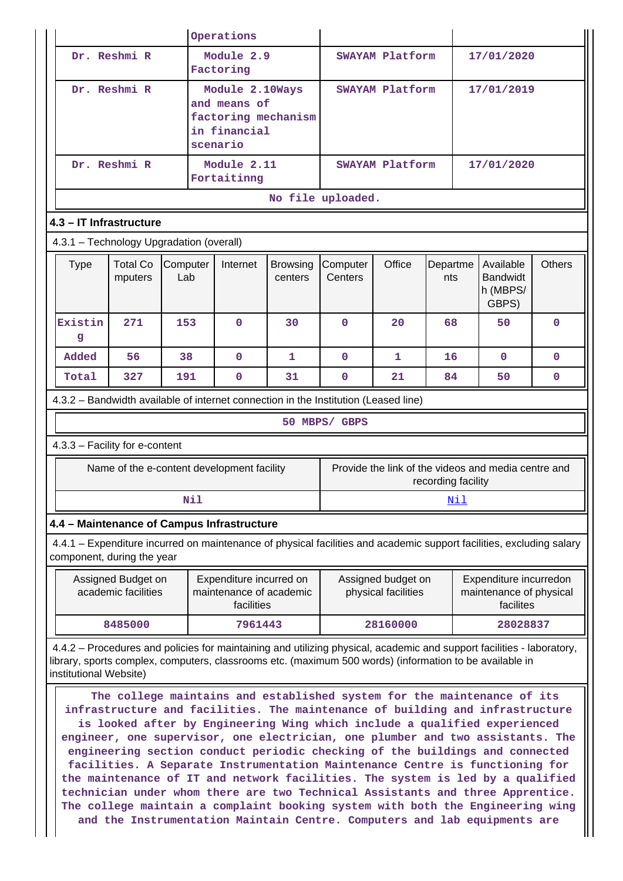|                                                                                                                                                                                                                                                            |                                            |                 |                                                                                    | Operations                                                       |                            |                                                                                                                                                                                                                                                                                                                                                                                                         |                                           |                    |  |                                                                |               |
|------------------------------------------------------------------------------------------------------------------------------------------------------------------------------------------------------------------------------------------------------------|--------------------------------------------|-----------------|------------------------------------------------------------------------------------|------------------------------------------------------------------|----------------------------|---------------------------------------------------------------------------------------------------------------------------------------------------------------------------------------------------------------------------------------------------------------------------------------------------------------------------------------------------------------------------------------------------------|-------------------------------------------|--------------------|--|----------------------------------------------------------------|---------------|
|                                                                                                                                                                                                                                                            | Dr. Reshmi R                               |                 |                                                                                    | Module 2.9<br>Factoring                                          |                            |                                                                                                                                                                                                                                                                                                                                                                                                         | SWAYAM Platform                           |                    |  | 17/01/2020                                                     |               |
|                                                                                                                                                                                                                                                            | Dr. Reshmi R                               |                 | Module 2.10Ways<br>and means of<br>factoring mechanism<br>in financial<br>scenario |                                                                  | SWAYAM Platform            |                                                                                                                                                                                                                                                                                                                                                                                                         |                                           | 17/01/2019         |  |                                                                |               |
|                                                                                                                                                                                                                                                            | Dr. Reshmi R                               |                 |                                                                                    | Module 2.11<br>Fortaitinng                                       |                            |                                                                                                                                                                                                                                                                                                                                                                                                         | SWAYAM Platform                           |                    |  | 17/01/2020                                                     |               |
|                                                                                                                                                                                                                                                            |                                            |                 |                                                                                    |                                                                  |                            | No file uploaded.                                                                                                                                                                                                                                                                                                                                                                                       |                                           |                    |  |                                                                |               |
| 4.3 - IT Infrastructure                                                                                                                                                                                                                                    |                                            |                 |                                                                                    |                                                                  |                            |                                                                                                                                                                                                                                                                                                                                                                                                         |                                           |                    |  |                                                                |               |
| 4.3.1 - Technology Upgradation (overall)                                                                                                                                                                                                                   |                                            |                 |                                                                                    |                                                                  |                            |                                                                                                                                                                                                                                                                                                                                                                                                         |                                           |                    |  |                                                                |               |
| <b>Type</b>                                                                                                                                                                                                                                                | <b>Total Co</b><br>mputers                 | Computer<br>Lab |                                                                                    | Internet                                                         | <b>Browsing</b><br>centers | Computer<br>Centers                                                                                                                                                                                                                                                                                                                                                                                     | Office                                    | Departme<br>nts    |  | Available<br><b>Bandwidt</b><br>h (MBPS/<br>GBPS)              | <b>Others</b> |
| Existin<br>g                                                                                                                                                                                                                                               | 271                                        | 153             |                                                                                    | $\mathbf 0$                                                      | 30                         | 0                                                                                                                                                                                                                                                                                                                                                                                                       | 20                                        | 68                 |  | 50                                                             | $\mathbf{0}$  |
| Added                                                                                                                                                                                                                                                      | 56                                         | 38              |                                                                                    | $\mathbf 0$                                                      | 1                          | $\mathbf{O}$                                                                                                                                                                                                                                                                                                                                                                                            | $\mathbf{1}$                              | 16                 |  | $\Omega$                                                       | $\mathbf{0}$  |
| Total                                                                                                                                                                                                                                                      | 327                                        | 191             |                                                                                    | $\mathbf 0$                                                      | 31                         | $\mathbf{O}$                                                                                                                                                                                                                                                                                                                                                                                            | 21                                        | 84                 |  | 50                                                             | $\mathbf 0$   |
| 4.3.2 - Bandwidth available of internet connection in the Institution (Leased line)                                                                                                                                                                        |                                            |                 |                                                                                    |                                                                  |                            |                                                                                                                                                                                                                                                                                                                                                                                                         |                                           |                    |  |                                                                |               |
|                                                                                                                                                                                                                                                            |                                            |                 |                                                                                    |                                                                  |                            | 50 MBPS/ GBPS                                                                                                                                                                                                                                                                                                                                                                                           |                                           |                    |  |                                                                |               |
| 4.3.3 - Facility for e-content                                                                                                                                                                                                                             |                                            |                 |                                                                                    |                                                                  |                            |                                                                                                                                                                                                                                                                                                                                                                                                         |                                           |                    |  |                                                                |               |
|                                                                                                                                                                                                                                                            | Name of the e-content development facility |                 |                                                                                    |                                                                  |                            |                                                                                                                                                                                                                                                                                                                                                                                                         |                                           | recording facility |  | Provide the link of the videos and media centre and            |               |
|                                                                                                                                                                                                                                                            |                                            |                 | Nil                                                                                |                                                                  |                            | Nil                                                                                                                                                                                                                                                                                                                                                                                                     |                                           |                    |  |                                                                |               |
| 4.4 - Maintenance of Campus Infrastructure                                                                                                                                                                                                                 |                                            |                 |                                                                                    |                                                                  |                            |                                                                                                                                                                                                                                                                                                                                                                                                         |                                           |                    |  |                                                                |               |
| 4.4.1 – Expenditure incurred on maintenance of physical facilities and academic support facilities, excluding salary<br>component, during the year                                                                                                         |                                            |                 |                                                                                    |                                                                  |                            |                                                                                                                                                                                                                                                                                                                                                                                                         |                                           |                    |  |                                                                |               |
|                                                                                                                                                                                                                                                            | Assigned Budget on<br>academic facilities  |                 |                                                                                    | Expenditure incurred on<br>maintenance of academic<br>facilities |                            |                                                                                                                                                                                                                                                                                                                                                                                                         | Assigned budget on<br>physical facilities |                    |  | Expenditure incurredon<br>maintenance of physical<br>facilites |               |
|                                                                                                                                                                                                                                                            | 8485000<br>7961443<br>28160000<br>28028837 |                 |                                                                                    |                                                                  |                            |                                                                                                                                                                                                                                                                                                                                                                                                         |                                           |                    |  |                                                                |               |
| 4.4.2 – Procedures and policies for maintaining and utilizing physical, academic and support facilities - laboratory,<br>library, sports complex, computers, classrooms etc. (maximum 500 words) (information to be available in<br>institutional Website) |                                            |                 |                                                                                    |                                                                  |                            |                                                                                                                                                                                                                                                                                                                                                                                                         |                                           |                    |  |                                                                |               |
|                                                                                                                                                                                                                                                            |                                            |                 |                                                                                    |                                                                  |                            | The college maintains and established system for the maintenance of its<br>infrastructure and facilities. The maintenance of building and infrastructure<br>is looked after by Engineering Wing which include a qualified experienced<br>engineer, one supervisor, one electrician, one plumber and two assistants. The<br>engineering section conduct periodic checking of the buildings and connected |                                           |                    |  |                                                                |               |

**facilities. A Separate Instrumentation Maintenance Centre is functioning for the maintenance of IT and network facilities. The system is led by a qualified technician under whom there are two Technical Assistants and three Apprentice. The college maintain a complaint booking system with both the Engineering wing and the Instrumentation Maintain Centre. Computers and lab equipments are**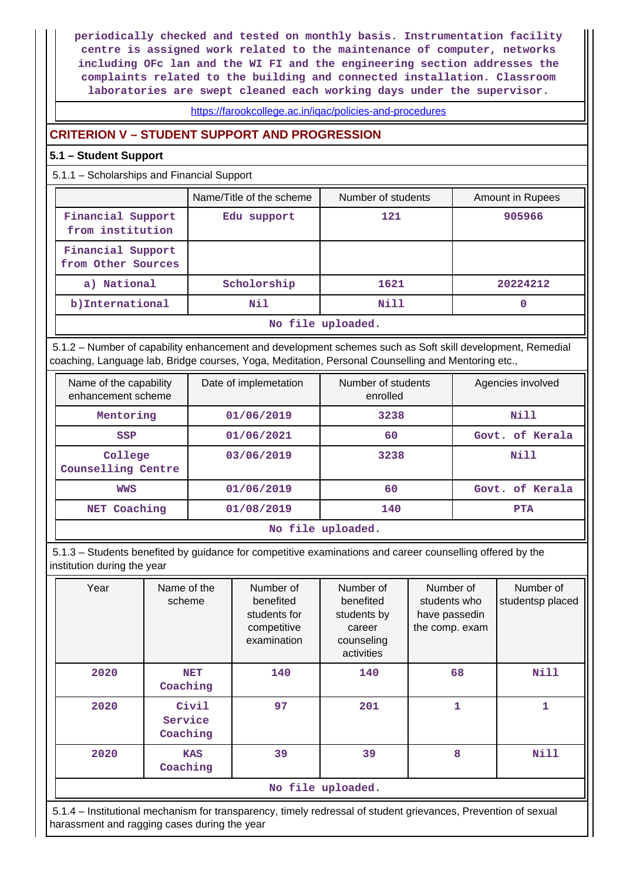**periodically checked and tested on monthly basis. Instrumentation facility centre is assigned work related to the maintenance of computer, networks including OFc lan and the WI FI and the engineering section addresses the complaints related to the building and connected installation. Classroom laboratories are swept cleaned each working days under the supervisor.**

<https://farookcollege.ac.in/iqac/policies-and-procedures>

## **CRITERION V – STUDENT SUPPORT AND PROGRESSION**

### **5.1 – Student Support**

5.1.1 – Scholarships and Financial Support

|                                         | Name/Title of the scheme | Number of students | Amount in Rupees |  |  |  |
|-----------------------------------------|--------------------------|--------------------|------------------|--|--|--|
| Financial Support<br>from institution   | Edu support              | 121                | 905966           |  |  |  |
| Financial Support<br>from Other Sources |                          |                    |                  |  |  |  |
| a) National                             | Scholorship              | 1621               | 20224212         |  |  |  |
| b)International                         | Nil                      | Nill               |                  |  |  |  |
| No file uploaded.                       |                          |                    |                  |  |  |  |

 5.1.2 – Number of capability enhancement and development schemes such as Soft skill development, Remedial coaching, Language lab, Bridge courses, Yoga, Meditation, Personal Counselling and Mentoring etc.,

| Name of the capability<br>enhancement scheme | Date of implemetation | Number of students<br>enrolled | Agencies involved |  |  |  |
|----------------------------------------------|-----------------------|--------------------------------|-------------------|--|--|--|
| Mentoring                                    | 01/06/2019            | 3238                           |                   |  |  |  |
| <b>SSP</b>                                   | 01/06/2021            | 60                             | Govt. of Kerala   |  |  |  |
| College<br><b>Counselling Centre</b>         | 03/06/2019            | 3238                           | Nill              |  |  |  |
| <b>WWS</b>                                   | 01/06/2019            | 60                             | Govt. of Kerala   |  |  |  |
| NET Coaching                                 | 01/08/2019            | 140                            | <b>PTA</b>        |  |  |  |
| No file uploaded.                            |                       |                                |                   |  |  |  |

 5.1.3 – Students benefited by guidance for competitive examinations and career counselling offered by the institution during the year

| Year              | Name of the<br>scheme        | Number of<br>benefited<br>students for<br>competitive<br>examination | Number of<br>benefited<br>students by<br>career<br>counseling<br>activities | Number of<br>students who<br>have passedin<br>the comp. exam | Number of<br>studentsp placed |  |  |  |
|-------------------|------------------------------|----------------------------------------------------------------------|-----------------------------------------------------------------------------|--------------------------------------------------------------|-------------------------------|--|--|--|
| 2020              | <b>NET</b><br>Coaching       | 140                                                                  | 140                                                                         | 68                                                           | <b>Nill</b>                   |  |  |  |
| 2020              | Civil<br>Service<br>Coaching | 97                                                                   | 201                                                                         | $\mathbf{1}$                                                 | 1                             |  |  |  |
| 2020              | <b>KAS</b><br>Coaching       | 39                                                                   | 39                                                                          | 8                                                            | <b>Nill</b>                   |  |  |  |
| No file uploaded. |                              |                                                                      |                                                                             |                                                              |                               |  |  |  |

 5.1.4 – Institutional mechanism for transparency, timely redressal of student grievances, Prevention of sexual harassment and ragging cases during the year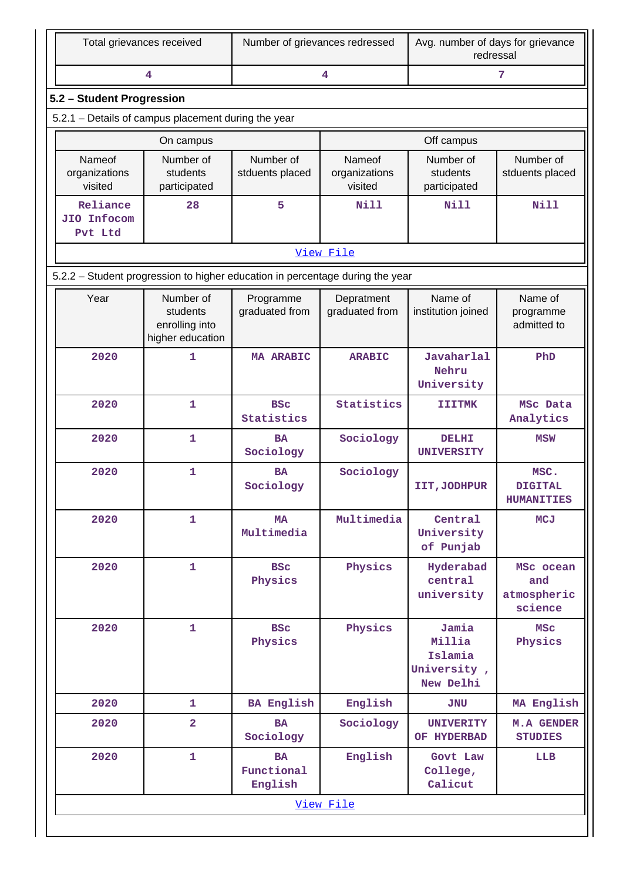| Total grievances received                                                     |                                                             | Number of grievances redressed     |                                    | Avg. number of days for grievance<br>redressal         |                                             |  |  |  |  |  |
|-------------------------------------------------------------------------------|-------------------------------------------------------------|------------------------------------|------------------------------------|--------------------------------------------------------|---------------------------------------------|--|--|--|--|--|
|                                                                               | 4                                                           |                                    | 4                                  |                                                        | 7                                           |  |  |  |  |  |
| 5.2 - Student Progression                                                     |                                                             |                                    |                                    |                                                        |                                             |  |  |  |  |  |
| 5.2.1 - Details of campus placement during the year                           |                                                             |                                    |                                    |                                                        |                                             |  |  |  |  |  |
|                                                                               | On campus                                                   |                                    |                                    | Off campus                                             |                                             |  |  |  |  |  |
| Nameof<br>organizations<br>visited                                            | Number of<br>students<br>participated                       | Number of<br>stduents placed       | Nameof<br>organizations<br>visited | Number of<br>students<br>participated                  | Number of<br>stduents placed                |  |  |  |  |  |
| Reliance<br>JIO Infocom<br>Pvt Ltd                                            | 28                                                          | 5                                  | <b>Nill</b>                        | Nill                                                   | <b>Nill</b>                                 |  |  |  |  |  |
|                                                                               |                                                             |                                    | View File                          |                                                        |                                             |  |  |  |  |  |
| 5.2.2 - Student progression to higher education in percentage during the year |                                                             |                                    |                                    |                                                        |                                             |  |  |  |  |  |
| Year                                                                          | Number of<br>students<br>enrolling into<br>higher education | Programme<br>graduated from        | Depratment<br>graduated from       | Name of<br>institution joined                          | Name of<br>programme<br>admitted to         |  |  |  |  |  |
| 2020                                                                          | 1                                                           | <b>MA ARABIC</b>                   | <b>ARABIC</b>                      | Javaharlal<br>Nehru<br>University                      | PhD                                         |  |  |  |  |  |
| 2020                                                                          | 1                                                           | <b>BSC</b><br>Statistics           | Statistics                         | <b>IIITMK</b>                                          | MSc Data<br>Analytics                       |  |  |  |  |  |
| 2020                                                                          | 1                                                           | <b>BA</b><br>Sociology             | Sociology                          | <b>DELHI</b><br>UNIVERSITY                             | <b>MSW</b>                                  |  |  |  |  |  |
| 2020                                                                          | 1                                                           | <b>BA</b><br>Sociology             | Sociology                          | IIT, JODHPUR                                           | MSC.<br><b>DIGITAL</b><br><b>HUMANITIES</b> |  |  |  |  |  |
| 2020                                                                          | $\mathbf{1}$                                                | <b>MA</b><br>Multimedia            | Multimedia                         | Central<br>University<br>of Punjab                     | <b>MCJ</b>                                  |  |  |  |  |  |
| 2020                                                                          | $\mathbf{1}$                                                | <b>BSC</b><br>Physics              | Physics                            | Hyderabad<br>central<br>university                     | MSc ocean<br>and<br>atmospheric<br>science  |  |  |  |  |  |
| 2020                                                                          | $\mathbf{1}$                                                | <b>BSC</b><br>Physics              | Physics                            | Jamia<br>Millia<br>Islamia<br>University,<br>New Delhi | <b>MSC</b><br>Physics                       |  |  |  |  |  |
| 2020                                                                          | $\mathbf{1}$                                                | <b>BA English</b>                  | English                            | <b>JNU</b>                                             | MA English                                  |  |  |  |  |  |
| 2020                                                                          | $\overline{\mathbf{2}}$                                     | <b>BA</b><br>Sociology             | Sociology                          | <b>UNIVERITY</b><br>OF HYDERBAD                        | <b>M.A GENDER</b><br><b>STUDIES</b>         |  |  |  |  |  |
| 2020                                                                          | 1                                                           | <b>BA</b><br>Functional<br>English | English                            | Govt Law<br>College,<br>Calicut                        | LLB                                         |  |  |  |  |  |
|                                                                               |                                                             |                                    | View File                          |                                                        |                                             |  |  |  |  |  |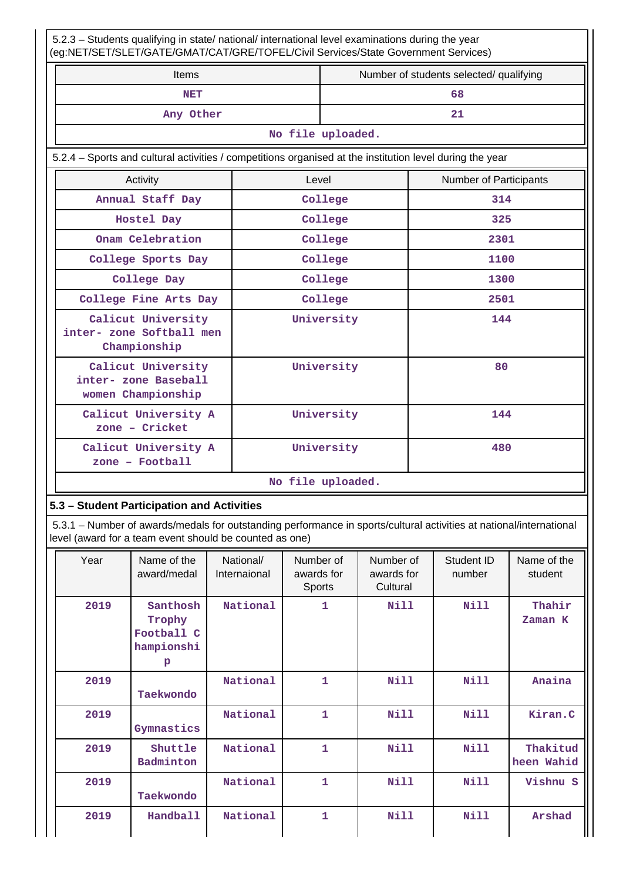| 5.2.3 - Students qualifying in state/ national/ international level examinations during the year<br>(eg:NET/SET/SLET/GATE/GMAT/CAT/GRE/TOFEL/Civil Services/State Government Services) |            |                   |                                         |  |  |  |  |
|----------------------------------------------------------------------------------------------------------------------------------------------------------------------------------------|------------|-------------------|-----------------------------------------|--|--|--|--|
| Items                                                                                                                                                                                  |            |                   | Number of students selected/ qualifying |  |  |  |  |
| <b>NET</b>                                                                                                                                                                             |            |                   | 68                                      |  |  |  |  |
| Any Other                                                                                                                                                                              |            |                   | 21                                      |  |  |  |  |
|                                                                                                                                                                                        |            | No file uploaded. |                                         |  |  |  |  |
| 5.2.4 - Sports and cultural activities / competitions organised at the institution level during the year                                                                               |            |                   |                                         |  |  |  |  |
| Activity                                                                                                                                                                               | Level      |                   | <b>Number of Participants</b>           |  |  |  |  |
| Annual Staff Day                                                                                                                                                                       |            | College           | 314                                     |  |  |  |  |
| Hostel Day                                                                                                                                                                             |            | College           | 325                                     |  |  |  |  |
| Onam Celebration                                                                                                                                                                       |            | College           | 2301                                    |  |  |  |  |
| College Sports Day                                                                                                                                                                     |            | College           | 1100                                    |  |  |  |  |
| College Day                                                                                                                                                                            |            | College           | 1300                                    |  |  |  |  |
| College Fine Arts Day                                                                                                                                                                  |            | College           | 2501                                    |  |  |  |  |
| Calicut University<br>inter- zone Softball men<br>Championship                                                                                                                         |            | University        | 144                                     |  |  |  |  |
| Calicut University<br>inter- zone Baseball<br>women Championship                                                                                                                       | University |                   | 80                                      |  |  |  |  |
| Calicut University A<br>zone - Cricket                                                                                                                                                 | University |                   | 144                                     |  |  |  |  |
| Calicut University A<br>$zone - Football$                                                                                                                                              |            | University        | 480                                     |  |  |  |  |
| No file uploaded.                                                                                                                                                                      |            |                   |                                         |  |  |  |  |

## **5.3 – Student Participation and Activities**

 5.3.1 – Number of awards/medals for outstanding performance in sports/cultural activities at national/international level (award for a team event should be counted as one)

| Year | Name of the<br>award/medal                          | National/<br>Internaional | Number of<br>awards for<br>Sports | Number of<br>awards for<br>Cultural | Student ID<br>number | Name of the<br>student |
|------|-----------------------------------------------------|---------------------------|-----------------------------------|-------------------------------------|----------------------|------------------------|
| 2019 | Santhosh<br>Trophy<br>Football C<br>hampionshi<br>p | National                  | 1                                 | <b>Nill</b>                         | <b>Nill</b>          | Thahir<br>Zaman K      |
| 2019 | Taekwondo                                           | National                  | 1                                 | Nill                                | Nill                 | Anaina                 |
| 2019 | Gymnastics                                          | National                  | $\mathbf{1}$                      | Nill                                | Nill                 | Kiran.C                |
| 2019 | Shuttle<br>Badminton                                | National                  | 1                                 | Nill                                | Nill                 | Thakitud<br>heen Wahid |
| 2019 | Taekwondo                                           | National                  | 1                                 | <b>Nill</b>                         | <b>Nill</b>          | Vishnu S               |
| 2019 | <b>Handball</b>                                     | National                  | $\mathbf{1}$                      | <b>Nill</b>                         | <b>Nill</b>          | Arshad                 |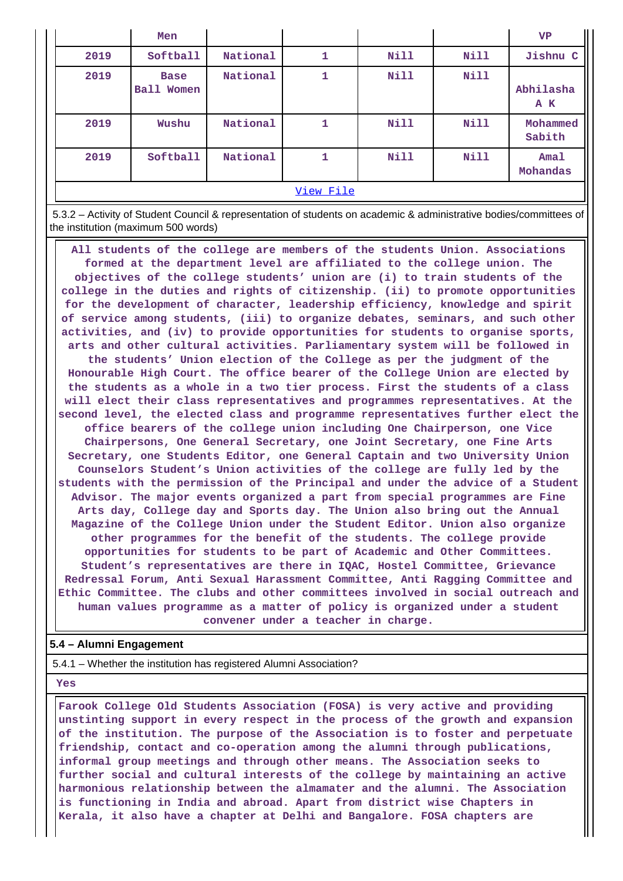|           | Men                                 |          |   |             |             | <b>VP</b>               |  |
|-----------|-------------------------------------|----------|---|-------------|-------------|-------------------------|--|
| 2019      | Softball                            | National | 1 | Nill        | Nill        | Jishnu C                |  |
| 2019      | <b>Base</b><br><b>Ball</b><br>Women | National | 1 | Nill        | Nill        | Abhilasha<br>A K        |  |
| 2019      | Wushu                               | National | 1 | Nill        | Nill        | Mohammed<br>Sabith      |  |
| 2019      | Softball                            | National | 1 | <b>Nill</b> | <b>Nill</b> | <b>Amal</b><br>Mohandas |  |
| View File |                                     |          |   |             |             |                         |  |

 5.3.2 – Activity of Student Council & representation of students on academic & administrative bodies/committees of the institution (maximum 500 words)

 **All students of the college are members of the students Union. Associations formed at the department level are affiliated to the college union. The objectives of the college students' union are (i) to train students of the college in the duties and rights of citizenship. (ii) to promote opportunities for the development of character, leadership efficiency, knowledge and spirit of service among students, (iii) to organize debates, seminars, and such other activities, and (iv) to provide opportunities for students to organise sports, arts and other cultural activities. Parliamentary system will be followed in the students' Union election of the College as per the judgment of the Honourable High Court. The office bearer of the College Union are elected by the students as a whole in a two tier process. First the students of a class will elect their class representatives and programmes representatives. At the second level, the elected class and programme representatives further elect the office bearers of the college union including One Chairperson, one Vice Chairpersons, One General Secretary, one Joint Secretary, one Fine Arts Secretary, one Students Editor, one General Captain and two University Union Counselors Student's Union activities of the college are fully led by the students with the permission of the Principal and under the advice of a Student Advisor. The major events organized a part from special programmes are Fine Arts day, College day and Sports day. The Union also bring out the Annual Magazine of the College Union under the Student Editor. Union also organize other programmes for the benefit of the students. The college provide opportunities for students to be part of Academic and Other Committees. Student's representatives are there in IQAC, Hostel Committee, Grievance Redressal Forum, Anti Sexual Harassment Committee, Anti Ragging Committee and Ethic Committee. The clubs and other committees involved in social outreach and human values programme as a matter of policy is organized under a student convener under a teacher in charge.**

### **5.4 – Alumni Engagement**

5.4.1 – Whether the institution has registered Alumni Association?

 **Yes**

 **Farook College Old Students Association (FOSA) is very active and providing unstinting support in every respect in the process of the growth and expansion of the institution. The purpose of the Association is to foster and perpetuate friendship, contact and co-operation among the alumni through publications, informal group meetings and through other means. The Association seeks to further social and cultural interests of the college by maintaining an active harmonious relationship between the almamater and the alumni. The Association is functioning in India and abroad. Apart from district wise Chapters in Kerala, it also have a chapter at Delhi and Bangalore. FOSA chapters are**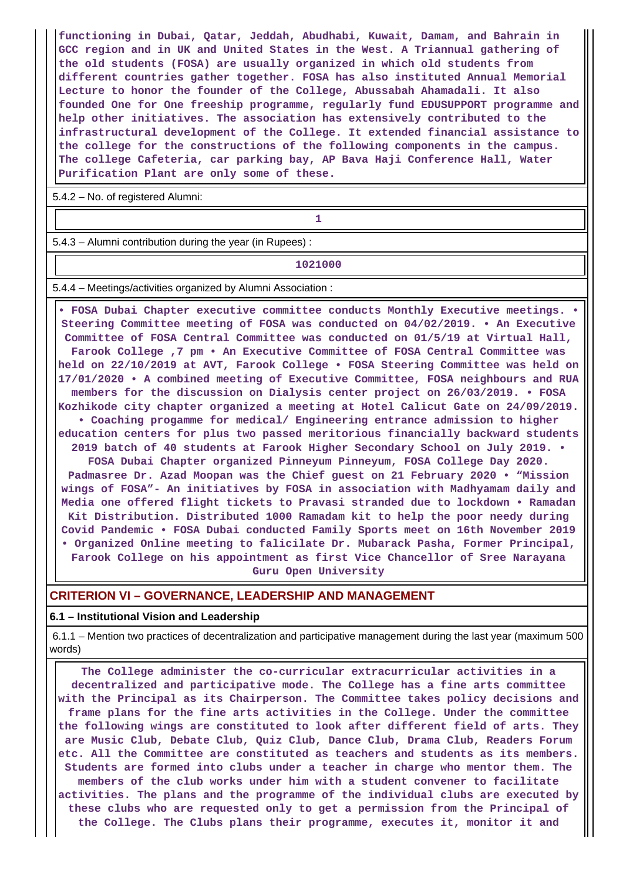**functioning in Dubai, Qatar, Jeddah, Abudhabi, Kuwait, Damam, and Bahrain in GCC region and in UK and United States in the West. A Triannual gathering of the old students (FOSA) are usually organized in which old students from different countries gather together. FOSA has also instituted Annual Memorial Lecture to honor the founder of the College, Abussabah Ahamadali. It also founded One for One freeship programme, regularly fund EDUSUPPORT programme and help other initiatives. The association has extensively contributed to the infrastructural development of the College. It extended financial assistance to the college for the constructions of the following components in the campus. The college Cafeteria, car parking bay, AP Bava Haji Conference Hall, Water Purification Plant are only some of these.**

5.4.2 – No. of registered Alumni:

## **1 1 1**

5.4.3 – Alumni contribution during the year (in Rupees) :

#### **1021000**

5.4.4 – Meetings/activities organized by Alumni Association :

 **• FOSA Dubai Chapter executive committee conducts Monthly Executive meetings. • Steering Committee meeting of FOSA was conducted on 04/02/2019. • An Executive Committee of FOSA Central Committee was conducted on 01/5/19 at Virtual Hall, Farook College ,7 pm • An Executive Committee of FOSA Central Committee was held on 22/10/2019 at AVT, Farook College • FOSA Steering Committee was held on 17/01/2020 • A combined meeting of Executive Committee, FOSA neighbours and RUA members for the discussion on Dialysis center project on 26/03/2019. • FOSA Kozhikode city chapter organized a meeting at Hotel Calicut Gate on 24/09/2019. • Coaching progamme for medical/ Engineering entrance admission to higher education centers for plus two passed meritorious financially backward students 2019 batch of 40 students at Farook Higher Secondary School on July 2019. • FOSA Dubai Chapter organized Pinneyum Pinneyum, FOSA College Day 2020. Padmasree Dr. Azad Moopan was the Chief guest on 21 February 2020 • "Mission wings of FOSA"- An initiatives by FOSA in association with Madhyamam daily and Media one offered flight tickets to Pravasi stranded due to lockdown • Ramadan Kit Distribution. Distributed 1000 Ramadam kit to help the poor needy during Covid Pandemic • FOSA Dubai conducted Family Sports meet on 16th November 2019 • Organized Online meeting to falicilate Dr. Mubarack Pasha, Former Principal, Farook College on his appointment as first Vice Chancellor of Sree Narayana Guru Open University**

### **CRITERION VI – GOVERNANCE, LEADERSHIP AND MANAGEMENT**

#### **6.1 – Institutional Vision and Leadership**

 6.1.1 – Mention two practices of decentralization and participative management during the last year (maximum 500 words)

 **The College administer the co-curricular extracurricular activities in a decentralized and participative mode. The College has a fine arts committee with the Principal as its Chairperson. The Committee takes policy decisions and frame plans for the fine arts activities in the College. Under the committee the following wings are constituted to look after different field of arts. They are Music Club, Debate Club, Quiz Club, Dance Club, Drama Club, Readers Forum etc. All the Committee are constituted as teachers and students as its members. Students are formed into clubs under a teacher in charge who mentor them. The members of the club works under him with a student convener to facilitate activities. The plans and the programme of the individual clubs are executed by these clubs who are requested only to get a permission from the Principal of the College. The Clubs plans their programme, executes it, monitor it and**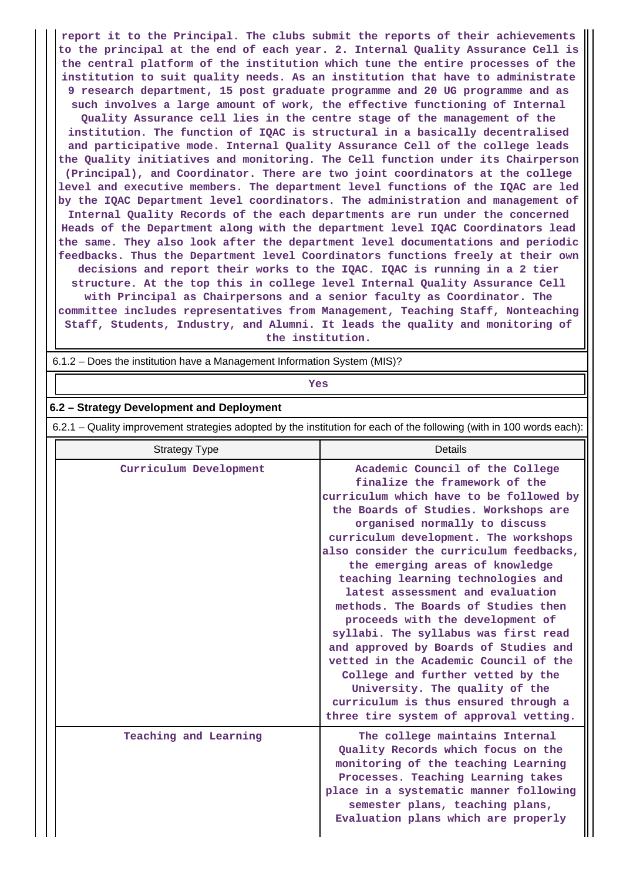**report it to the Principal. The clubs submit the reports of their achievements to the principal at the end of each year. 2. Internal Quality Assurance Cell is the central platform of the institution which tune the entire processes of the institution to suit quality needs. As an institution that have to administrate 9 research department, 15 post graduate programme and 20 UG programme and as such involves a large amount of work, the effective functioning of Internal Quality Assurance cell lies in the centre stage of the management of the institution. The function of IQAC is structural in a basically decentralised and participative mode. Internal Quality Assurance Cell of the college leads the Quality initiatives and monitoring. The Cell function under its Chairperson (Principal), and Coordinator. There are two joint coordinators at the college level and executive members. The department level functions of the IQAC are led by the IQAC Department level coordinators. The administration and management of Internal Quality Records of the each departments are run under the concerned Heads of the Department along with the department level IQAC Coordinators lead the same. They also look after the department level documentations and periodic feedbacks. Thus the Department level Coordinators functions freely at their own decisions and report their works to the IQAC. IQAC is running in a 2 tier structure. At the top this in college level Internal Quality Assurance Cell with Principal as Chairpersons and a senior faculty as Coordinator. The committee includes representatives from Management, Teaching Staff, Nonteaching Staff, Students, Industry, and Alumni. It leads the quality and monitoring of the institution.**

6.1.2 – Does the institution have a Management Information System (MIS)?

*Yes* 

## **6.2 – Strategy Development and Deployment**

6.2.1 – Quality improvement strategies adopted by the institution for each of the following (with in 100 words each):

| <b>Strategy Type</b>   | Details                                                                                                                                                                                                                                                                                                                                                                                                                                                                                                                                                                                                                                                                                                                                             |
|------------------------|-----------------------------------------------------------------------------------------------------------------------------------------------------------------------------------------------------------------------------------------------------------------------------------------------------------------------------------------------------------------------------------------------------------------------------------------------------------------------------------------------------------------------------------------------------------------------------------------------------------------------------------------------------------------------------------------------------------------------------------------------------|
| Curriculum Development | Academic Council of the College<br>finalize the framework of the<br>curriculum which have to be followed by<br>the Boards of Studies. Workshops are<br>organised normally to discuss<br>curriculum development. The workshops<br>also consider the curriculum feedbacks,<br>the emerging areas of knowledge<br>teaching learning technologies and<br>latest assessment and evaluation<br>methods. The Boards of Studies then<br>proceeds with the development of<br>syllabi. The syllabus was first read<br>and approved by Boards of Studies and<br>vetted in the Academic Council of the<br>College and further vetted by the<br>University. The quality of the<br>curriculum is thus ensured through a<br>three tire system of approval vetting. |
| Teaching and Learning  | The college maintains Internal<br>Quality Records which focus on the<br>monitoring of the teaching Learning<br>Processes. Teaching Learning takes<br>place in a systematic manner following<br>semester plans, teaching plans,<br>Evaluation plans which are properly                                                                                                                                                                                                                                                                                                                                                                                                                                                                               |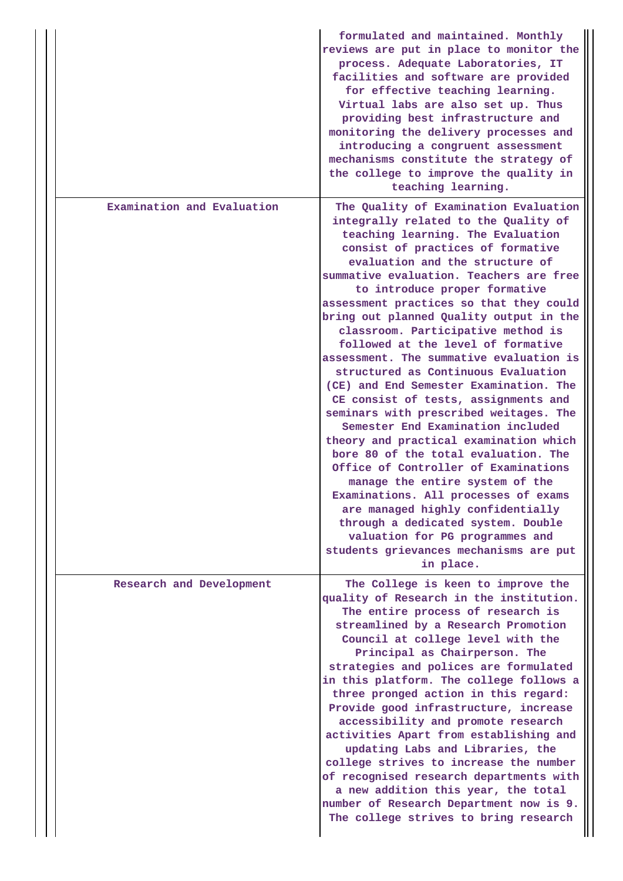|                            | formulated and maintained. Monthly<br>reviews are put in place to monitor the<br>process. Adequate Laboratories, IT<br>facilities and software are provided<br>for effective teaching learning.<br>Virtual labs are also set up. Thus<br>providing best infrastructure and<br>monitoring the delivery processes and<br>introducing a congruent assessment<br>mechanisms constitute the strategy of<br>the college to improve the quality in<br>teaching learning.                                                                                                                                                                                                                                                                                                                                                                                                                                                                                                                                                                                                     |
|----------------------------|-----------------------------------------------------------------------------------------------------------------------------------------------------------------------------------------------------------------------------------------------------------------------------------------------------------------------------------------------------------------------------------------------------------------------------------------------------------------------------------------------------------------------------------------------------------------------------------------------------------------------------------------------------------------------------------------------------------------------------------------------------------------------------------------------------------------------------------------------------------------------------------------------------------------------------------------------------------------------------------------------------------------------------------------------------------------------|
| Examination and Evaluation | The Quality of Examination Evaluation<br>integrally related to the Quality of<br>teaching learning. The Evaluation<br>consist of practices of formative<br>evaluation and the structure of<br>summative evaluation. Teachers are free<br>to introduce proper formative<br>assessment practices so that they could<br>bring out planned Quality output in the<br>classroom. Participative method is<br>followed at the level of formative<br>assessment. The summative evaluation is<br>structured as Continuous Evaluation<br>(CE) and End Semester Examination. The<br>CE consist of tests, assignments and<br>seminars with prescribed weitages. The<br>Semester End Examination included<br>theory and practical examination which<br>bore 80 of the total evaluation. The<br>Office of Controller of Examinations<br>manage the entire system of the<br>Examinations. All processes of exams<br>are managed highly confidentially<br>through a dedicated system. Double<br>valuation for PG programmes and<br>students grievances mechanisms are put<br>in place. |
| Research and Development   | The College is keen to improve the<br>quality of Research in the institution.<br>The entire process of research is<br>streamlined by a Research Promotion<br>Council at college level with the<br>Principal as Chairperson. The<br>strategies and polices are formulated<br>in this platform. The college follows a<br>three pronged action in this regard:<br>Provide good infrastructure, increase<br>accessibility and promote research<br>activities Apart from establishing and<br>updating Labs and Libraries, the<br>college strives to increase the number<br>of recognised research departments with<br>a new addition this year, the total<br>number of Research Department now is 9.<br>The college strives to bring research                                                                                                                                                                                                                                                                                                                              |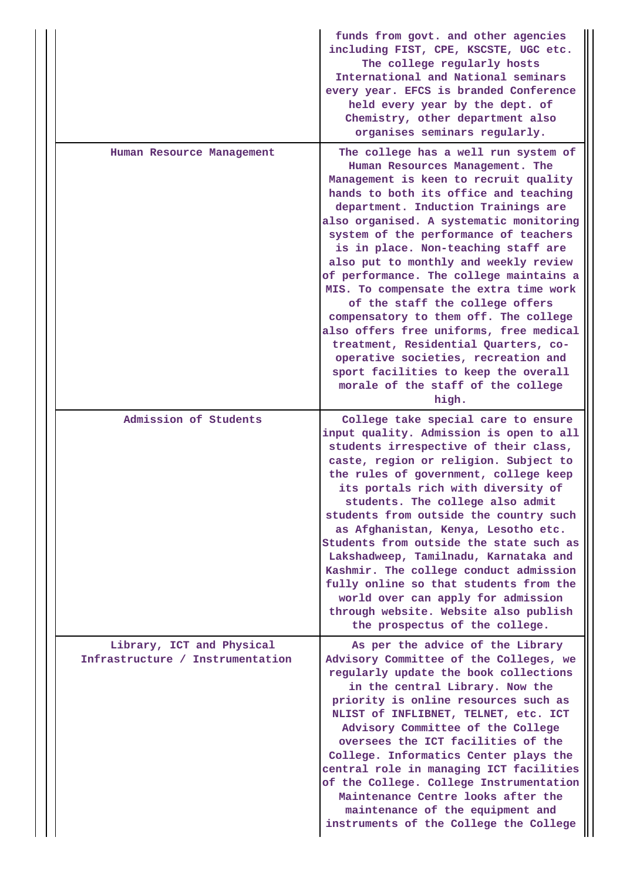|                                                               | funds from govt. and other agencies<br>including FIST, CPE, KSCSTE, UGC etc.<br>The college regularly hosts<br>International and National seminars<br>every year. EFCS is branded Conference<br>held every year by the dept. of<br>Chemistry, other department also<br>organises seminars regularly.                                                                                                                                                                                                                                                                                                                                                                                                                                                   |
|---------------------------------------------------------------|--------------------------------------------------------------------------------------------------------------------------------------------------------------------------------------------------------------------------------------------------------------------------------------------------------------------------------------------------------------------------------------------------------------------------------------------------------------------------------------------------------------------------------------------------------------------------------------------------------------------------------------------------------------------------------------------------------------------------------------------------------|
| Human Resource Management                                     | The college has a well run system of<br>Human Resources Management. The<br>Management is keen to recruit quality<br>hands to both its office and teaching<br>department. Induction Trainings are<br>also organised. A systematic monitoring<br>system of the performance of teachers<br>is in place. Non-teaching staff are<br>also put to monthly and weekly review<br>of performance. The college maintains a<br>MIS. To compensate the extra time work<br>of the staff the college offers<br>compensatory to them off. The college<br>also offers free uniforms, free medical<br>treatment, Residential Quarters, co-<br>operative societies, recreation and<br>sport facilities to keep the overall<br>morale of the staff of the college<br>high. |
| Admission of Students                                         | College take special care to ensure<br>input quality. Admission is open to all<br>students irrespective of their class,<br>caste, region or religion. Subject to<br>the rules of government, college keep<br>its portals rich with diversity of<br>students. The college also admit<br>students from outside the country such<br>as Afghanistan, Kenya, Lesotho etc.<br>Students from outside the state such as<br>Lakshadweep, Tamilnadu, Karnataka and<br>Kashmir. The college conduct admission<br>fully online so that students from the<br>world over can apply for admission<br>through website. Website also publish<br>the prospectus of the college.                                                                                          |
| Library, ICT and Physical<br>Infrastructure / Instrumentation | As per the advice of the Library<br>Advisory Committee of the Colleges, we<br>regularly update the book collections<br>in the central Library. Now the<br>priority is online resources such as<br>NLIST of INFLIBNET, TELNET, etc. ICT<br>Advisory Committee of the College<br>oversees the ICT facilities of the<br>College. Informatics Center plays the<br>central role in managing ICT facilities<br>of the College. College Instrumentation<br>Maintenance Centre looks after the<br>maintenance of the equipment and<br>instruments of the College the College                                                                                                                                                                                   |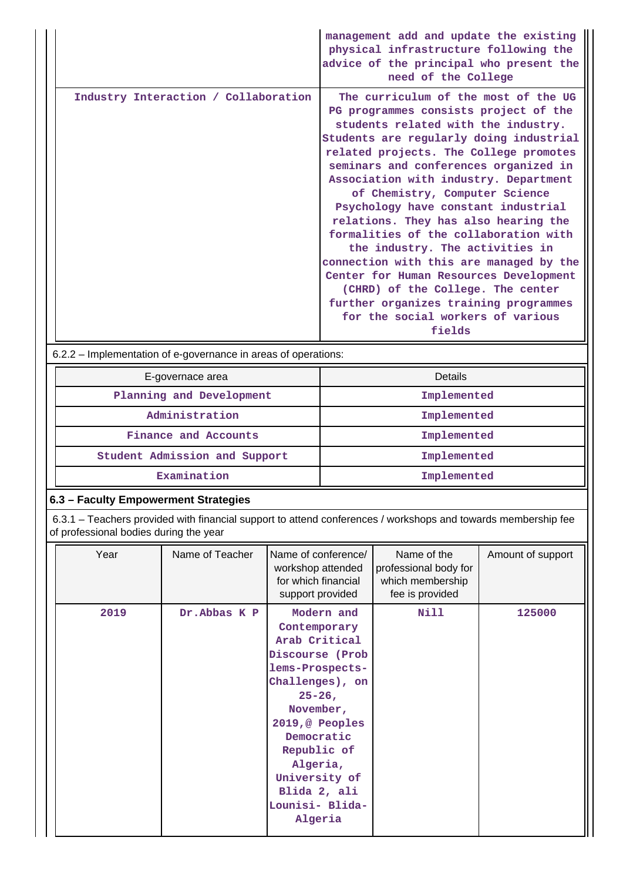|                                      | management add and update the existing<br>physical infrastructure following the<br>advice of the principal who present the<br>need of the College                                                                                                                                                                                                                                                                                                                                                                                                                                                                                                                                                          |
|--------------------------------------|------------------------------------------------------------------------------------------------------------------------------------------------------------------------------------------------------------------------------------------------------------------------------------------------------------------------------------------------------------------------------------------------------------------------------------------------------------------------------------------------------------------------------------------------------------------------------------------------------------------------------------------------------------------------------------------------------------|
| Industry Interaction / Collaboration | The curriculum of the most of the UG<br>PG programmes consists project of the<br>students related with the industry.<br>Students are regularly doing industrial<br>related projects. The College promotes<br>seminars and conferences organized in<br>Association with industry. Department<br>of Chemistry, Computer Science<br>Psychology have constant industrial<br>relations. They has also hearing the<br>formalities of the collaboration with<br>the industry. The activities in<br>connection with this are managed by the<br>Center for Human Resources Development<br>(CHRD) of the College. The center<br>further organizes training programmes<br>for the social workers of various<br>fields |

6.2.2 – Implementation of e-governance in areas of operations:

| E-governace area              | <b>Details</b> |
|-------------------------------|----------------|
| Planning and Development      | Implemented    |
| Administration                | Implemented    |
| Finance and Accounts          | Implemented    |
| Student Admission and Support | Implemented    |
| Examination                   | Implemented    |

## **6.3 – Faculty Empowerment Strategies**

 6.3.1 – Teachers provided with financial support to attend conferences / workshops and towards membership fee of professional bodies during the year

| Year | Name of Teacher | Name of conference/<br>workshop attended<br>for which financial<br>support provided                                                                                                                                                                        | Name of the<br>professional body for<br>which membership<br>fee is provided | Amount of support |
|------|-----------------|------------------------------------------------------------------------------------------------------------------------------------------------------------------------------------------------------------------------------------------------------------|-----------------------------------------------------------------------------|-------------------|
| 2019 | Dr.Abbas K P    | Modern and<br>Contemporary<br>Arab Critical<br>Discourse (Prob<br>lems-Prospects-<br>Challenges), on<br>$25 - 26$ ,<br>November,<br>2019,@ Peoples<br>Democratic<br>Republic of<br>Algeria,<br>University of<br>Blida 2, ali<br>Lounisi- Blida-<br>Algeria | Nill                                                                        | 125000            |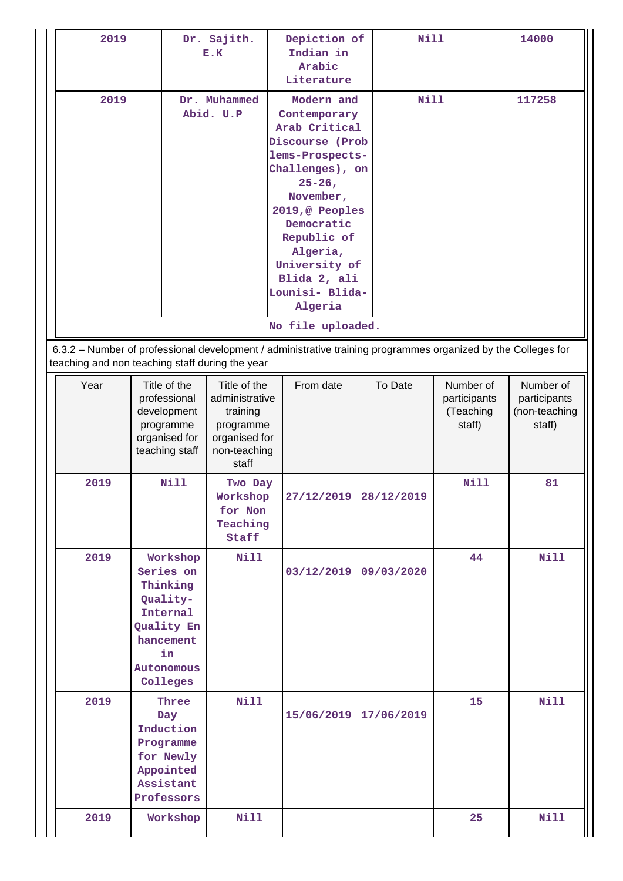| 2019                                                                                                                                                                                                  | Dr. Sajith.<br>E.K                                                                                                   |                                                                                                   | Depiction of<br>Indian in<br>Arabic<br>Literature                                                                                                                                                                                                                             | Nill       |                                                  | 14000                                                |  |
|-------------------------------------------------------------------------------------------------------------------------------------------------------------------------------------------------------|----------------------------------------------------------------------------------------------------------------------|---------------------------------------------------------------------------------------------------|-------------------------------------------------------------------------------------------------------------------------------------------------------------------------------------------------------------------------------------------------------------------------------|------------|--------------------------------------------------|------------------------------------------------------|--|
| 2019<br>Dr. Muhammed<br>Abid. U.P<br>6.3.2 - Number of professional development / administrative training programmes organized by the Colleges for<br>teaching and non teaching staff during the year |                                                                                                                      |                                                                                                   | Modern and<br>Contemporary<br>Arab Critical<br>Discourse (Prob<br>lems-Prospects-<br>Challenges), on<br>$25 - 26$<br>November,<br>2019,@ Peoples<br>Democratic<br>Republic of<br>Algeria,<br>University of<br>Blida 2, ali<br>Lounisi- Blida-<br>Algeria<br>No file uploaded. |            | Nill                                             | 117258                                               |  |
| Year                                                                                                                                                                                                  | Title of the<br>professional<br>development<br>programme<br>organised for<br>teaching staff                          | Title of the<br>administrative<br>training<br>programme<br>organised for<br>non-teaching<br>staff | From date                                                                                                                                                                                                                                                                     | To Date    | Number of<br>participants<br>(Teaching<br>staff) | Number of<br>participants<br>(non-teaching<br>staff) |  |
| 2019                                                                                                                                                                                                  | <b>Nill</b>                                                                                                          | Two Day<br>Workshop<br>for Non<br>Teaching<br>Staff                                               | 27/12/2019 28/12/2019                                                                                                                                                                                                                                                         |            | <b>Nill</b>                                      | 81                                                   |  |
| 2019                                                                                                                                                                                                  | Workshop<br>Series on<br>Thinking<br>Quality-<br>Internal<br>Quality En<br>hancement<br>in<br>Autonomous<br>Colleges | <b>Nill</b>                                                                                       | 03/12/2019                                                                                                                                                                                                                                                                    | 09/03/2020 | 44                                               | <b>Nill</b>                                          |  |
| 2019                                                                                                                                                                                                  | Three<br>Day<br>Induction<br>Programme<br>for Newly<br>Appointed<br>Assistant<br>Professors                          | <b>Nill</b>                                                                                       | 15/06/2019                                                                                                                                                                                                                                                                    | 17/06/2019 | 15 <sub>1</sub>                                  | <b>Nill</b>                                          |  |
| 2019                                                                                                                                                                                                  | Workshop                                                                                                             | Nill                                                                                              |                                                                                                                                                                                                                                                                               |            | 25                                               | <b>Nill</b>                                          |  |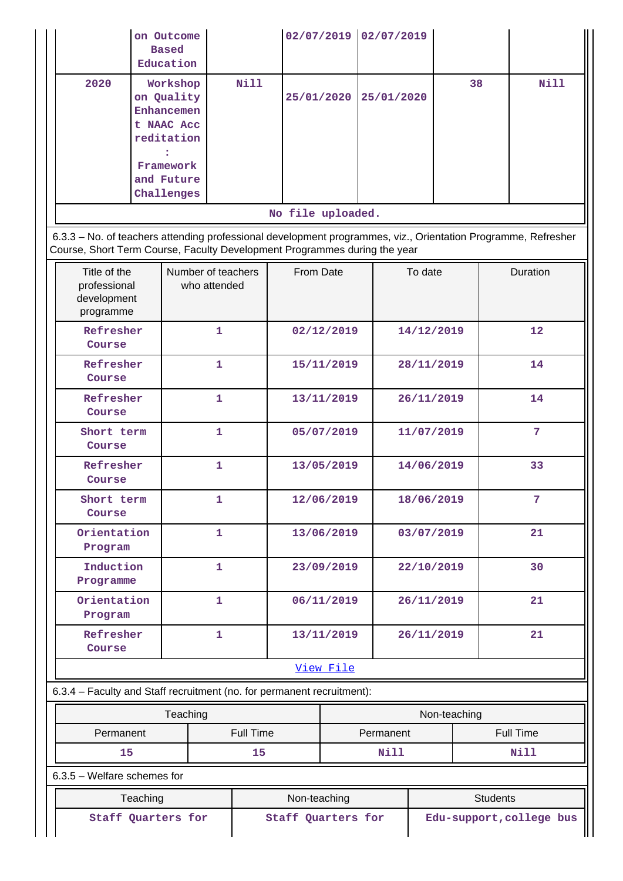|                                                                                                                                                                                            |          | on Outcome<br><b>Based</b><br>Education                                       |              |           |                   |                                                | 02/07/2019 02/07/2019 |              |           |                 |                 |
|--------------------------------------------------------------------------------------------------------------------------------------------------------------------------------------------|----------|-------------------------------------------------------------------------------|--------------|-----------|-------------------|------------------------------------------------|-----------------------|--------------|-----------|-----------------|-----------------|
| 2020                                                                                                                                                                                       |          | Workshop<br>on Quality<br>Enhancemen<br>t NAAC Acc<br>reditation<br>Framework |              | Nill      | 25/01/2020        |                                                | 25/01/2020            |              | 38        |                 | <b>Nill</b>     |
|                                                                                                                                                                                            |          | and Future<br>Challenges                                                      |              |           |                   |                                                |                       |              |           |                 |                 |
|                                                                                                                                                                                            |          |                                                                               |              |           | No file uploaded. |                                                |                       |              |           |                 |                 |
| 6.3.3 - No. of teachers attending professional development programmes, viz., Orientation Programme, Refresher<br>Course, Short Term Course, Faculty Development Programmes during the year |          |                                                                               |              |           |                   |                                                |                       |              |           |                 |                 |
| Title of the<br>professional<br>development<br>programme                                                                                                                                   |          | Number of teachers                                                            | who attended |           | From Date         |                                                |                       | To date      |           |                 | <b>Duration</b> |
| Refresher<br>Course                                                                                                                                                                        |          |                                                                               | $\mathbf{1}$ |           |                   | 02/12/2019                                     |                       | 14/12/2019   |           |                 | 12              |
| Refresher<br>Course                                                                                                                                                                        |          |                                                                               | $\mathbf{1}$ |           |                   | 15/11/2019                                     |                       | 28/11/2019   |           |                 | 14              |
| Refresher<br>Course                                                                                                                                                                        |          |                                                                               | 1            |           |                   | 13/11/2019                                     |                       | 26/11/2019   |           |                 | 14              |
| Short term<br>Course                                                                                                                                                                       |          |                                                                               | $\mathbf{1}$ |           |                   | 05/07/2019                                     |                       | 11/07/2019   |           |                 | $7\phantom{.}$  |
| Refresher<br>Course                                                                                                                                                                        |          |                                                                               | $\mathbf{1}$ |           |                   | 13/05/2019                                     |                       | 14/06/2019   |           |                 | 33              |
| Short term<br>Course                                                                                                                                                                       |          |                                                                               | 1            |           |                   | 12/06/2019                                     |                       | 18/06/2019   |           |                 | $\overline{7}$  |
| Orientation<br>Program                                                                                                                                                                     |          |                                                                               | $\mathbf{1}$ |           |                   | 13/06/2019                                     |                       | 03/07/2019   |           |                 | 21              |
| Induction<br>Programme                                                                                                                                                                     |          |                                                                               | $\mathbf{1}$ |           |                   | 23/09/2019                                     |                       | 22/10/2019   |           |                 | 30              |
| Orientation<br>Program                                                                                                                                                                     |          |                                                                               | $\mathbf{1}$ |           |                   | 06/11/2019                                     |                       | 26/11/2019   |           |                 | 21              |
| Refresher<br>Course                                                                                                                                                                        |          |                                                                               | $\mathbf{1}$ |           |                   | 13/11/2019                                     |                       | 26/11/2019   |           |                 | 21              |
|                                                                                                                                                                                            |          |                                                                               |              |           |                   | View File                                      |                       |              |           |                 |                 |
| 6.3.4 - Faculty and Staff recruitment (no. for permanent recruitment):                                                                                                                     |          |                                                                               |              |           |                   |                                                |                       |              |           |                 |                 |
| Teaching                                                                                                                                                                                   |          |                                                                               |              |           |                   |                                                |                       | Non-teaching |           |                 |                 |
| Permanent                                                                                                                                                                                  |          |                                                                               |              | Full Time | Permanent         |                                                |                       |              | Full Time |                 |                 |
| 15<br>$6.3.5$ – Welfare schemes for                                                                                                                                                        |          |                                                                               |              | 15        |                   |                                                | Nill                  |              |           |                 | Nill            |
|                                                                                                                                                                                            | Teaching |                                                                               |              |           | Non-teaching      |                                                |                       |              |           | <b>Students</b> |                 |
|                                                                                                                                                                                            |          | Staff Quarters for                                                            |              |           |                   | Staff Quarters for<br>Edu-support, college bus |                       |              |           |                 |                 |
|                                                                                                                                                                                            |          |                                                                               |              |           |                   |                                                |                       |              |           |                 |                 |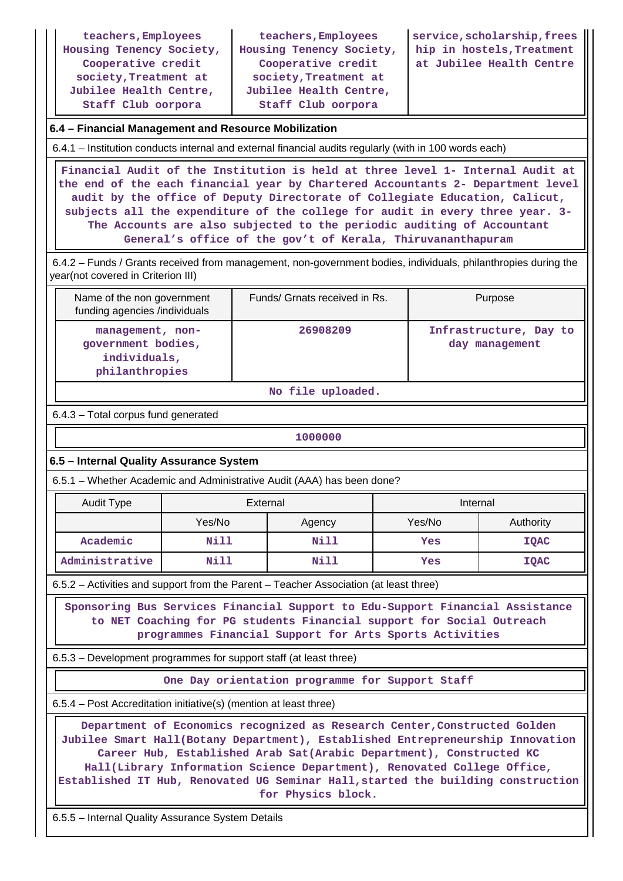**teachers,Employees Housing Tenency Society, Cooperative credit society,Treatment at Jubilee Health Centre, Staff Club oorpora**

**teachers,Employees Housing Tenency Society, Cooperative credit society,Treatment at Jubilee Health Centre, Staff Club oorpora**

**service,scholarship,frees hip in hostels,Treatment at Jubilee Health Centre**

### **6.4 – Financial Management and Resource Mobilization**

6.4.1 – Institution conducts internal and external financial audits regularly (with in 100 words each)

 **Financial Audit of the Institution is held at three level 1- Internal Audit at the end of the each financial year by Chartered Accountants 2- Department level audit by the office of Deputy Directorate of Collegiate Education, Calicut, subjects all the expenditure of the college for audit in every three year. 3- The Accounts are also subjected to the periodic auditing of Accountant General's office of the gov't of Kerala, Thiruvananthapuram**

 6.4.2 – Funds / Grants received from management, non-government bodies, individuals, philanthropies during the year(not covered in Criterion III)

| Name of the non government<br>funding agencies /individuals              | Funds/ Grnats received in Rs. | Purpose                                  |
|--------------------------------------------------------------------------|-------------------------------|------------------------------------------|
| management, non-<br>government bodies,<br>individuals,<br>philanthropies | 26908209                      | Infrastructure, Day to<br>day management |

**No file uploaded.**

6.4.3 – Total corpus fund generated

**1000000**

### **6.5 – Internal Quality Assurance System**

6.5.1 – Whether Academic and Administrative Audit (AAA) has been done?

| Audit Type     | External |        | Internal |             |
|----------------|----------|--------|----------|-------------|
|                | Yes/No   | Agency | Yes/No   | Authority   |
| Academic       | Nill     | Nill   | Yes      | <b>IQAC</b> |
| Administrative | Nill     | Nill   | Yes      | <b>IQAC</b> |

6.5.2 – Activities and support from the Parent – Teacher Association (at least three)

 **Sponsoring Bus Services Financial Support to Edu-Support Financial Assistance to NET Coaching for PG students Financial support for Social Outreach programmes Financial Support for Arts Sports Activities**

6.5.3 – Development programmes for support staff (at least three)

**One Day orientation programme for Support Staff**

6.5.4 – Post Accreditation initiative(s) (mention at least three)

 **Department of Economics recognized as Research Center,Constructed Golden Jubilee Smart Hall(Botany Department), Established Entrepreneurship Innovation Career Hub, Established Arab Sat(Arabic Department), Constructed KC Hall(Library Information Science Department), Renovated College Office, Established IT Hub, Renovated UG Seminar Hall,started the building construction for Physics block.**

6.5.5 – Internal Quality Assurance System Details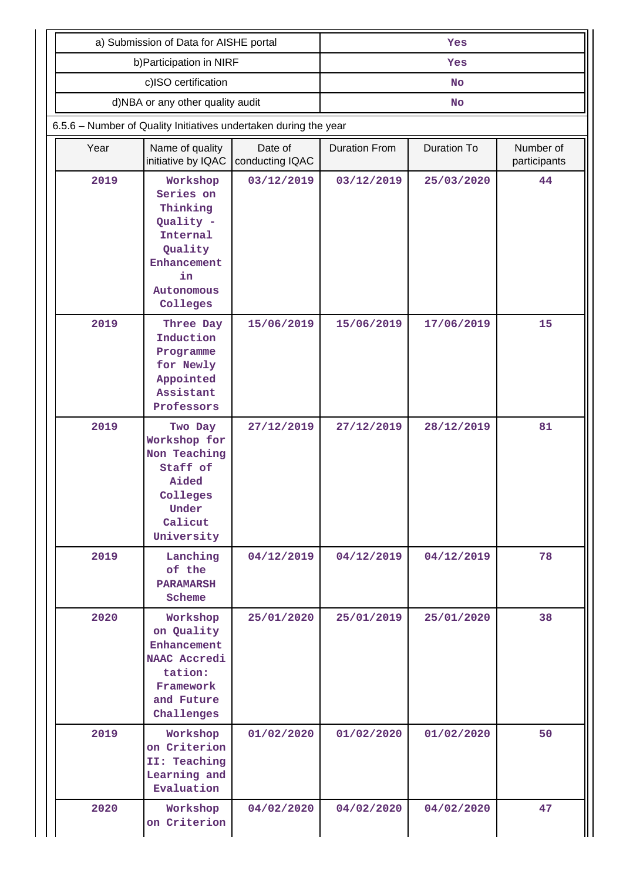|                                                                                                                   | a) Submission of Data for AISHE portal                                                                                                                                                                                                                                                                                                         |                            | Yes                  |                    |                           |  |  |  |  |
|-------------------------------------------------------------------------------------------------------------------|------------------------------------------------------------------------------------------------------------------------------------------------------------------------------------------------------------------------------------------------------------------------------------------------------------------------------------------------|----------------------------|----------------------|--------------------|---------------------------|--|--|--|--|
|                                                                                                                   | b) Participation in NIRF                                                                                                                                                                                                                                                                                                                       |                            | Yes                  |                    |                           |  |  |  |  |
|                                                                                                                   | c)ISO certification                                                                                                                                                                                                                                                                                                                            |                            | <b>No</b>            |                    |                           |  |  |  |  |
|                                                                                                                   | d)NBA or any other quality audit                                                                                                                                                                                                                                                                                                               |                            | <b>No</b>            |                    |                           |  |  |  |  |
| 6.5.6 - Number of Quality Initiatives undertaken during the year                                                  |                                                                                                                                                                                                                                                                                                                                                |                            |                      |                    |                           |  |  |  |  |
| Year                                                                                                              | Name of quality<br>initiative by IQAC                                                                                                                                                                                                                                                                                                          | Date of<br>conducting IQAC | <b>Duration From</b> | <b>Duration To</b> | Number of<br>participants |  |  |  |  |
| 2019                                                                                                              | Workshop<br>Series on<br>Thinking<br>Quality -<br>Internal<br>Quality<br>Enhancement<br>in<br>Autonomous<br>Colleges<br>2019<br>Three Day<br>Induction<br>Programme<br>for Newly<br>Appointed<br>Assistant<br>Professors<br>2019<br>Two Day<br>Workshop for<br>Non Teaching<br>Staff of<br>Aided<br>Colleges<br>Under<br>Calicut<br>University |                            | 03/12/2019           | 25/03/2020         | 44                        |  |  |  |  |
|                                                                                                                   |                                                                                                                                                                                                                                                                                                                                                |                            | 15/06/2019           | 17/06/2019         | 15                        |  |  |  |  |
|                                                                                                                   |                                                                                                                                                                                                                                                                                                                                                |                            | 27/12/2019           | 28/12/2019         | 81                        |  |  |  |  |
| 2019                                                                                                              | Lanching<br>of the<br><b>PARAMARSH</b><br>Scheme                                                                                                                                                                                                                                                                                               |                            | 04/12/2019           | 04/12/2019         | 78                        |  |  |  |  |
| 2020<br>Workshop<br>on Quality<br>Enhancement<br>NAAC Accredi<br>tation:<br>Framework<br>and Future<br>Challenges |                                                                                                                                                                                                                                                                                                                                                | 25/01/2020                 | 25/01/2019           | 25/01/2020         | 38                        |  |  |  |  |
| 2019                                                                                                              | Workshop<br>on Criterion<br>II: Teaching<br>Learning and<br>Evaluation                                                                                                                                                                                                                                                                         | 01/02/2020                 | 01/02/2020           | 01/02/2020         | 50                        |  |  |  |  |
| 2020<br>Workshop<br>on Criterion                                                                                  |                                                                                                                                                                                                                                                                                                                                                | 04/02/2020                 | 04/02/2020           | 04/02/2020         | 47                        |  |  |  |  |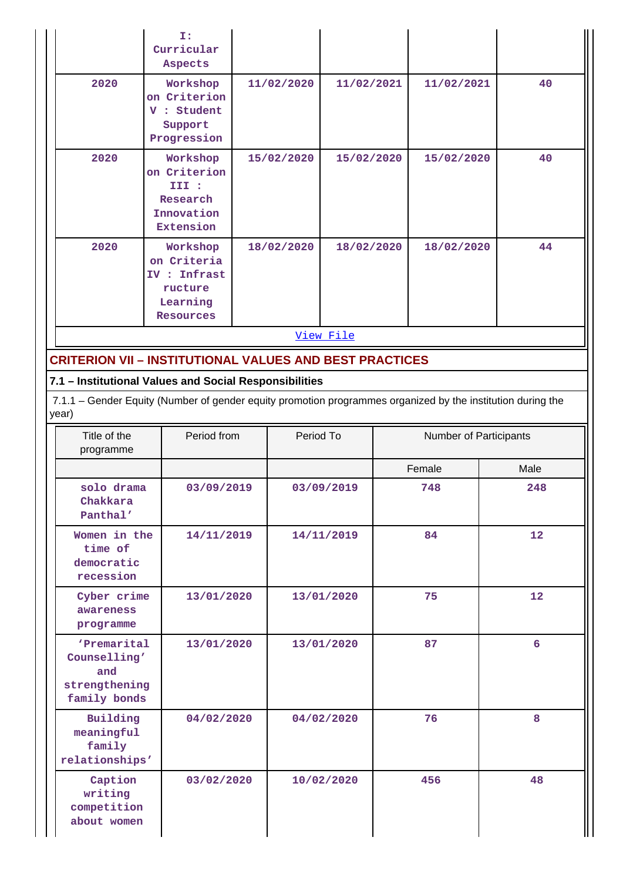|                                                                     | I:<br>Curricular<br>Aspects                                                                                 |            |            |                   |  |                        |      |  |
|---------------------------------------------------------------------|-------------------------------------------------------------------------------------------------------------|------------|------------|-------------------|--|------------------------|------|--|
| 2020                                                                | Workshop<br>on Criterion<br>V : Student<br>Support<br>Progression                                           |            | 11/02/2020 | 11/02/2021        |  | 11/02/2021             | 40   |  |
| 2020                                                                | Workshop<br>on Criterion<br>III :<br>Research<br>Innovation<br>Extension                                    |            | 15/02/2020 | 15/02/2020        |  | 15/02/2020             | 40   |  |
| 2020                                                                | Workshop<br>on Criteria<br>IV : Infrast<br>ructure<br>Learning<br><b>Resources</b>                          |            | 18/02/2020 | 18/02/2020        |  | 18/02/2020             | 44   |  |
|                                                                     |                                                                                                             |            |            | View File         |  |                        |      |  |
| <b>CRITERION VII - INSTITUTIONAL VALUES AND BEST PRACTICES</b>      |                                                                                                             |            |            |                   |  |                        |      |  |
| 7.1 - Institutional Values and Social Responsibilities              |                                                                                                             |            |            |                   |  |                        |      |  |
| year)                                                               | 7.1.1 - Gender Equity (Number of gender equity promotion programmes organized by the institution during the |            |            |                   |  |                        |      |  |
| Title of the<br>programme                                           | Period from                                                                                                 |            |            | Period To         |  | Number of Participants |      |  |
|                                                                     |                                                                                                             |            |            | Female            |  |                        | Male |  |
| 03/09/2019<br>solo drama<br>Chakkara<br>Panthal'                    |                                                                                                             |            |            | 03/09/2019<br>748 |  | 248                    |      |  |
| Women in the<br>time of<br>democratic<br>recession                  | 14/11/2019                                                                                                  |            |            | 14/11/2019        |  | 84                     | 12   |  |
| Cyber crime<br>awareness<br>programme                               |                                                                                                             | 13/01/2020 | 13/01/2020 |                   |  | 75                     | 12   |  |
| 'Premarital<br>Counselling'<br>and<br>strengthening<br>family bonds | 13/01/2020                                                                                                  |            |            | 13/01/2020        |  | 87                     | 6    |  |

 **04/02/2020 04/02/2020 76 8**

 **03/02/2020 10/02/2020 456 48**

 **Building meaningful family relationships'**

> **Caption writing competition about women**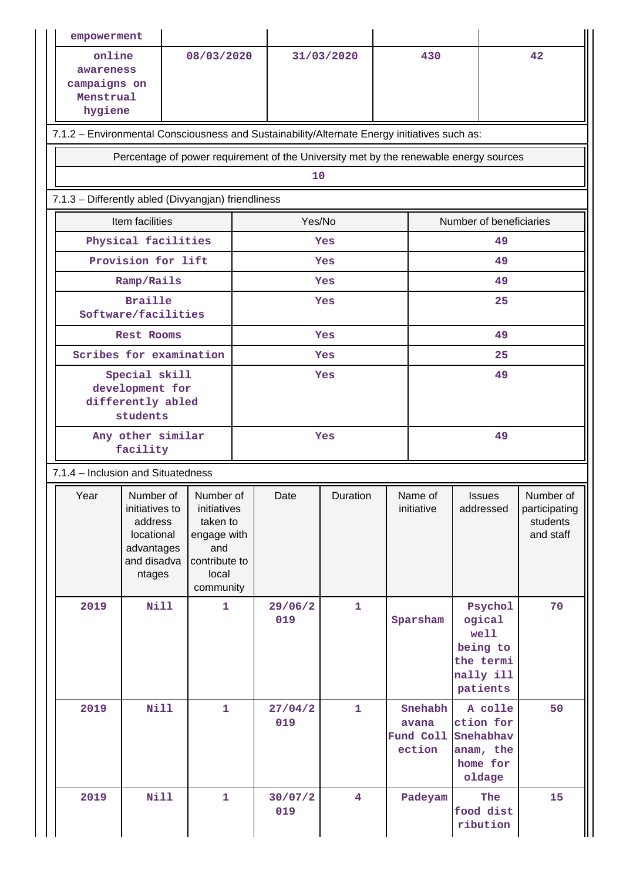| empowerment                                                                                  |                                                                                                                                                                                                 |              |            |                |                         |    |                                         |                                                                             |                                                     |  |  |  |
|----------------------------------------------------------------------------------------------|-------------------------------------------------------------------------------------------------------------------------------------------------------------------------------------------------|--------------|------------|----------------|-------------------------|----|-----------------------------------------|-----------------------------------------------------------------------------|-----------------------------------------------------|--|--|--|
| online<br>08/03/2020<br>awareness<br>campaigns on<br>Menstrual<br>hygiene                    |                                                                                                                                                                                                 |              | 31/03/2020 |                | 430                     |    | 42                                      |                                                                             |                                                     |  |  |  |
| 7.1.2 - Environmental Consciousness and Sustainability/Alternate Energy initiatives such as: |                                                                                                                                                                                                 |              |            |                |                         |    |                                         |                                                                             |                                                     |  |  |  |
| Percentage of power requirement of the University met by the renewable energy sources        |                                                                                                                                                                                                 |              |            |                |                         |    |                                         |                                                                             |                                                     |  |  |  |
| 10                                                                                           |                                                                                                                                                                                                 |              |            |                |                         |    |                                         |                                                                             |                                                     |  |  |  |
| 7.1.3 - Differently abled (Divyangjan) friendliness                                          |                                                                                                                                                                                                 |              |            |                |                         |    |                                         |                                                                             |                                                     |  |  |  |
|                                                                                              | Item facilities                                                                                                                                                                                 |              | Yes/No     |                |                         |    |                                         | Number of beneficiaries                                                     |                                                     |  |  |  |
|                                                                                              | Physical facilities                                                                                                                                                                             |              |            |                | <b>Yes</b>              |    | 49                                      |                                                                             |                                                     |  |  |  |
|                                                                                              | Provision for lift                                                                                                                                                                              |              |            |                | <b>Yes</b>              |    | 49                                      |                                                                             |                                                     |  |  |  |
|                                                                                              | Ramp/Rails                                                                                                                                                                                      |              |            |                | <b>Yes</b>              |    | 49                                      |                                                                             |                                                     |  |  |  |
|                                                                                              | <b>Braille</b><br>Software/facilities                                                                                                                                                           |              | Yes        |                |                         |    | 25                                      |                                                                             |                                                     |  |  |  |
|                                                                                              | <b>Rest Rooms</b>                                                                                                                                                                               |              |            |                | <b>Yes</b>              | 49 |                                         |                                                                             |                                                     |  |  |  |
|                                                                                              | Scribes for examination                                                                                                                                                                         |              |            |                | <b>Yes</b>              | 25 |                                         |                                                                             |                                                     |  |  |  |
| Special skill<br>development for<br>differently abled<br>students                            |                                                                                                                                                                                                 |              | <b>Yes</b> |                |                         |    | 49                                      |                                                                             |                                                     |  |  |  |
| Any other similar<br>facility                                                                |                                                                                                                                                                                                 |              | Yes        |                |                         | 49 |                                         |                                                                             |                                                     |  |  |  |
| 7.1.4 - Inclusion and Situatedness                                                           |                                                                                                                                                                                                 |              |            |                |                         |    |                                         |                                                                             |                                                     |  |  |  |
| Year                                                                                         | Number of   Number of<br>initiatives to<br>initiatives<br>address<br>taken to<br>locational<br>engage with<br>and<br>advantages<br>and disadva<br>contribute to<br>local<br>ntages<br>community |              |            | Date           | Duration                |    | Name of<br>initiative                   | Issues<br>addressed                                                         | Number of<br>participating<br>students<br>and staff |  |  |  |
| 2019                                                                                         | <b>Nill</b>                                                                                                                                                                                     | 1            |            | 29/06/2<br>019 | $\mathbf{1}$            |    | Sparsham                                | Psychol<br>ogical<br>well<br>being to<br>the termi<br>nally ill<br>patients | 70                                                  |  |  |  |
| 2019                                                                                         | <b>Nill</b>                                                                                                                                                                                     | $\mathbf{1}$ |            | 27/04/2<br>019 | $\mathbf{1}$            |    | Snehabh<br>avana<br>Fund Coll<br>ection | A colle<br>ction for<br>Snehabhav<br>anam, the<br>home for<br>oldage        | 50                                                  |  |  |  |
| 2019                                                                                         | Nill                                                                                                                                                                                            | $\mathbf{1}$ |            | 30/07/2<br>019 | $\overline{\mathbf{4}}$ |    | Padeyam                                 | The<br>food dist<br>ribution                                                | 15                                                  |  |  |  |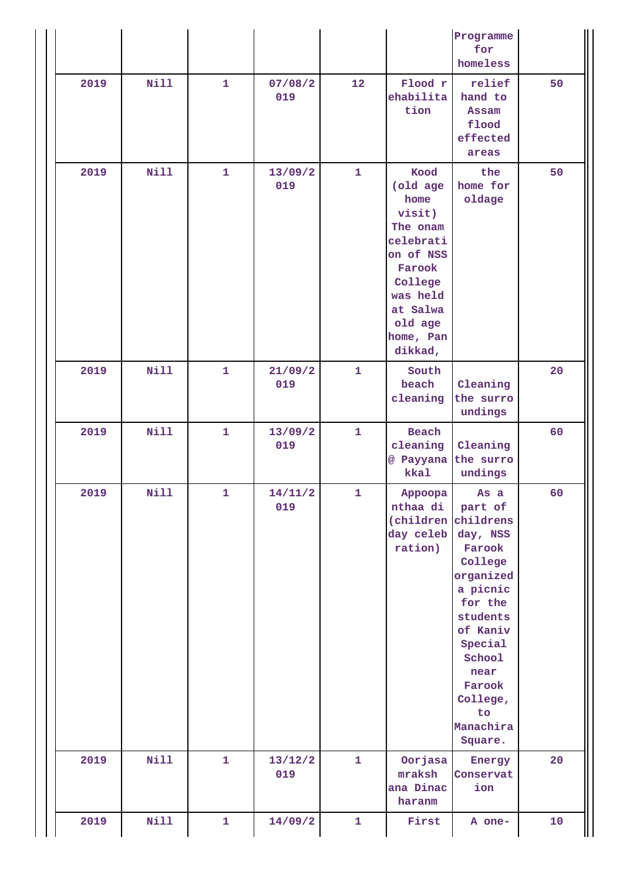|      |             |              |                |              |                                                                                                                                                          | Programme<br>for<br>homeless                                                                                                                                                                  |    |
|------|-------------|--------------|----------------|--------------|----------------------------------------------------------------------------------------------------------------------------------------------------------|-----------------------------------------------------------------------------------------------------------------------------------------------------------------------------------------------|----|
| 2019 | Nill        | $\mathbf{1}$ | 07/08/2<br>019 | 12           | Flood r<br>ehabilita<br>tion                                                                                                                             | relief<br>hand to<br>Assam<br>flood<br>effected<br>areas                                                                                                                                      | 50 |
| 2019 | <b>Nill</b> | $\mathbf{1}$ | 13/09/2<br>019 | $\mathbf{1}$ | Kood<br>(old age<br>home<br>visit)<br>The onam<br>celebrati<br>on of NSS<br>Farook<br>College<br>was held<br>at Salwa<br>old age<br>home, Pan<br>dikkad, | the<br>home for<br>oldage                                                                                                                                                                     | 50 |
| 2019 | Nill        | $\mathbf{1}$ | 21/09/2<br>019 | $\mathbf{1}$ | South<br>beach<br>cleaning                                                                                                                               | Cleaning<br>the surro<br>undings                                                                                                                                                              | 20 |
| 2019 | <b>Nill</b> | $\mathbf{1}$ | 13/09/2<br>019 | $\mathbf{1}$ | Beach<br>cleaning<br>@ Payyana<br>kkal                                                                                                                   | Cleaning<br>the surro<br>undings                                                                                                                                                              | 60 |
| 2019 | <b>Nill</b> | 1            | 14/11/2<br>019 | 1            | Appoopa<br>nthaa di<br>(children childrens<br>day celeb<br>ration)                                                                                       | As a<br>part of<br>day, NSS<br>Farook<br>College<br>organized<br>a picnic<br>for the<br>students<br>of Kaniv<br>Special<br>School<br>near<br>Farook<br>College,<br>to<br>Manachira<br>Square. | 60 |
| 2019 | <b>Nill</b> | $\mathbf{1}$ | 13/12/2<br>019 | $\mathbf{1}$ | Oorjasa<br>mraksh<br>ana Dinac<br>haranm                                                                                                                 | Energy<br>Conservat<br>ion                                                                                                                                                                    | 20 |
| 2019 | <b>Nill</b> | $\mathbf{1}$ | 14/09/2        | $\mathbf{1}$ | First                                                                                                                                                    | A one-                                                                                                                                                                                        | 10 |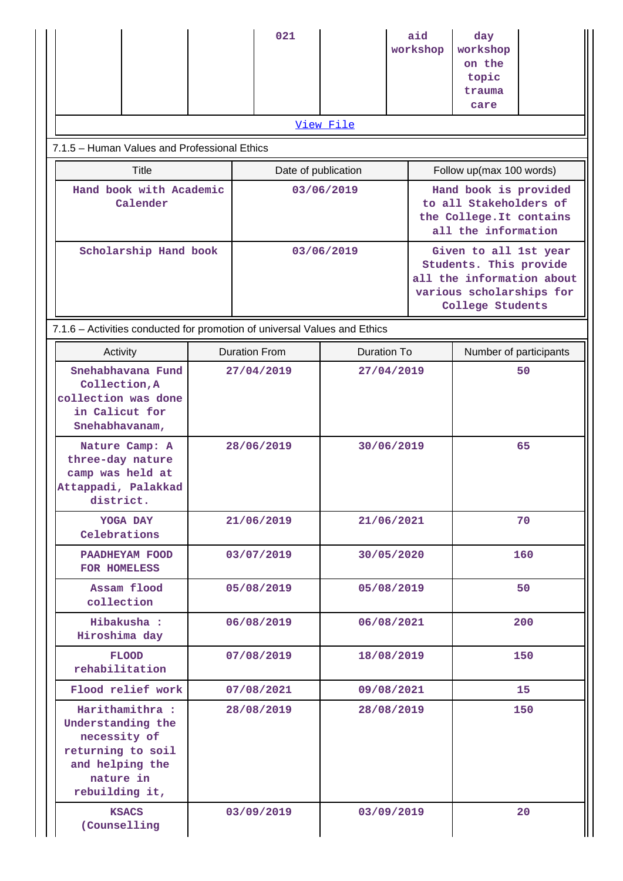|                                                                                                                             |                          | 021                  |                                                                                                    | aid<br>workshop                                                                                                              | day<br>workshop<br>on the<br>topic<br>trauma<br>care |     |  |  |  |  |  |
|-----------------------------------------------------------------------------------------------------------------------------|--------------------------|----------------------|----------------------------------------------------------------------------------------------------|------------------------------------------------------------------------------------------------------------------------------|------------------------------------------------------|-----|--|--|--|--|--|
|                                                                                                                             |                          |                      | View File                                                                                          |                                                                                                                              |                                                      |     |  |  |  |  |  |
| 7.1.5 - Human Values and Professional Ethics                                                                                |                          |                      |                                                                                                    |                                                                                                                              |                                                      |     |  |  |  |  |  |
| Title                                                                                                                       |                          | Date of publication  |                                                                                                    | Follow up(max 100 words)                                                                                                     |                                                      |     |  |  |  |  |  |
| Hand book with Academic<br>Calender                                                                                         | 03/06/2019               |                      | Hand book is provided<br>to all Stakeholders of<br>the College. It contains<br>all the information |                                                                                                                              |                                                      |     |  |  |  |  |  |
| Scholarship Hand book                                                                                                       |                          | 03/06/2019           |                                                                                                    | Given to all 1st year<br>Students. This provide<br>all the information about<br>various scholarships for<br>College Students |                                                      |     |  |  |  |  |  |
| 7.1.6 - Activities conducted for promotion of universal Values and Ethics                                                   |                          |                      |                                                                                                    |                                                                                                                              |                                                      |     |  |  |  |  |  |
| Activity                                                                                                                    |                          | <b>Duration From</b> | <b>Duration To</b>                                                                                 |                                                                                                                              | Number of participants                               |     |  |  |  |  |  |
| Snehabhavana Fund<br>Collection, A<br>collection was done<br>in Calicut for<br>Snehabhavanam,                               | 27/04/2019<br>28/06/2019 |                      | 27/04/2019                                                                                         |                                                                                                                              | 50                                                   |     |  |  |  |  |  |
| Nature Camp: A<br>three-day nature<br>camp was held at<br>Attappadi, Palakkad<br>district.                                  |                          |                      |                                                                                                    | 30/06/2019                                                                                                                   |                                                      | 65  |  |  |  |  |  |
| YOGA DAY<br>Celebrations                                                                                                    |                          | 21/06/2019           |                                                                                                    | 21/06/2021                                                                                                                   |                                                      | 70  |  |  |  |  |  |
| PAADHEYAM FOOD<br>FOR HOMELESS                                                                                              |                          | 03/07/2019           |                                                                                                    | 30/05/2020                                                                                                                   |                                                      | 160 |  |  |  |  |  |
| Assam flood<br>collection                                                                                                   |                          | 05/08/2019           |                                                                                                    | 05/08/2019                                                                                                                   |                                                      | 50  |  |  |  |  |  |
| Hibakusha :<br>Hiroshima day                                                                                                | 06/08/2019               |                      | 06/08/2021                                                                                         |                                                                                                                              |                                                      | 200 |  |  |  |  |  |
| <b>FLOOD</b><br>rehabilitation                                                                                              | 07/08/2019               |                      | 18/08/2019                                                                                         |                                                                                                                              |                                                      | 150 |  |  |  |  |  |
| Flood relief work                                                                                                           | 07/08/2021               |                      | 09/08/2021                                                                                         |                                                                                                                              |                                                      | 15  |  |  |  |  |  |
| Harithamithra :<br>Understanding the<br>necessity of<br>returning to soil<br>and helping the<br>nature in<br>rebuilding it, | 28/08/2019               |                      | 28/08/2019                                                                                         |                                                                                                                              |                                                      | 150 |  |  |  |  |  |
| <b>KSACS</b><br>(Counselling                                                                                                |                          | 03/09/2019           |                                                                                                    | 03/09/2019                                                                                                                   |                                                      | 20  |  |  |  |  |  |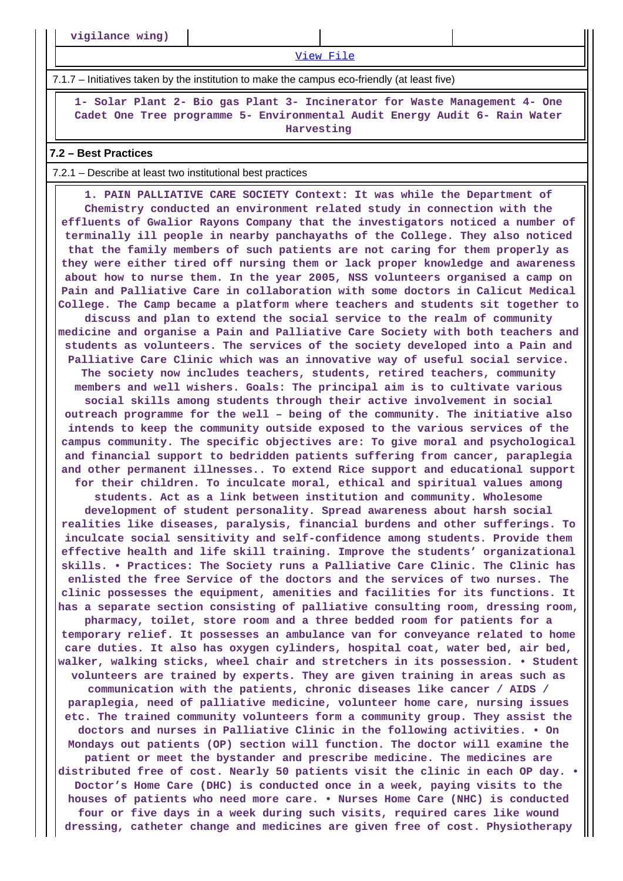**vigilance wing)**

[View File](https://assessmentonline.naac.gov.in/public/Postacc/promotion_activities/11914_promotion_activities_1630994534.xlsx)

7.1.7 – Initiatives taken by the institution to make the campus eco-friendly (at least five)

 **1- Solar Plant 2- Bio gas Plant 3- Incinerator for Waste Management 4- One Cadet One Tree programme 5- Environmental Audit Energy Audit 6- Rain Water Harvesting**

#### **7.2 – Best Practices**

#### 7.2.1 – Describe at least two institutional best practices

 **1. PAIN PALLIATIVE CARE SOCIETY Context: It was while the Department of Chemistry conducted an environment related study in connection with the effluents of Gwalior Rayons Company that the investigators noticed a number of terminally ill people in nearby panchayaths of the College. They also noticed that the family members of such patients are not caring for them properly as they were either tired off nursing them or lack proper knowledge and awareness about how to nurse them. In the year 2005, NSS volunteers organised a camp on Pain and Palliative Care in collaboration with some doctors in Calicut Medical College. The Camp became a platform where teachers and students sit together to discuss and plan to extend the social service to the realm of community medicine and organise a Pain and Palliative Care Society with both teachers and students as volunteers. The services of the society developed into a Pain and Palliative Care Clinic which was an innovative way of useful social service. The society now includes teachers, students, retired teachers, community members and well wishers. Goals: The principal aim is to cultivate various social skills among students through their active involvement in social outreach programme for the well – being of the community. The initiative also intends to keep the community outside exposed to the various services of the campus community. The specific objectives are: To give moral and psychological and financial support to bedridden patients suffering from cancer, paraplegia and other permanent illnesses.. To extend Rice support and educational support for their children. To inculcate moral, ethical and spiritual values among students. Act as a link between institution and community. Wholesome development of student personality. Spread awareness about harsh social realities like diseases, paralysis, financial burdens and other sufferings. To inculcate social sensitivity and self-confidence among students. Provide them effective health and life skill training. Improve the students' organizational skills. • Practices: The Society runs a Palliative Care Clinic. The Clinic has enlisted the free Service of the doctors and the services of two nurses. The clinic possesses the equipment, amenities and facilities for its functions. It has a separate section consisting of palliative consulting room, dressing room, pharmacy, toilet, store room and a three bedded room for patients for a temporary relief. It possesses an ambulance van for conveyance related to home care duties. It also has oxygen cylinders, hospital coat, water bed, air bed, walker, walking sticks, wheel chair and stretchers in its possession. • Student volunteers are trained by experts. They are given training in areas such as communication with the patients, chronic diseases like cancer / AIDS / paraplegia, need of palliative medicine, volunteer home care, nursing issues etc. The trained community volunteers form a community group. They assist the doctors and nurses in Palliative Clinic in the following activities. • On Mondays out patients (OP) section will function. The doctor will examine the patient or meet the bystander and prescribe medicine. The medicines are distributed free of cost. Nearly 50 patients visit the clinic in each OP day. • Doctor's Home Care (DHC) is conducted once in a week, paying visits to the houses of patients who need more care. • Nurses Home Care (NHC) is conducted four or five days in a week during such visits, required cares like wound dressing, catheter change and medicines are given free of cost. Physiotherapy**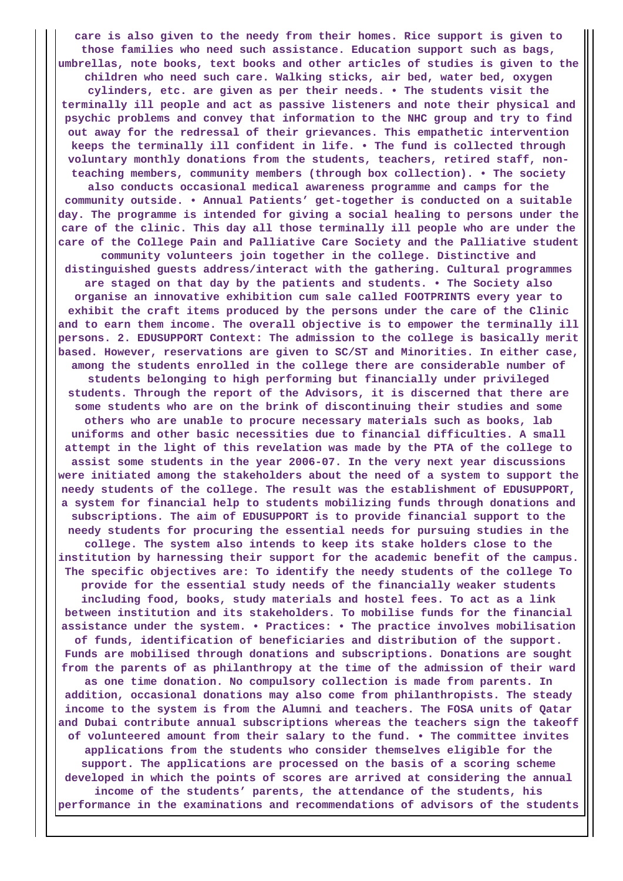**care is also given to the needy from their homes. Rice support is given to those families who need such assistance. Education support such as bags, umbrellas, note books, text books and other articles of studies is given to the children who need such care. Walking sticks, air bed, water bed, oxygen cylinders, etc. are given as per their needs. • The students visit the terminally ill people and act as passive listeners and note their physical and psychic problems and convey that information to the NHC group and try to find out away for the redressal of their grievances. This empathetic intervention keeps the terminally ill confident in life. • The fund is collected through voluntary monthly donations from the students, teachers, retired staff, nonteaching members, community members (through box collection). • The society also conducts occasional medical awareness programme and camps for the community outside. • Annual Patients' get-together is conducted on a suitable day. The programme is intended for giving a social healing to persons under the care of the clinic. This day all those terminally ill people who are under the care of the College Pain and Palliative Care Society and the Palliative student community volunteers join together in the college. Distinctive and distinguished guests address/interact with the gathering. Cultural programmes are staged on that day by the patients and students. • The Society also organise an innovative exhibition cum sale called FOOTPRINTS every year to exhibit the craft items produced by the persons under the care of the Clinic and to earn them income. The overall objective is to empower the terminally ill persons. 2. EDUSUPPORT Context: The admission to the college is basically merit based. However, reservations are given to SC/ST and Minorities. In either case, among the students enrolled in the college there are considerable number of students belonging to high performing but financially under privileged students. Through the report of the Advisors, it is discerned that there are some students who are on the brink of discontinuing their studies and some others who are unable to procure necessary materials such as books, lab uniforms and other basic necessities due to financial difficulties. A small attempt in the light of this revelation was made by the PTA of the college to assist some students in the year 2006-07. In the very next year discussions were initiated among the stakeholders about the need of a system to support the needy students of the college. The result was the establishment of EDUSUPPORT, a system for financial help to students mobilizing funds through donations and subscriptions. The aim of EDUSUPPORT is to provide financial support to the needy students for procuring the essential needs for pursuing studies in the college. The system also intends to keep its stake holders close to the institution by harnessing their support for the academic benefit of the campus. The specific objectives are: To identify the needy students of the college To provide for the essential study needs of the financially weaker students including food, books, study materials and hostel fees. To act as a link between institution and its stakeholders. To mobilise funds for the financial assistance under the system. • Practices: • The practice involves mobilisation of funds, identification of beneficiaries and distribution of the support. Funds are mobilised through donations and subscriptions. Donations are sought from the parents of as philanthropy at the time of the admission of their ward as one time donation. No compulsory collection is made from parents. In addition, occasional donations may also come from philanthropists. The steady income to the system is from the Alumni and teachers. The FOSA units of Qatar and Dubai contribute annual subscriptions whereas the teachers sign the takeoff of volunteered amount from their salary to the fund. • The committee invites applications from the students who consider themselves eligible for the support. The applications are processed on the basis of a scoring scheme developed in which the points of scores are arrived at considering the annual income of the students' parents, the attendance of the students, his performance in the examinations and recommendations of advisors of the students**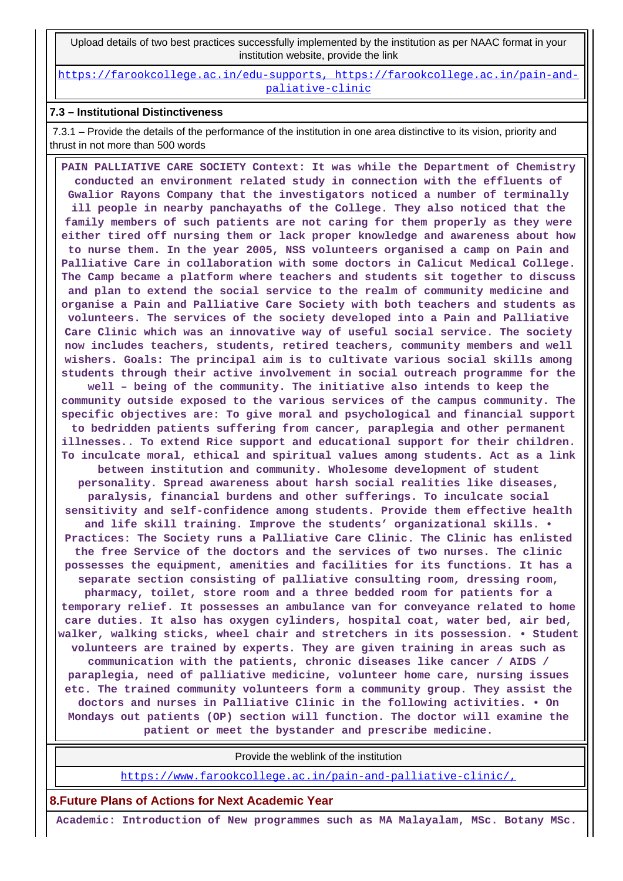Upload details of two best practices successfully implemented by the institution as per NAAC format in your institution website, provide the link

[https://farookcollege.ac.in/edu-supports, https://farookcollege.ac.in/pain-and](https://farookcollege.ac.in/edu-supports, https://farookcollege.ac.in/pain-and-paliative-clinic)[paliative-clinic](https://farookcollege.ac.in/edu-supports, https://farookcollege.ac.in/pain-and-paliative-clinic)

#### **7.3 – Institutional Distinctiveness**

 7.3.1 – Provide the details of the performance of the institution in one area distinctive to its vision, priority and thrust in not more than 500 words

 **PAIN PALLIATIVE CARE SOCIETY Context: It was while the Department of Chemistry conducted an environment related study in connection with the effluents of Gwalior Rayons Company that the investigators noticed a number of terminally ill people in nearby panchayaths of the College. They also noticed that the family members of such patients are not caring for them properly as they were either tired off nursing them or lack proper knowledge and awareness about how to nurse them. In the year 2005, NSS volunteers organised a camp on Pain and Palliative Care in collaboration with some doctors in Calicut Medical College. The Camp became a platform where teachers and students sit together to discuss and plan to extend the social service to the realm of community medicine and organise a Pain and Palliative Care Society with both teachers and students as volunteers. The services of the society developed into a Pain and Palliative Care Clinic which was an innovative way of useful social service. The society now includes teachers, students, retired teachers, community members and well wishers. Goals: The principal aim is to cultivate various social skills among students through their active involvement in social outreach programme for the well – being of the community. The initiative also intends to keep the community outside exposed to the various services of the campus community. The specific objectives are: To give moral and psychological and financial support to bedridden patients suffering from cancer, paraplegia and other permanent illnesses.. To extend Rice support and educational support for their children. To inculcate moral, ethical and spiritual values among students. Act as a link between institution and community. Wholesome development of student personality. Spread awareness about harsh social realities like diseases, paralysis, financial burdens and other sufferings. To inculcate social sensitivity and self-confidence among students. Provide them effective health and life skill training. Improve the students' organizational skills. • Practices: The Society runs a Palliative Care Clinic. The Clinic has enlisted the free Service of the doctors and the services of two nurses. The clinic possesses the equipment, amenities and facilities for its functions. It has a separate section consisting of palliative consulting room, dressing room, pharmacy, toilet, store room and a three bedded room for patients for a temporary relief. It possesses an ambulance van for conveyance related to home care duties. It also has oxygen cylinders, hospital coat, water bed, air bed, walker, walking sticks, wheel chair and stretchers in its possession. • Student volunteers are trained by experts. They are given training in areas such as communication with the patients, chronic diseases like cancer / AIDS / paraplegia, need of palliative medicine, volunteer home care, nursing issues etc. The trained community volunteers form a community group. They assist the doctors and nurses in Palliative Clinic in the following activities. • On Mondays out patients (OP) section will function. The doctor will examine the patient or meet the bystander and prescribe medicine.**

Provide the weblink of the institution

<https://www.farookcollege.ac.in/pain-and-palliative-clinic/,>

**8.Future Plans of Actions for Next Academic Year**

 **Academic: Introduction of New programmes such as MA Malayalam, MSc. Botany MSc.**